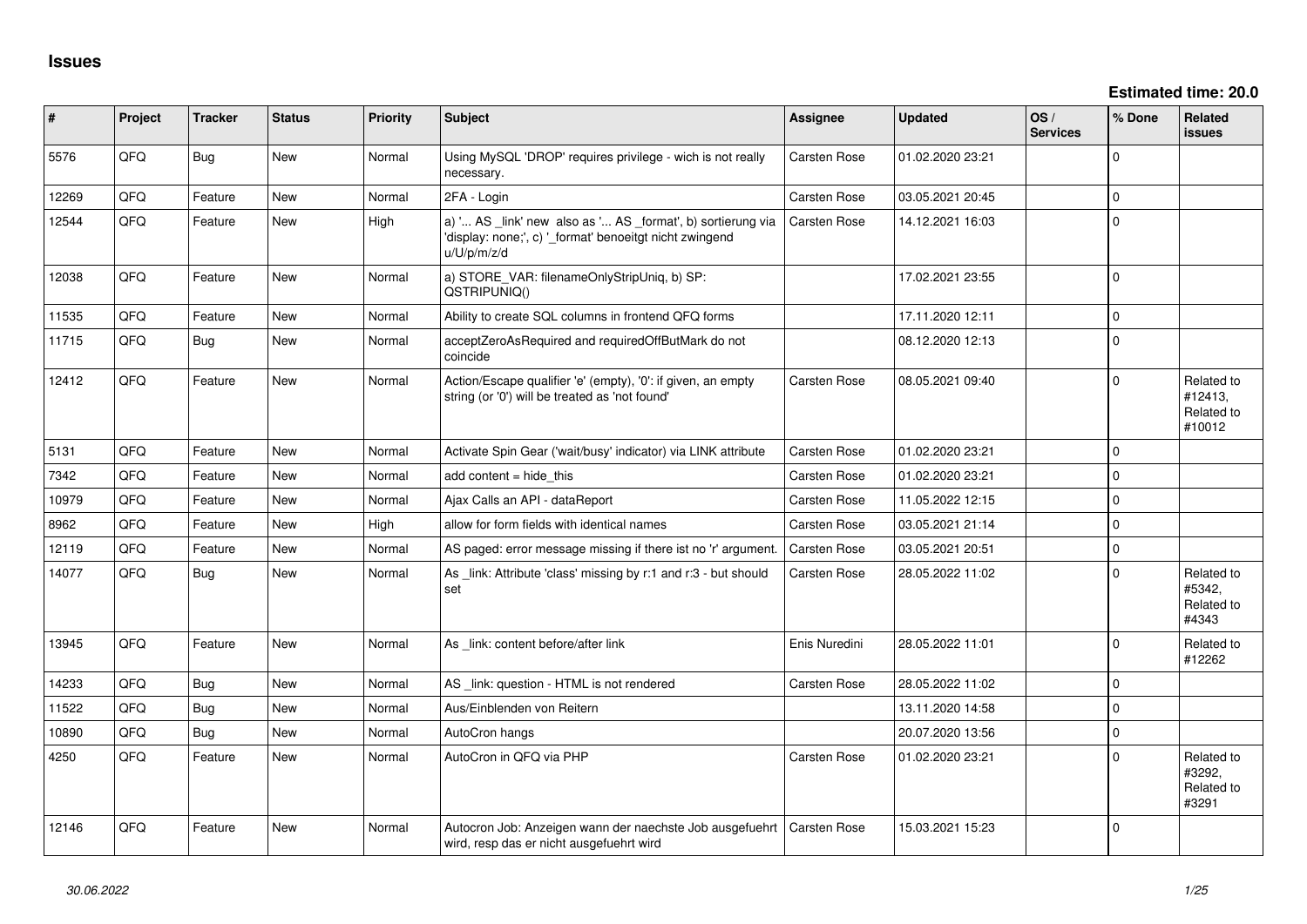| #     | Project | <b>Tracker</b> | <b>Status</b> | <b>Priority</b> | <b>Subject</b>                                                                                                                        | Assignee            | <b>Updated</b>   | OS/<br><b>Services</b> | % Done      | Related<br><b>issues</b>                      |
|-------|---------|----------------|---------------|-----------------|---------------------------------------------------------------------------------------------------------------------------------------|---------------------|------------------|------------------------|-------------|-----------------------------------------------|
| 5576  | QFQ     | <b>Bug</b>     | New           | Normal          | Using MySQL 'DROP' requires privilege - wich is not really<br>necessary.                                                              | Carsten Rose        | 01.02.2020 23:21 |                        | $\Omega$    |                                               |
| 12269 | QFQ     | Feature        | <b>New</b>    | Normal          | 2FA - Login                                                                                                                           | Carsten Rose        | 03.05.2021 20:45 |                        | $\mathbf 0$ |                                               |
| 12544 | QFQ     | Feature        | <b>New</b>    | High            | a) ' AS _link' new also as ' AS _format', b) sortierung via<br>'display: none;', c) ' format' benoeitgt nicht zwingend<br>u/U/p/m/z/d | Carsten Rose        | 14.12.2021 16:03 |                        | $\mathbf 0$ |                                               |
| 12038 | QFQ     | Feature        | <b>New</b>    | Normal          | a) STORE_VAR: filenameOnlyStripUniq, b) SP:<br>QSTRIPUNIQ()                                                                           |                     | 17.02.2021 23:55 |                        | $\Omega$    |                                               |
| 11535 | QFQ     | Feature        | New           | Normal          | Ability to create SQL columns in frontend QFQ forms                                                                                   |                     | 17.11.2020 12:11 |                        | $\Omega$    |                                               |
| 11715 | QFQ     | Bug            | <b>New</b>    | Normal          | acceptZeroAsRequired and requiredOffButMark do not<br>coincide                                                                        |                     | 08.12.2020 12:13 |                        | $\Omega$    |                                               |
| 12412 | QFQ     | Feature        | <b>New</b>    | Normal          | Action/Escape qualifier 'e' (empty), '0': if given, an empty<br>string (or '0') will be treated as 'not found'                        | Carsten Rose        | 08.05.2021 09:40 |                        | $\Omega$    | Related to<br>#12413,<br>Related to<br>#10012 |
| 5131  | QFQ     | Feature        | <b>New</b>    | Normal          | Activate Spin Gear ('wait/busy' indicator) via LINK attribute                                                                         | <b>Carsten Rose</b> | 01.02.2020 23:21 |                        | $\Omega$    |                                               |
| 7342  | QFQ     | Feature        | <b>New</b>    | Normal          | add content $=$ hide this                                                                                                             | Carsten Rose        | 01.02.2020 23:21 |                        | $\Omega$    |                                               |
| 10979 | QFQ     | Feature        | <b>New</b>    | Normal          | Ajax Calls an API - dataReport                                                                                                        | Carsten Rose        | 11.05.2022 12:15 |                        | $\mathbf 0$ |                                               |
| 8962  | QFQ     | Feature        | New           | High            | allow for form fields with identical names                                                                                            | <b>Carsten Rose</b> | 03.05.2021 21:14 |                        | $\Omega$    |                                               |
| 12119 | QFQ     | Feature        | New           | Normal          | AS paged: error message missing if there ist no 'r' argument.                                                                         | <b>Carsten Rose</b> | 03.05.2021 20:51 |                        | $\mathbf 0$ |                                               |
| 14077 | QFQ     | <b>Bug</b>     | <b>New</b>    | Normal          | As _link: Attribute 'class' missing by r:1 and r:3 - but should<br>set                                                                | Carsten Rose        | 28.05.2022 11:02 |                        | $\Omega$    | Related to<br>#5342,<br>Related to<br>#4343   |
| 13945 | QFQ     | Feature        | <b>New</b>    | Normal          | As link: content before/after link                                                                                                    | Enis Nuredini       | 28.05.2022 11:01 |                        | $\Omega$    | Related to<br>#12262                          |
| 14233 | QFQ     | Bug            | <b>New</b>    | Normal          | AS _link: question - HTML is not rendered                                                                                             | Carsten Rose        | 28.05.2022 11:02 |                        | $\Omega$    |                                               |
| 11522 | QFQ     | <b>Bug</b>     | <b>New</b>    | Normal          | Aus/Einblenden von Reitern                                                                                                            |                     | 13.11.2020 14:58 |                        | $\Omega$    |                                               |
| 10890 | QFQ     | Bug            | <b>New</b>    | Normal          | AutoCron hangs                                                                                                                        |                     | 20.07.2020 13:56 |                        | $\Omega$    |                                               |
| 4250  | QFQ     | Feature        | <b>New</b>    | Normal          | AutoCron in QFQ via PHP                                                                                                               | Carsten Rose        | 01.02.2020 23:21 |                        | $\Omega$    | Related to<br>#3292,<br>Related to<br>#3291   |
| 12146 | QFQ     | Feature        | <b>New</b>    | Normal          | Autocron Job: Anzeigen wann der naechste Job ausgefuehrt<br>wird, resp das er nicht ausgefuehrt wird                                  | <b>Carsten Rose</b> | 15.03.2021 15:23 |                        | $\Omega$    |                                               |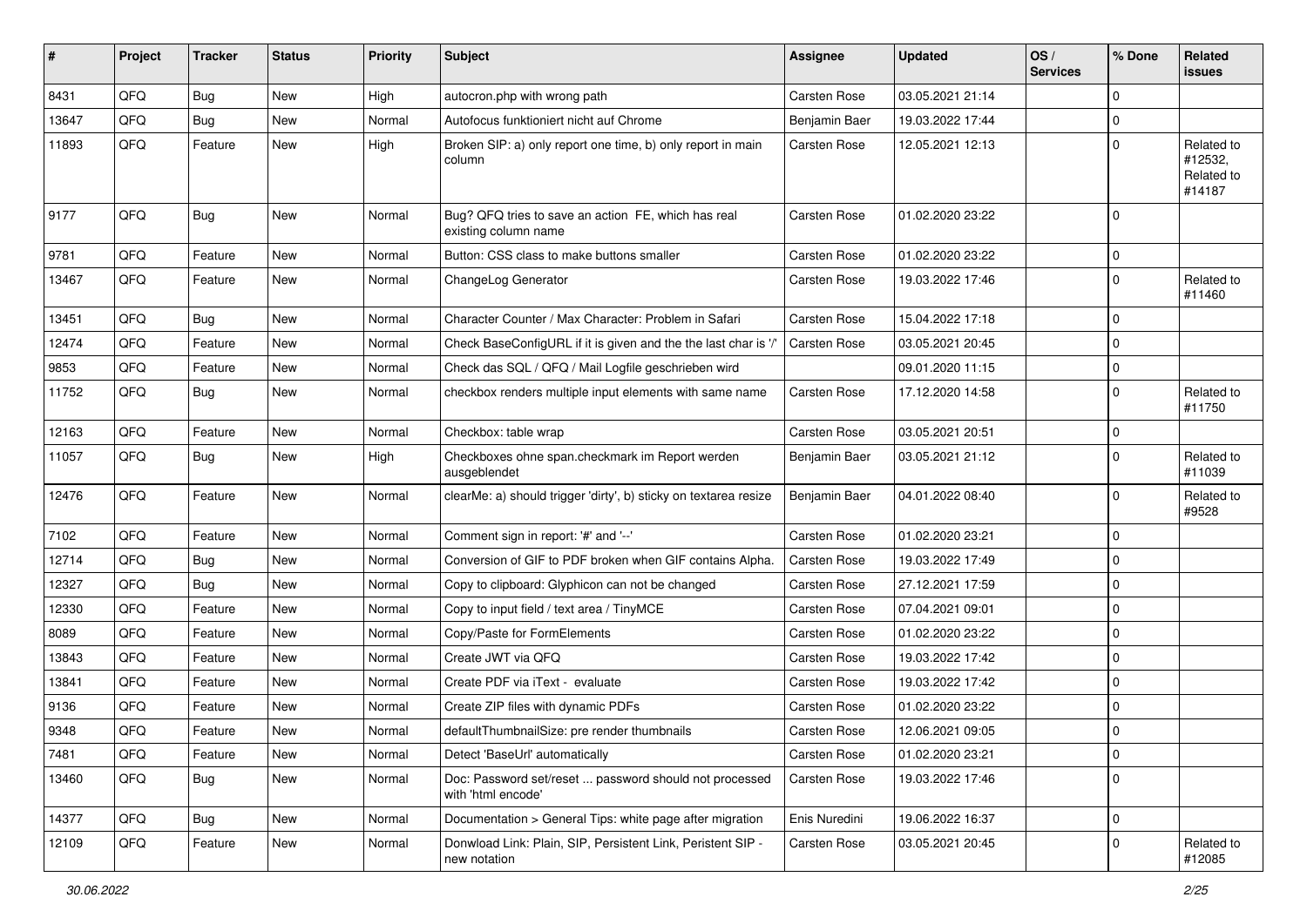| #     | Project | <b>Tracker</b> | <b>Status</b> | <b>Priority</b> | <b>Subject</b>                                                               | <b>Assignee</b> | <b>Updated</b>   | OS/<br><b>Services</b> | % Done      | <b>Related</b><br><b>issues</b>               |
|-------|---------|----------------|---------------|-----------------|------------------------------------------------------------------------------|-----------------|------------------|------------------------|-------------|-----------------------------------------------|
| 8431  | QFQ     | <b>Bug</b>     | <b>New</b>    | High            | autocron.php with wrong path                                                 | Carsten Rose    | 03.05.2021 21:14 |                        | $\mathbf 0$ |                                               |
| 13647 | QFQ     | <b>Bug</b>     | <b>New</b>    | Normal          | Autofocus funktioniert nicht auf Chrome                                      | Benjamin Baer   | 19.03.2022 17:44 |                        | $\mathbf 0$ |                                               |
| 11893 | QFQ     | Feature        | New           | High            | Broken SIP: a) only report one time, b) only report in main<br>column        | Carsten Rose    | 12.05.2021 12:13 |                        | $\mathbf 0$ | Related to<br>#12532,<br>Related to<br>#14187 |
| 9177  | QFQ     | <b>Bug</b>     | <b>New</b>    | Normal          | Bug? QFQ tries to save an action FE, which has real<br>existing column name  | Carsten Rose    | 01.02.2020 23:22 |                        | $\mathbf 0$ |                                               |
| 9781  | QFQ     | Feature        | <b>New</b>    | Normal          | Button: CSS class to make buttons smaller                                    | Carsten Rose    | 01.02.2020 23:22 |                        | $\mathbf 0$ |                                               |
| 13467 | QFQ     | Feature        | New           | Normal          | ChangeLog Generator                                                          | Carsten Rose    | 19.03.2022 17:46 |                        | $\mathbf 0$ | Related to<br>#11460                          |
| 13451 | QFQ     | Bug            | <b>New</b>    | Normal          | Character Counter / Max Character: Problem in Safari                         | Carsten Rose    | 15.04.2022 17:18 |                        | $\mathbf 0$ |                                               |
| 12474 | QFQ     | Feature        | <b>New</b>    | Normal          | Check BaseConfigURL if it is given and the the last char is '/'              | Carsten Rose    | 03.05.2021 20:45 |                        | $\mathbf 0$ |                                               |
| 9853  | QFQ     | Feature        | New           | Normal          | Check das SQL / QFQ / Mail Logfile geschrieben wird                          |                 | 09.01.2020 11:15 |                        | $\mathbf 0$ |                                               |
| 11752 | QFQ     | Bug            | <b>New</b>    | Normal          | checkbox renders multiple input elements with same name                      | Carsten Rose    | 17.12.2020 14:58 |                        | $\mathbf 0$ | Related to<br>#11750                          |
| 12163 | QFQ     | Feature        | <b>New</b>    | Normal          | Checkbox: table wrap                                                         | Carsten Rose    | 03.05.2021 20:51 |                        | $\mathbf 0$ |                                               |
| 11057 | QFQ     | Bug            | New           | High            | Checkboxes ohne span.checkmark im Report werden<br>ausgeblendet              | Benjamin Baer   | 03.05.2021 21:12 |                        | $\mathbf 0$ | Related to<br>#11039                          |
| 12476 | QFQ     | Feature        | <b>New</b>    | Normal          | clearMe: a) should trigger 'dirty', b) sticky on textarea resize             | Benjamin Baer   | 04.01.2022 08:40 |                        | $\mathbf 0$ | Related to<br>#9528                           |
| 7102  | QFQ     | Feature        | <b>New</b>    | Normal          | Comment sign in report: '#' and '--'                                         | Carsten Rose    | 01.02.2020 23:21 |                        | $\mathbf 0$ |                                               |
| 12714 | QFQ     | <b>Bug</b>     | <b>New</b>    | Normal          | Conversion of GIF to PDF broken when GIF contains Alpha.                     | Carsten Rose    | 19.03.2022 17:49 |                        | $\mathbf 0$ |                                               |
| 12327 | QFQ     | <b>Bug</b>     | New           | Normal          | Copy to clipboard: Glyphicon can not be changed                              | Carsten Rose    | 27.12.2021 17:59 |                        | $\mathbf 0$ |                                               |
| 12330 | QFQ     | Feature        | <b>New</b>    | Normal          | Copy to input field / text area / TinyMCE                                    | Carsten Rose    | 07.04.2021 09:01 |                        | $\mathbf 0$ |                                               |
| 8089  | QFQ     | Feature        | New           | Normal          | Copy/Paste for FormElements                                                  | Carsten Rose    | 01.02.2020 23:22 |                        | $\mathbf 0$ |                                               |
| 13843 | QFQ     | Feature        | New           | Normal          | Create JWT via QFQ                                                           | Carsten Rose    | 19.03.2022 17:42 |                        | $\mathbf 0$ |                                               |
| 13841 | QFQ     | Feature        | <b>New</b>    | Normal          | Create PDF via iText - evaluate                                              | Carsten Rose    | 19.03.2022 17:42 |                        | $\mathbf 0$ |                                               |
| 9136  | QFQ     | Feature        | New           | Normal          | Create ZIP files with dynamic PDFs                                           | Carsten Rose    | 01.02.2020 23:22 |                        | $\mathbf 0$ |                                               |
| 9348  | QFQ     | Feature        | New           | Normal          | defaultThumbnailSize: pre render thumbnails                                  | Carsten Rose    | 12.06.2021 09:05 |                        | $\mathbf 0$ |                                               |
| 7481  | QFQ     | Feature        | <b>New</b>    | Normal          | Detect 'BaseUrl' automatically                                               | Carsten Rose    | 01.02.2020 23:21 |                        | $\mathbf 0$ |                                               |
| 13460 | QFQ     | <b>Bug</b>     | New           | Normal          | Doc: Password set/reset  password should not processed<br>with 'html encode' | Carsten Rose    | 19.03.2022 17:46 |                        | $\mathbf 0$ |                                               |
| 14377 | QFQ     | Bug            | <b>New</b>    | Normal          | Documentation > General Tips: white page after migration                     | Enis Nuredini   | 19.06.2022 16:37 |                        | $\mathbf 0$ |                                               |
| 12109 | QFQ     | Feature        | New           | Normal          | Donwload Link: Plain, SIP, Persistent Link, Peristent SIP -<br>new notation  | Carsten Rose    | 03.05.2021 20:45 |                        | $\mathbf 0$ | Related to<br>#12085                          |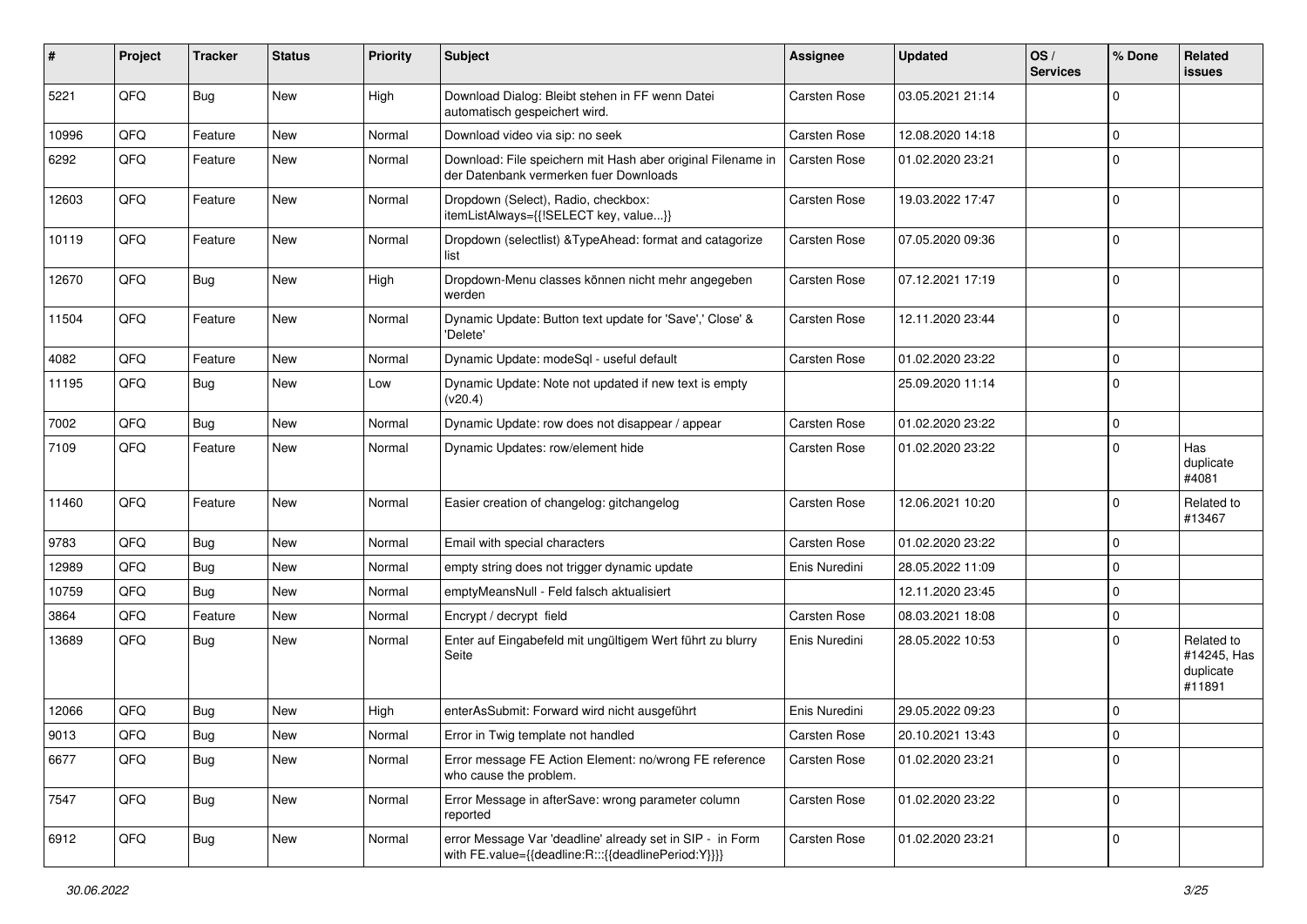| #     | Project | <b>Tracker</b> | <b>Status</b> | <b>Priority</b> | <b>Subject</b>                                                                                                   | <b>Assignee</b>     | <b>Updated</b>   | OS/<br><b>Services</b> | % Done      | Related<br>issues                                |
|-------|---------|----------------|---------------|-----------------|------------------------------------------------------------------------------------------------------------------|---------------------|------------------|------------------------|-------------|--------------------------------------------------|
| 5221  | QFQ     | <b>Bug</b>     | <b>New</b>    | High            | Download Dialog: Bleibt stehen in FF wenn Datei<br>automatisch gespeichert wird.                                 | <b>Carsten Rose</b> | 03.05.2021 21:14 |                        | $\mathbf 0$ |                                                  |
| 10996 | QFQ     | Feature        | New           | Normal          | Download video via sip: no seek                                                                                  | Carsten Rose        | 12.08.2020 14:18 |                        | $\mathbf 0$ |                                                  |
| 6292  | QFQ     | Feature        | New           | Normal          | Download: File speichern mit Hash aber original Filename in<br>der Datenbank vermerken fuer Downloads            | <b>Carsten Rose</b> | 01.02.2020 23:21 |                        | $\mathbf 0$ |                                                  |
| 12603 | QFQ     | Feature        | New           | Normal          | Dropdown (Select), Radio, checkbox:<br>itemListAlways={{!SELECT key, value}}                                     | <b>Carsten Rose</b> | 19.03.2022 17:47 |                        | $\mathbf 0$ |                                                  |
| 10119 | QFQ     | Feature        | New           | Normal          | Dropdown (selectlist) & TypeAhead: format and catagorize<br>list                                                 | Carsten Rose        | 07.05.2020 09:36 |                        | $\mathbf 0$ |                                                  |
| 12670 | QFQ     | <b>Bug</b>     | New           | High            | Dropdown-Menu classes können nicht mehr angegeben<br>werden                                                      | Carsten Rose        | 07.12.2021 17:19 |                        | $\mathbf 0$ |                                                  |
| 11504 | QFQ     | Feature        | New           | Normal          | Dynamic Update: Button text update for 'Save',' Close' &<br>'Delete'                                             | Carsten Rose        | 12.11.2020 23:44 |                        | $\mathbf 0$ |                                                  |
| 4082  | QFQ     | Feature        | New           | Normal          | Dynamic Update: modeSql - useful default                                                                         | Carsten Rose        | 01.02.2020 23:22 |                        | $\mathbf 0$ |                                                  |
| 11195 | QFQ     | <b>Bug</b>     | New           | Low             | Dynamic Update: Note not updated if new text is empty<br>(v20.4)                                                 |                     | 25.09.2020 11:14 |                        | $\mathbf 0$ |                                                  |
| 7002  | QFQ     | Bug            | New           | Normal          | Dynamic Update: row does not disappear / appear                                                                  | Carsten Rose        | 01.02.2020 23:22 |                        | $\mathbf 0$ |                                                  |
| 7109  | QFQ     | Feature        | New           | Normal          | Dynamic Updates: row/element hide                                                                                | Carsten Rose        | 01.02.2020 23:22 |                        | $\mathbf 0$ | Has<br>duplicate<br>#4081                        |
| 11460 | QFQ     | Feature        | New           | Normal          | Easier creation of changelog: gitchangelog                                                                       | Carsten Rose        | 12.06.2021 10:20 |                        | $\mathbf 0$ | Related to<br>#13467                             |
| 9783  | QFQ     | Bug            | New           | Normal          | Email with special characters                                                                                    | Carsten Rose        | 01.02.2020 23:22 |                        | $\mathbf 0$ |                                                  |
| 12989 | QFQ     | Bug            | <b>New</b>    | Normal          | empty string does not trigger dynamic update                                                                     | Enis Nuredini       | 28.05.2022 11:09 |                        | $\mathbf 0$ |                                                  |
| 10759 | QFQ     | <b>Bug</b>     | <b>New</b>    | Normal          | emptyMeansNull - Feld falsch aktualisiert                                                                        |                     | 12.11.2020 23:45 |                        | $\mathbf 0$ |                                                  |
| 3864  | QFQ     | Feature        | New           | Normal          | Encrypt / decrypt field                                                                                          | Carsten Rose        | 08.03.2021 18:08 |                        | $\mathbf 0$ |                                                  |
| 13689 | QFQ     | <b>Bug</b>     | New           | Normal          | Enter auf Eingabefeld mit ungültigem Wert führt zu blurry<br>Seite                                               | Enis Nuredini       | 28.05.2022 10:53 |                        | $\mathbf 0$ | Related to<br>#14245, Has<br>duplicate<br>#11891 |
| 12066 | QFQ     | Bug            | <b>New</b>    | High            | enterAsSubmit: Forward wird nicht ausgeführt                                                                     | Enis Nuredini       | 29.05.2022 09:23 |                        | $\mathbf 0$ |                                                  |
| 9013  | QFQ     | Bug            | New           | Normal          | Error in Twig template not handled                                                                               | <b>Carsten Rose</b> | 20.10.2021 13:43 |                        | $\Omega$    |                                                  |
| 6677  | QFQ     | Bug            | New           | Normal          | Error message FE Action Element: no/wrong FE reference<br>who cause the problem.                                 | Carsten Rose        | 01.02.2020 23:21 |                        | $\mathbf 0$ |                                                  |
| 7547  | QFQ     | <b>Bug</b>     | New           | Normal          | Error Message in afterSave: wrong parameter column<br>reported                                                   | Carsten Rose        | 01.02.2020 23:22 |                        | $\mathbf 0$ |                                                  |
| 6912  | QFQ     | <b>Bug</b>     | New           | Normal          | error Message Var 'deadline' already set in SIP - in Form<br>with FE.value={{deadline:R:::{{deadlinePeriod:Y}}}} | Carsten Rose        | 01.02.2020 23:21 |                        | 0           |                                                  |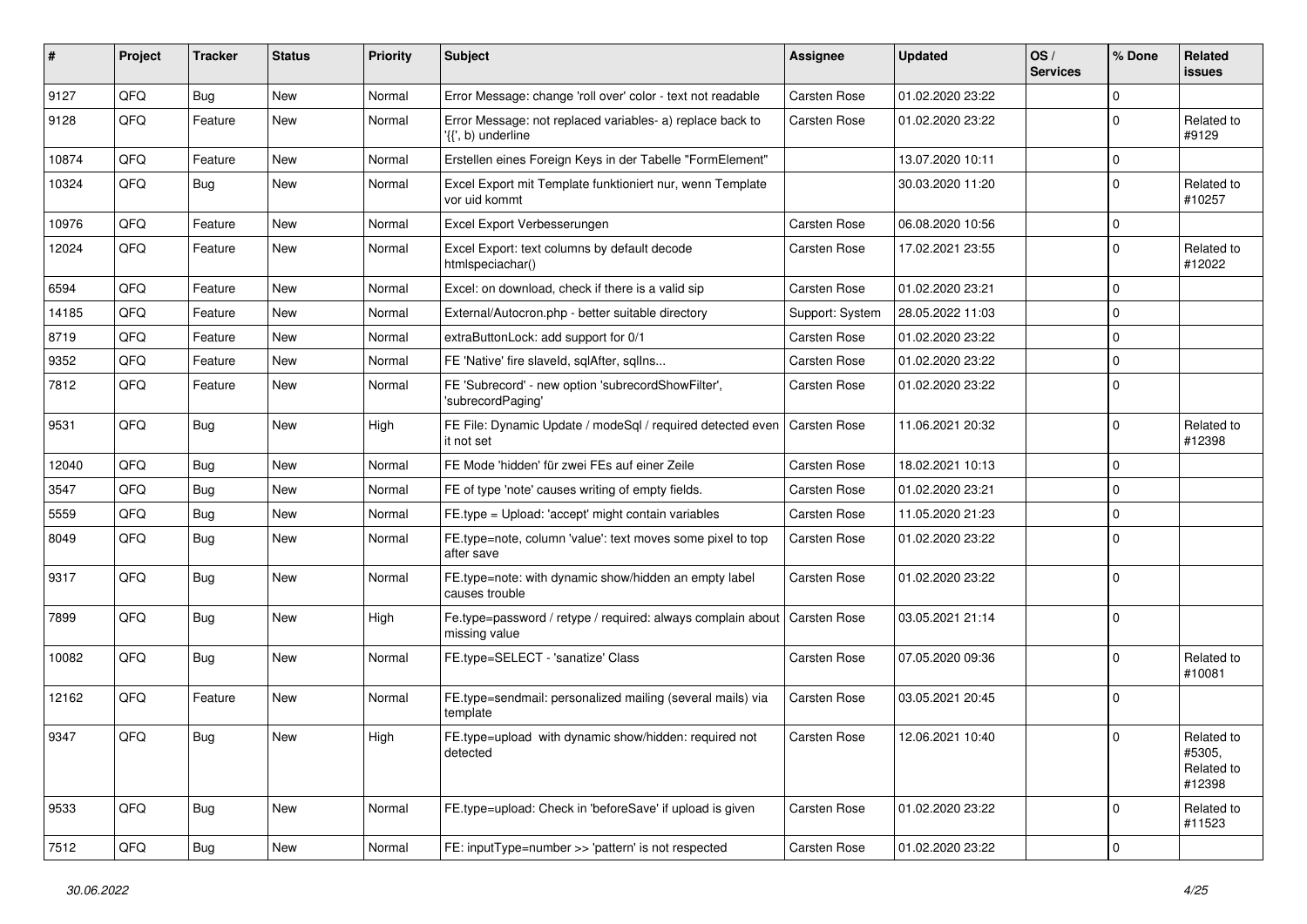| ∦     | Project        | <b>Tracker</b> | <b>Status</b> | <b>Priority</b> | <b>Subject</b>                                                                  | Assignee            | <b>Updated</b>   | OS/<br><b>Services</b> | % Done      | Related<br><b>issues</b>                     |
|-------|----------------|----------------|---------------|-----------------|---------------------------------------------------------------------------------|---------------------|------------------|------------------------|-------------|----------------------------------------------|
| 9127  | QFQ            | Bug            | New           | Normal          | Error Message: change 'roll over' color - text not readable                     | <b>Carsten Rose</b> | 01.02.2020 23:22 |                        | $\Omega$    |                                              |
| 9128  | QFQ            | Feature        | New           | Normal          | Error Message: not replaced variables- a) replace back to<br>'{{', b) underline | Carsten Rose        | 01.02.2020 23:22 |                        | $\mathbf 0$ | Related to<br>#9129                          |
| 10874 | QFQ            | Feature        | <b>New</b>    | Normal          | Erstellen eines Foreign Keys in der Tabelle "FormElement"                       |                     | 13.07.2020 10:11 |                        | $\mathbf 0$ |                                              |
| 10324 | QFQ            | Bug            | New           | Normal          | Excel Export mit Template funktioniert nur, wenn Template<br>vor uid kommt      |                     | 30.03.2020 11:20 |                        | $\mathbf 0$ | Related to<br>#10257                         |
| 10976 | QFQ            | Feature        | <b>New</b>    | Normal          | Excel Export Verbesserungen                                                     | <b>Carsten Rose</b> | 06.08.2020 10:56 |                        | $\mathbf 0$ |                                              |
| 12024 | QFQ            | Feature        | New           | Normal          | Excel Export: text columns by default decode<br>htmlspeciachar()                | <b>Carsten Rose</b> | 17.02.2021 23:55 |                        | $\mathbf 0$ | Related to<br>#12022                         |
| 6594  | QFQ            | Feature        | <b>New</b>    | Normal          | Excel: on download, check if there is a valid sip                               | Carsten Rose        | 01.02.2020 23:21 |                        | $\mathbf 0$ |                                              |
| 14185 | QFQ            | Feature        | New           | Normal          | External/Autocron.php - better suitable directory                               | Support: System     | 28.05.2022 11:03 |                        | $\Omega$    |                                              |
| 8719  | QFQ            | Feature        | <b>New</b>    | Normal          | extraButtonLock: add support for 0/1                                            | <b>Carsten Rose</b> | 01.02.2020 23:22 |                        | $\mathbf 0$ |                                              |
| 9352  | QFQ            | Feature        | New           | Normal          | FE 'Native' fire slaveld, sqlAfter, sqlIns                                      | <b>Carsten Rose</b> | 01.02.2020 23:22 |                        | $\mathbf 0$ |                                              |
| 7812  | QFQ            | Feature        | New           | Normal          | FE 'Subrecord' - new option 'subrecordShowFilter',<br>'subrecordPaging'         | <b>Carsten Rose</b> | 01.02.2020 23:22 |                        | $\mathbf 0$ |                                              |
| 9531  | QFQ            | Bug            | <b>New</b>    | High            | FE File: Dynamic Update / modeSql / required detected even<br>it not set        | Carsten Rose        | 11.06.2021 20:32 |                        | $\Omega$    | Related to<br>#12398                         |
| 12040 | QFQ            | Bug            | New           | Normal          | FE Mode 'hidden' für zwei FEs auf einer Zeile                                   | <b>Carsten Rose</b> | 18.02.2021 10:13 |                        | $\mathbf 0$ |                                              |
| 3547  | QFQ            | Bug            | <b>New</b>    | Normal          | FE of type 'note' causes writing of empty fields.                               | Carsten Rose        | 01.02.2020 23:21 |                        | $\Omega$    |                                              |
| 5559  | QFQ            | Bug            | New           | Normal          | FE.type = Upload: 'accept' might contain variables                              | Carsten Rose        | 11.05.2020 21:23 |                        | $\mathbf 0$ |                                              |
| 8049  | QFQ            | Bug            | <b>New</b>    | Normal          | FE.type=note, column 'value': text moves some pixel to top<br>after save        | <b>Carsten Rose</b> | 01.02.2020 23:22 |                        | $\mathbf 0$ |                                              |
| 9317  | QFQ            | <b>Bug</b>     | New           | Normal          | FE.type=note: with dynamic show/hidden an empty label<br>causes trouble         | Carsten Rose        | 01.02.2020 23:22 |                        | $\mathbf 0$ |                                              |
| 7899  | QFQ            | Bug            | <b>New</b>    | High            | Fe.type=password / retype / required: always complain about<br>missing value    | <b>Carsten Rose</b> | 03.05.2021 21:14 |                        | $\mathbf 0$ |                                              |
| 10082 | QFQ            | Bug            | <b>New</b>    | Normal          | FE.type=SELECT - 'sanatize' Class                                               | Carsten Rose        | 07.05.2020 09:36 |                        | $\mathbf 0$ | Related to<br>#10081                         |
| 12162 | QFQ            | Feature        | New           | Normal          | FE.type=sendmail: personalized mailing (several mails) via<br>template          | Carsten Rose        | 03.05.2021 20:45 |                        | $\Omega$    |                                              |
| 9347  | $\mathsf{QFQ}$ | <b>Bug</b>     | New           | High            | FE.type=upload with dynamic show/hidden: required not<br>detected               | Carsten Rose        | 12.06.2021 10:40 |                        | $\Omega$    | Related to<br>#5305,<br>Related to<br>#12398 |
| 9533  | QFQ            | Bug            | New           | Normal          | FE.type=upload: Check in 'beforeSave' if upload is given                        | Carsten Rose        | 01.02.2020 23:22 |                        | 0           | Related to<br>#11523                         |
| 7512  | QFO            | <b>Bug</b>     | New           | Normal          | FE: inputType=number >> 'pattern' is not respected                              | Carsten Rose        | 01.02.2020 23:22 |                        | $\mathbf 0$ |                                              |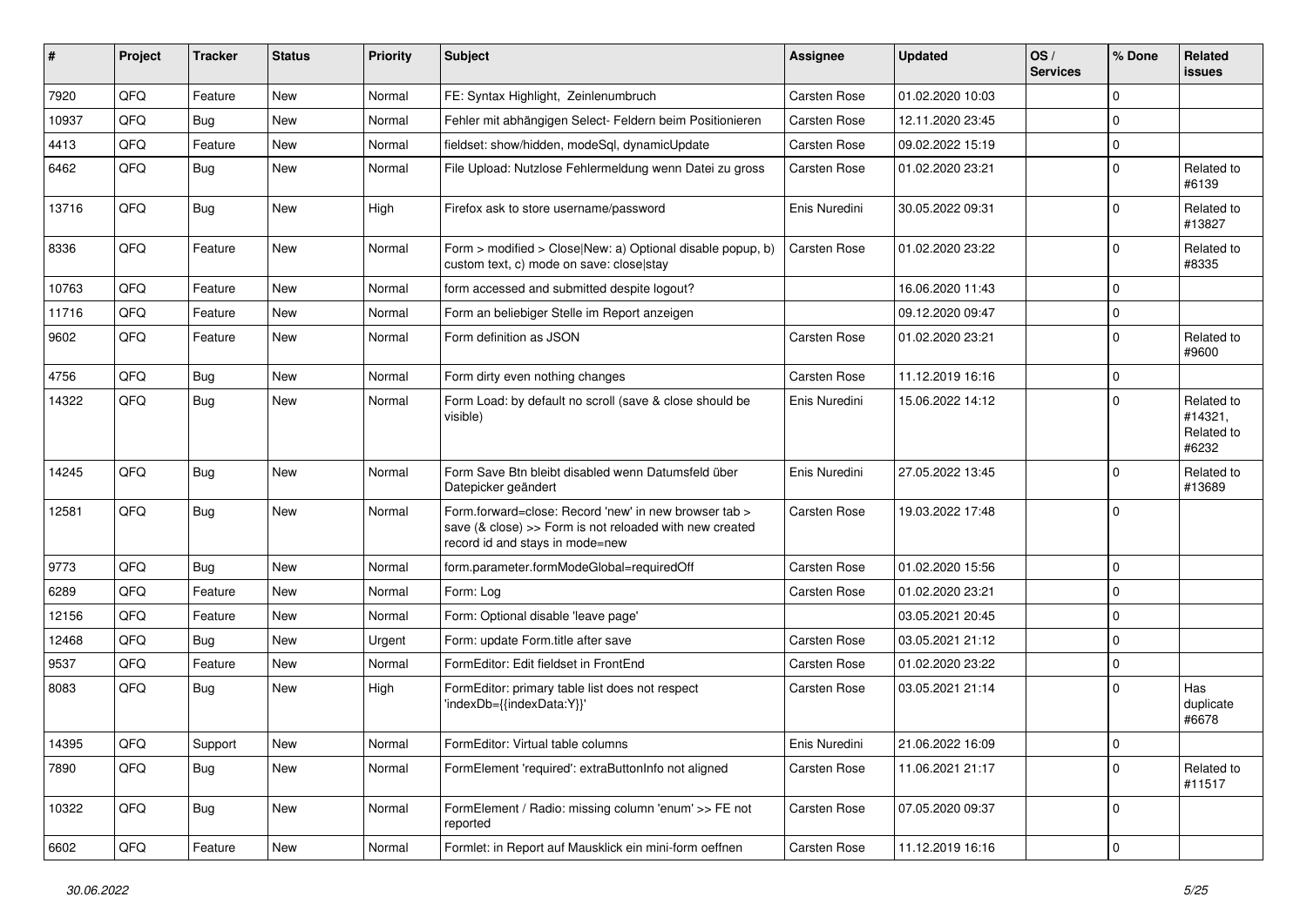| ∦     | Project | <b>Tracker</b> | <b>Status</b> | <b>Priority</b> | <b>Subject</b>                                                                                                                                      | <b>Assignee</b>     | <b>Updated</b>   | OS/<br><b>Services</b> | % Done      | Related<br><b>issues</b>                     |
|-------|---------|----------------|---------------|-----------------|-----------------------------------------------------------------------------------------------------------------------------------------------------|---------------------|------------------|------------------------|-------------|----------------------------------------------|
| 7920  | QFQ     | Feature        | <b>New</b>    | Normal          | FE: Syntax Highlight, Zeinlenumbruch                                                                                                                | Carsten Rose        | 01.02.2020 10:03 |                        | $\mathbf 0$ |                                              |
| 10937 | QFQ     | Bug            | New           | Normal          | Fehler mit abhängigen Select- Feldern beim Positionieren                                                                                            | Carsten Rose        | 12.11.2020 23:45 |                        | $\Omega$    |                                              |
| 4413  | QFQ     | Feature        | New           | Normal          | fieldset: show/hidden, modeSql, dynamicUpdate                                                                                                       | Carsten Rose        | 09.02.2022 15:19 |                        | $\mathbf 0$ |                                              |
| 6462  | QFQ     | Bug            | <b>New</b>    | Normal          | File Upload: Nutzlose Fehlermeldung wenn Datei zu gross                                                                                             | <b>Carsten Rose</b> | 01.02.2020 23:21 |                        | $\Omega$    | Related to<br>#6139                          |
| 13716 | QFQ     | Bug            | New           | High            | Firefox ask to store username/password                                                                                                              | Enis Nuredini       | 30.05.2022 09:31 |                        | $\Omega$    | Related to<br>#13827                         |
| 8336  | QFQ     | Feature        | New           | Normal          | Form > modified > Close New: a) Optional disable popup, b)<br>custom text, c) mode on save: close stay                                              | <b>Carsten Rose</b> | 01.02.2020 23:22 |                        | $\Omega$    | Related to<br>#8335                          |
| 10763 | QFQ     | Feature        | <b>New</b>    | Normal          | form accessed and submitted despite logout?                                                                                                         |                     | 16.06.2020 11:43 |                        | $\Omega$    |                                              |
| 11716 | QFQ     | Feature        | New           | Normal          | Form an beliebiger Stelle im Report anzeigen                                                                                                        |                     | 09.12.2020 09:47 |                        | $\mathbf 0$ |                                              |
| 9602  | QFQ     | Feature        | <b>New</b>    | Normal          | Form definition as JSON                                                                                                                             | <b>Carsten Rose</b> | 01.02.2020 23:21 |                        | $\Omega$    | Related to<br>#9600                          |
| 4756  | QFQ     | Bug            | <b>New</b>    | Normal          | Form dirty even nothing changes                                                                                                                     | <b>Carsten Rose</b> | 11.12.2019 16:16 |                        | $\mathbf 0$ |                                              |
| 14322 | QFQ     | <b>Bug</b>     | <b>New</b>    | Normal          | Form Load: by default no scroll (save & close should be<br>visible)                                                                                 | Enis Nuredini       | 15.06.2022 14:12 |                        | $\Omega$    | Related to<br>#14321,<br>Related to<br>#6232 |
| 14245 | QFQ     | Bug            | <b>New</b>    | Normal          | Form Save Btn bleibt disabled wenn Datumsfeld über<br>Datepicker geändert                                                                           | Enis Nuredini       | 27.05.2022 13:45 |                        | $\Omega$    | Related to<br>#13689                         |
| 12581 | QFQ     | <b>Bug</b>     | New           | Normal          | Form.forward=close: Record 'new' in new browser tab ><br>save (& close) >> Form is not reloaded with new created<br>record id and stays in mode=new | <b>Carsten Rose</b> | 19.03.2022 17:48 |                        | $\Omega$    |                                              |
| 9773  | QFQ     | <b>Bug</b>     | New           | Normal          | form.parameter.formModeGlobal=requiredOff                                                                                                           | <b>Carsten Rose</b> | 01.02.2020 15:56 |                        | 0           |                                              |
| 6289  | QFQ     | Feature        | New           | Normal          | Form: Log                                                                                                                                           | Carsten Rose        | 01.02.2020 23:21 |                        | $\Omega$    |                                              |
| 12156 | QFQ     | Feature        | New           | Normal          | Form: Optional disable 'leave page'                                                                                                                 |                     | 03.05.2021 20:45 |                        | 0           |                                              |
| 12468 | QFQ     | Bug            | New           | Urgent          | Form: update Form.title after save                                                                                                                  | <b>Carsten Rose</b> | 03.05.2021 21:12 |                        | $\Omega$    |                                              |
| 9537  | QFQ     | Feature        | <b>New</b>    | Normal          | FormEditor: Edit fieldset in FrontEnd                                                                                                               | <b>Carsten Rose</b> | 01.02.2020 23:22 |                        | $\Omega$    |                                              |
| 8083  | QFQ     | Bug            | New           | High            | FormEditor: primary table list does not respect<br>'indexDb={{indexData:Y}}'                                                                        | Carsten Rose        | 03.05.2021 21:14 |                        | $\mathbf 0$ | Has<br>duplicate<br>#6678                    |
| 14395 | QFQ     | Support        | <b>New</b>    | Normal          | FormEditor: Virtual table columns                                                                                                                   | Enis Nuredini       | 21.06.2022 16:09 |                        | 0           |                                              |
| 7890  | QFQ     | <b>Bug</b>     | New           | Normal          | FormElement 'required': extraButtonInfo not aligned                                                                                                 | Carsten Rose        | 11.06.2021 21:17 |                        | 0           | Related to<br>#11517                         |
| 10322 | QFQ     | <b>Bug</b>     | New           | Normal          | FormElement / Radio: missing column 'enum' >> FE not<br>reported                                                                                    | Carsten Rose        | 07.05.2020 09:37 |                        | 0           |                                              |
| 6602  | QFG     | Feature        | New           | Normal          | Formlet: in Report auf Mausklick ein mini-form oeffnen                                                                                              | Carsten Rose        | 11.12.2019 16:16 |                        | 0           |                                              |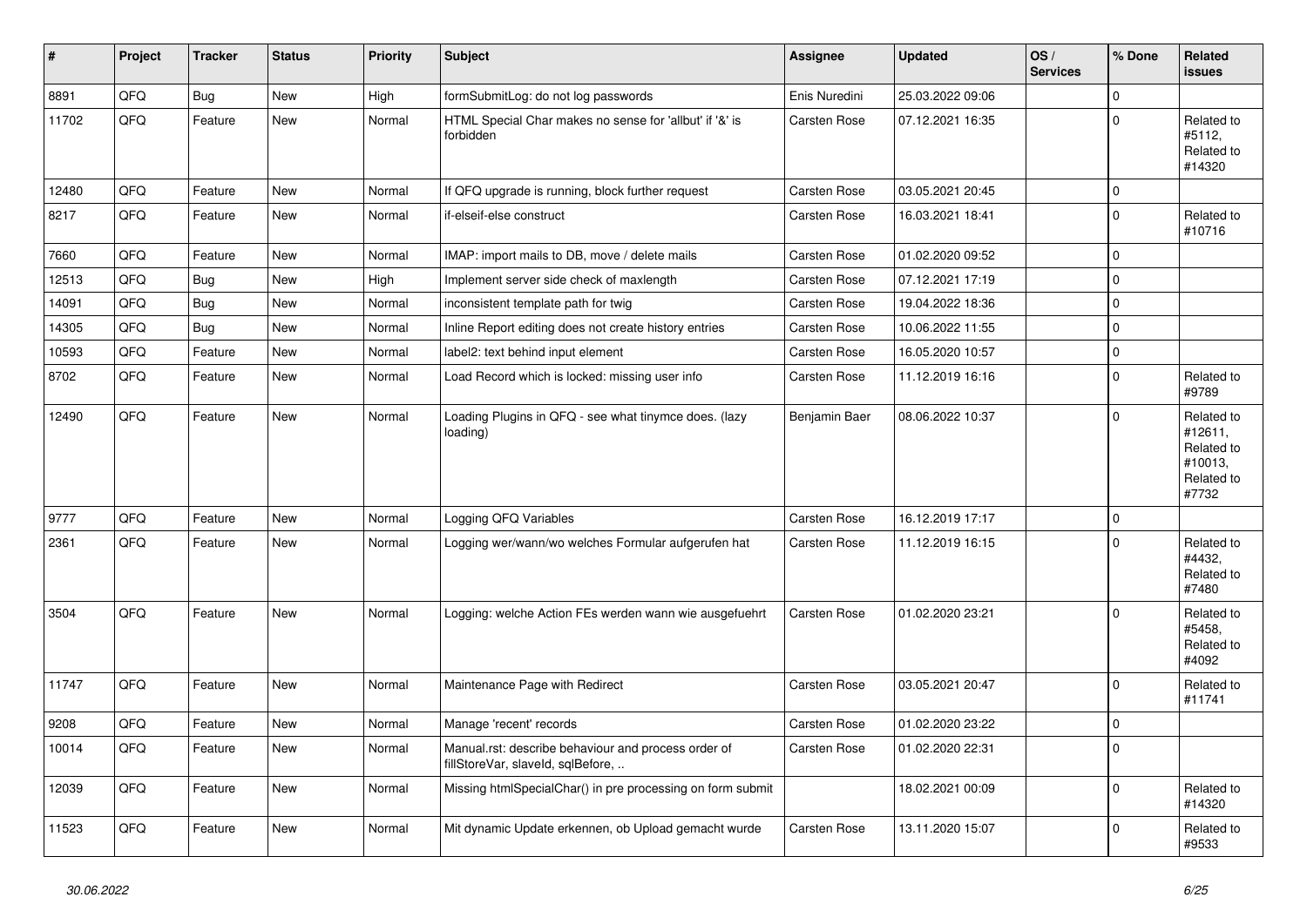| #     | Project | <b>Tracker</b> | <b>Status</b> | <b>Priority</b> | <b>Subject</b>                                                                           | Assignee            | <b>Updated</b>   | OS/<br><b>Services</b> | % Done      | Related<br><b>issues</b>                                              |
|-------|---------|----------------|---------------|-----------------|------------------------------------------------------------------------------------------|---------------------|------------------|------------------------|-------------|-----------------------------------------------------------------------|
| 8891  | QFQ     | Bug            | <b>New</b>    | High            | formSubmitLog: do not log passwords                                                      | Enis Nuredini       | 25.03.2022 09:06 |                        | $\mathbf 0$ |                                                                       |
| 11702 | QFQ     | Feature        | <b>New</b>    | Normal          | HTML Special Char makes no sense for 'allbut' if '&' is<br>forbidden                     | <b>Carsten Rose</b> | 07.12.2021 16:35 |                        | $\Omega$    | Related to<br>#5112,<br>Related to<br>#14320                          |
| 12480 | QFQ     | Feature        | <b>New</b>    | Normal          | If QFQ upgrade is running, block further request                                         | Carsten Rose        | 03.05.2021 20:45 |                        | $\mathbf 0$ |                                                                       |
| 8217  | QFQ     | Feature        | <b>New</b>    | Normal          | if-elseif-else construct                                                                 | Carsten Rose        | 16.03.2021 18:41 |                        | $\Omega$    | Related to<br>#10716                                                  |
| 7660  | QFQ     | Feature        | New           | Normal          | IMAP: import mails to DB, move / delete mails                                            | <b>Carsten Rose</b> | 01.02.2020 09:52 |                        | $\mathbf 0$ |                                                                       |
| 12513 | QFQ     | Bug            | <b>New</b>    | High            | Implement server side check of maxlength                                                 | <b>Carsten Rose</b> | 07.12.2021 17:19 |                        | $\Omega$    |                                                                       |
| 14091 | QFQ     | Bug            | New           | Normal          | inconsistent template path for twig                                                      | Carsten Rose        | 19.04.2022 18:36 |                        | $\mathbf 0$ |                                                                       |
| 14305 | QFQ     | <b>Bug</b>     | <b>New</b>    | Normal          | Inline Report editing does not create history entries                                    | Carsten Rose        | 10.06.2022 11:55 |                        | $\Omega$    |                                                                       |
| 10593 | QFQ     | Feature        | <b>New</b>    | Normal          | label2: text behind input element                                                        | <b>Carsten Rose</b> | 16.05.2020 10:57 |                        | $\mathbf 0$ |                                                                       |
| 8702  | QFQ     | Feature        | <b>New</b>    | Normal          | Load Record which is locked: missing user info                                           | <b>Carsten Rose</b> | 11.12.2019 16:16 |                        | $\Omega$    | Related to<br>#9789                                                   |
| 12490 | QFQ     | Feature        | New           | Normal          | Loading Plugins in QFQ - see what tinymce does. (lazy<br>loading)                        | Benjamin Baer       | 08.06.2022 10:37 |                        | $\Omega$    | Related to<br>#12611,<br>Related to<br>#10013,<br>Related to<br>#7732 |
| 9777  | QFQ     | Feature        | <b>New</b>    | Normal          | Logging QFQ Variables                                                                    | Carsten Rose        | 16.12.2019 17:17 |                        | $\Omega$    |                                                                       |
| 2361  | QFQ     | Feature        | <b>New</b>    | Normal          | Logging wer/wann/wo welches Formular aufgerufen hat                                      | <b>Carsten Rose</b> | 11.12.2019 16:15 |                        | $\Omega$    | Related to<br>#4432,<br>Related to<br>#7480                           |
| 3504  | QFQ     | Feature        | <b>New</b>    | Normal          | Logging: welche Action FEs werden wann wie ausgefuehrt                                   | Carsten Rose        | 01.02.2020 23:21 |                        | $\Omega$    | Related to<br>#5458,<br>Related to<br>#4092                           |
| 11747 | QFQ     | Feature        | New           | Normal          | Maintenance Page with Redirect                                                           | Carsten Rose        | 03.05.2021 20:47 |                        | $\Omega$    | Related to<br>#11741                                                  |
| 9208  | QFQ     | Feature        | <b>New</b>    | Normal          | Manage 'recent' records                                                                  | Carsten Rose        | 01.02.2020 23:22 |                        | $\pmb{0}$   |                                                                       |
| 10014 | QFQ     | Feature        | <b>New</b>    | Normal          | Manual.rst: describe behaviour and process order of<br>fillStoreVar, slaveId, sqlBefore, | Carsten Rose        | 01.02.2020 22:31 |                        | $\Omega$    |                                                                       |
| 12039 | QFQ     | Feature        | <b>New</b>    | Normal          | Missing htmlSpecialChar() in pre processing on form submit                               |                     | 18.02.2021 00:09 |                        | $\Omega$    | Related to<br>#14320                                                  |
| 11523 | QFQ     | Feature        | New           | Normal          | Mit dynamic Update erkennen, ob Upload gemacht wurde                                     | Carsten Rose        | 13.11.2020 15:07 |                        | $\Omega$    | Related to<br>#9533                                                   |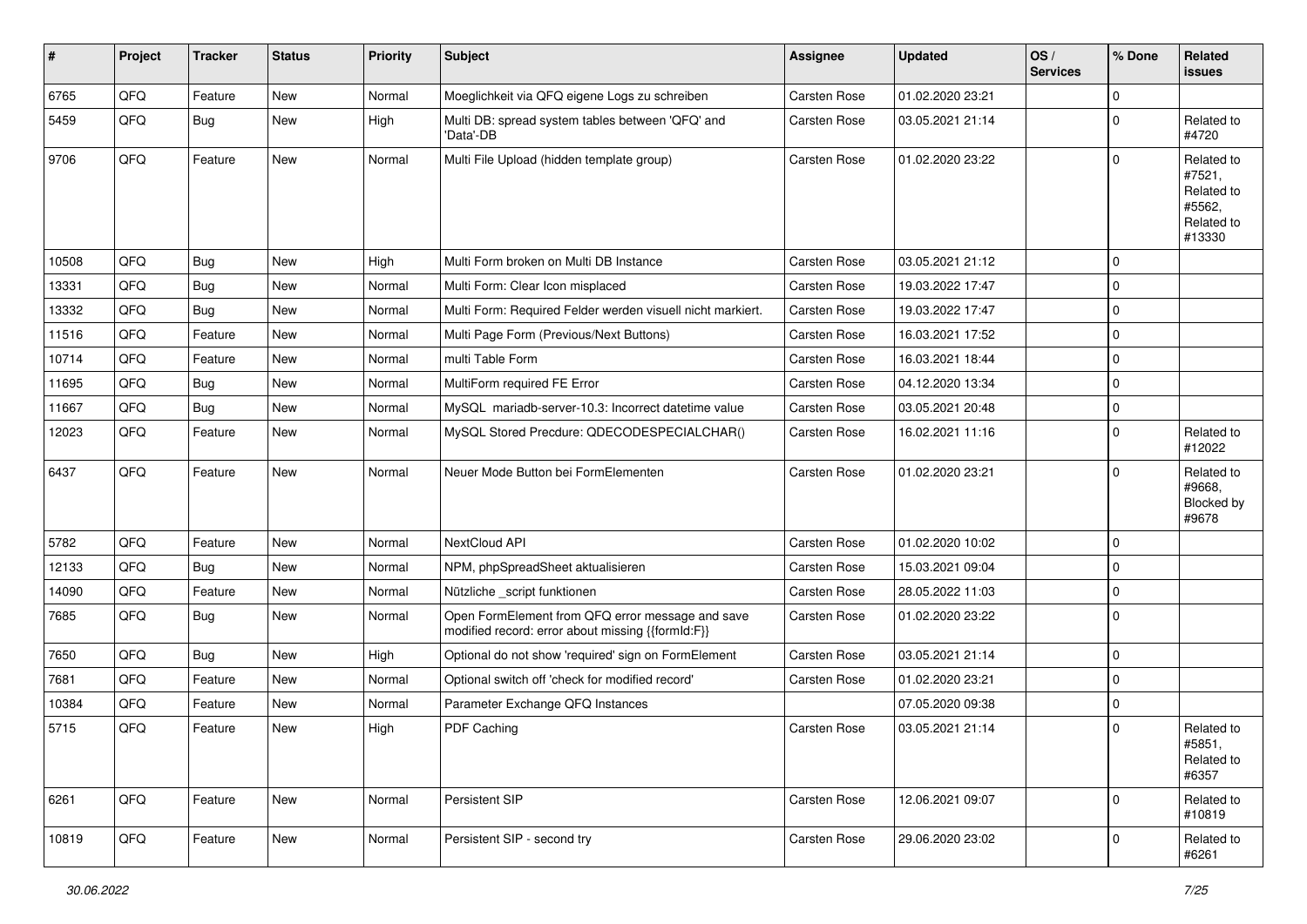| #     | Project | <b>Tracker</b> | <b>Status</b> | <b>Priority</b> | <b>Subject</b>                                                                                        | <b>Assignee</b>     | <b>Updated</b>   | OS/<br><b>Services</b> | % Done      | Related<br>issues                                                    |
|-------|---------|----------------|---------------|-----------------|-------------------------------------------------------------------------------------------------------|---------------------|------------------|------------------------|-------------|----------------------------------------------------------------------|
| 6765  | QFQ     | Feature        | <b>New</b>    | Normal          | Moeglichkeit via QFQ eigene Logs zu schreiben                                                         | Carsten Rose        | 01.02.2020 23:21 |                        | $\mathbf 0$ |                                                                      |
| 5459  | QFQ     | Bug            | New           | High            | Multi DB: spread system tables between 'QFQ' and<br>'Data'-DB                                         | Carsten Rose        | 03.05.2021 21:14 |                        | $\mathbf 0$ | Related to<br>#4720                                                  |
| 9706  | QFQ     | Feature        | New           | Normal          | Multi File Upload (hidden template group)                                                             | <b>Carsten Rose</b> | 01.02.2020 23:22 |                        | $\mathbf 0$ | Related to<br>#7521,<br>Related to<br>#5562,<br>Related to<br>#13330 |
| 10508 | QFQ     | Bug            | New           | High            | Multi Form broken on Multi DB Instance                                                                | Carsten Rose        | 03.05.2021 21:12 |                        | $\mathbf 0$ |                                                                      |
| 13331 | QFQ     | <b>Bug</b>     | <b>New</b>    | Normal          | Multi Form: Clear Icon misplaced                                                                      | <b>Carsten Rose</b> | 19.03.2022 17:47 |                        | $\mathbf 0$ |                                                                      |
| 13332 | QFQ     | Bug            | <b>New</b>    | Normal          | Multi Form: Required Felder werden visuell nicht markiert.                                            | <b>Carsten Rose</b> | 19.03.2022 17:47 |                        | $\mathbf 0$ |                                                                      |
| 11516 | QFQ     | Feature        | New           | Normal          | Multi Page Form (Previous/Next Buttons)                                                               | Carsten Rose        | 16.03.2021 17:52 |                        | $\mathbf 0$ |                                                                      |
| 10714 | QFQ     | Feature        | New           | Normal          | multi Table Form                                                                                      | Carsten Rose        | 16.03.2021 18:44 |                        | $\mathbf 0$ |                                                                      |
| 11695 | QFQ     | <b>Bug</b>     | New           | Normal          | MultiForm required FE Error                                                                           | <b>Carsten Rose</b> | 04.12.2020 13:34 |                        | 0           |                                                                      |
| 11667 | QFQ     | <b>Bug</b>     | New           | Normal          | MySQL mariadb-server-10.3: Incorrect datetime value                                                   | Carsten Rose        | 03.05.2021 20:48 |                        | $\mathbf 0$ |                                                                      |
| 12023 | QFQ     | Feature        | New           | Normal          | MySQL Stored Precdure: QDECODESPECIALCHAR()                                                           | <b>Carsten Rose</b> | 16.02.2021 11:16 |                        | 0           | Related to<br>#12022                                                 |
| 6437  | QFQ     | Feature        | New           | Normal          | Neuer Mode Button bei FormElementen                                                                   | <b>Carsten Rose</b> | 01.02.2020 23:21 |                        | $\mathbf 0$ | Related to<br>#9668,<br>Blocked by<br>#9678                          |
| 5782  | QFQ     | Feature        | <b>New</b>    | Normal          | NextCloud API                                                                                         | <b>Carsten Rose</b> | 01.02.2020 10:02 |                        | $\mathbf 0$ |                                                                      |
| 12133 | QFQ     | <b>Bug</b>     | New           | Normal          | NPM, phpSpreadSheet aktualisieren                                                                     | Carsten Rose        | 15.03.2021 09:04 |                        | $\mathbf 0$ |                                                                      |
| 14090 | QFQ     | Feature        | <b>New</b>    | Normal          | Nützliche _script funktionen                                                                          | <b>Carsten Rose</b> | 28.05.2022 11:03 |                        | $\mathbf 0$ |                                                                      |
| 7685  | QFQ     | <b>Bug</b>     | New           | Normal          | Open FormElement from QFQ error message and save<br>modified record: error about missing {{formId:F}} | Carsten Rose        | 01.02.2020 23:22 |                        | 0           |                                                                      |
| 7650  | QFQ     | Bug            | <b>New</b>    | High            | Optional do not show 'required' sign on FormElement                                                   | <b>Carsten Rose</b> | 03.05.2021 21:14 |                        | $\mathbf 0$ |                                                                      |
| 7681  | QFQ     | Feature        | New           | Normal          | Optional switch off 'check for modified record'                                                       | Carsten Rose        | 01.02.2020 23:21 |                        | $\mathbf 0$ |                                                                      |
| 10384 | QFQ     | Feature        | New           | Normal          | Parameter Exchange QFQ Instances                                                                      |                     | 07.05.2020 09:38 |                        | $\mathbf 0$ |                                                                      |
| 5715  | QFQ     | Feature        | New           | High            | PDF Caching                                                                                           | Carsten Rose        | 03.05.2021 21:14 |                        | $\mathbf 0$ | Related to<br>#5851,<br>Related to<br>#6357                          |
| 6261  | QFQ     | Feature        | New           | Normal          | Persistent SIP                                                                                        | Carsten Rose        | 12.06.2021 09:07 |                        | $\mathbf 0$ | Related to<br>#10819                                                 |
| 10819 | QFQ     | Feature        | New           | Normal          | Persistent SIP - second try                                                                           | Carsten Rose        | 29.06.2020 23:02 |                        | 0           | Related to<br>#6261                                                  |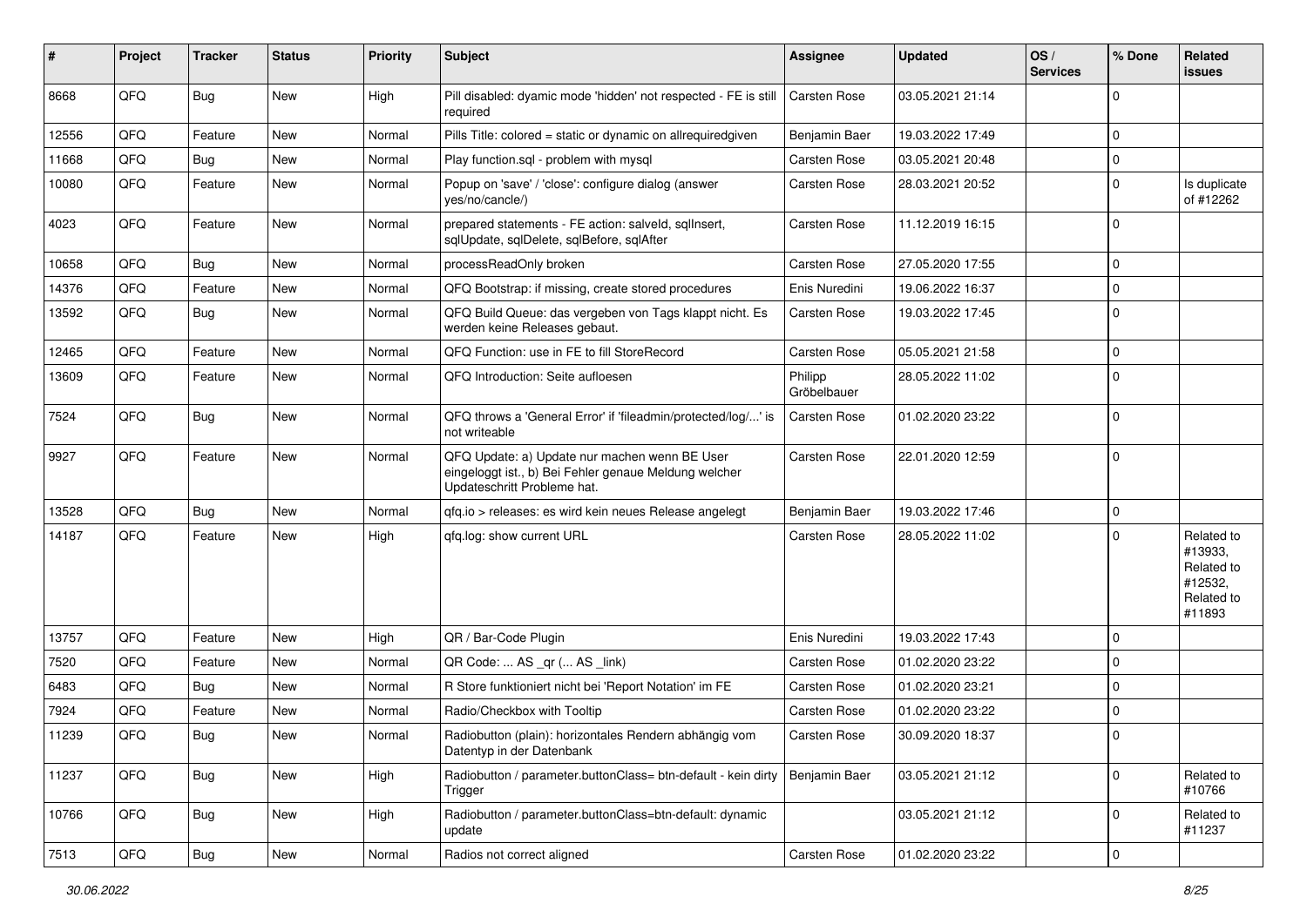| #     | Project | <b>Tracker</b> | <b>Status</b> | <b>Priority</b> | Subject                                                                                                                               | <b>Assignee</b>        | <b>Updated</b>   | OS/<br><b>Services</b> | % Done      | Related<br>issues                                                      |
|-------|---------|----------------|---------------|-----------------|---------------------------------------------------------------------------------------------------------------------------------------|------------------------|------------------|------------------------|-------------|------------------------------------------------------------------------|
| 8668  | QFQ     | <b>Bug</b>     | <b>New</b>    | High            | Pill disabled: dyamic mode 'hidden' not respected - FE is still<br>required                                                           | Carsten Rose           | 03.05.2021 21:14 |                        | $\mathbf 0$ |                                                                        |
| 12556 | QFQ     | Feature        | New           | Normal          | Pills Title: colored = static or dynamic on allrequiredgiven                                                                          | Benjamin Baer          | 19.03.2022 17:49 |                        | $\mathbf 0$ |                                                                        |
| 11668 | QFQ     | Bug            | <b>New</b>    | Normal          | Play function.sql - problem with mysql                                                                                                | Carsten Rose           | 03.05.2021 20:48 |                        | $\mathbf 0$ |                                                                        |
| 10080 | QFQ     | Feature        | New           | Normal          | Popup on 'save' / 'close': configure dialog (answer<br>yes/no/cancle/)                                                                | Carsten Rose           | 28.03.2021 20:52 |                        | 0           | Is duplicate<br>of #12262                                              |
| 4023  | QFQ     | Feature        | New           | Normal          | prepared statements - FE action: salveld, sqllnsert,<br>sqlUpdate, sqlDelete, sqlBefore, sqlAfter                                     | Carsten Rose           | 11.12.2019 16:15 |                        | $\mathbf 0$ |                                                                        |
| 10658 | QFQ     | Bug            | <b>New</b>    | Normal          | processReadOnly broken                                                                                                                | Carsten Rose           | 27.05.2020 17:55 |                        | $\mathbf 0$ |                                                                        |
| 14376 | QFQ     | Feature        | New           | Normal          | QFQ Bootstrap: if missing, create stored procedures                                                                                   | Enis Nuredini          | 19.06.2022 16:37 |                        | $\mathbf 0$ |                                                                        |
| 13592 | QFQ     | <b>Bug</b>     | New           | Normal          | QFQ Build Queue: das vergeben von Tags klappt nicht. Es<br>werden keine Releases gebaut.                                              | Carsten Rose           | 19.03.2022 17:45 |                        | $\mathbf 0$ |                                                                        |
| 12465 | QFQ     | Feature        | New           | Normal          | QFQ Function: use in FE to fill StoreRecord                                                                                           | <b>Carsten Rose</b>    | 05.05.2021 21:58 |                        | $\mathbf 0$ |                                                                        |
| 13609 | QFQ     | Feature        | New           | Normal          | QFQ Introduction: Seite aufloesen                                                                                                     | Philipp<br>Gröbelbauer | 28.05.2022 11:02 |                        | $\mathbf 0$ |                                                                        |
| 7524  | QFQ     | <b>Bug</b>     | New           | Normal          | QFQ throws a 'General Error' if 'fileadmin/protected/log/' is<br>not writeable                                                        | Carsten Rose           | 01.02.2020 23:22 |                        | $\mathbf 0$ |                                                                        |
| 9927  | QFQ     | Feature        | New           | Normal          | QFQ Update: a) Update nur machen wenn BE User<br>eingeloggt ist., b) Bei Fehler genaue Meldung welcher<br>Updateschritt Probleme hat. | <b>Carsten Rose</b>    | 22.01.2020 12:59 |                        | $\mathbf 0$ |                                                                        |
| 13528 | QFQ     | Bug            | <b>New</b>    | Normal          | gfg.io > releases: es wird kein neues Release angelegt                                                                                | Benjamin Baer          | 19.03.2022 17:46 |                        | $\mathbf 0$ |                                                                        |
| 14187 | QFQ     | Feature        | New           | High            | gfg.log: show current URL                                                                                                             | Carsten Rose           | 28.05.2022 11:02 |                        | $\mathbf 0$ | Related to<br>#13933,<br>Related to<br>#12532,<br>Related to<br>#11893 |
| 13757 | QFQ     | Feature        | <b>New</b>    | High            | QR / Bar-Code Plugin                                                                                                                  | Enis Nuredini          | 19.03.2022 17:43 |                        | $\mathbf 0$ |                                                                        |
| 7520  | QFQ     | Feature        | New           | Normal          | QR Code:  AS _qr ( AS _link)                                                                                                          | Carsten Rose           | 01.02.2020 23:22 |                        | $\mathbf 0$ |                                                                        |
| 6483  | QFQ     | <b>Bug</b>     | New           | Normal          | R Store funktioniert nicht bei 'Report Notation' im FE                                                                                | <b>Carsten Rose</b>    | 01.02.2020 23:21 |                        | $\mathbf 0$ |                                                                        |
| 7924  | QFQ     | Feature        | New           | Normal          | Radio/Checkbox with Tooltip                                                                                                           | Carsten Rose           | 01.02.2020 23:22 |                        | $\mathbf 0$ |                                                                        |
| 11239 | QFQ     | <b>Bug</b>     | New           | Normal          | Radiobutton (plain): horizontales Rendern abhängig vom<br>Datentyp in der Datenbank                                                   | Carsten Rose           | 30.09.2020 18:37 |                        | $\Omega$    |                                                                        |
| 11237 | QFQ     | <b>Bug</b>     | New           | High            | Radiobutton / parameter.buttonClass= btn-default - kein dirty<br>Trigger                                                              | Benjamin Baer          | 03.05.2021 21:12 |                        | $\mathbf 0$ | Related to<br>#10766                                                   |
| 10766 | QFQ     | Bug            | New           | High            | Radiobutton / parameter.buttonClass=btn-default: dynamic<br>update                                                                    |                        | 03.05.2021 21:12 |                        | $\mathbf 0$ | Related to<br>#11237                                                   |
| 7513  | QFQ     | Bug            | New           | Normal          | Radios not correct aligned                                                                                                            | Carsten Rose           | 01.02.2020 23:22 |                        | $\mathbf 0$ |                                                                        |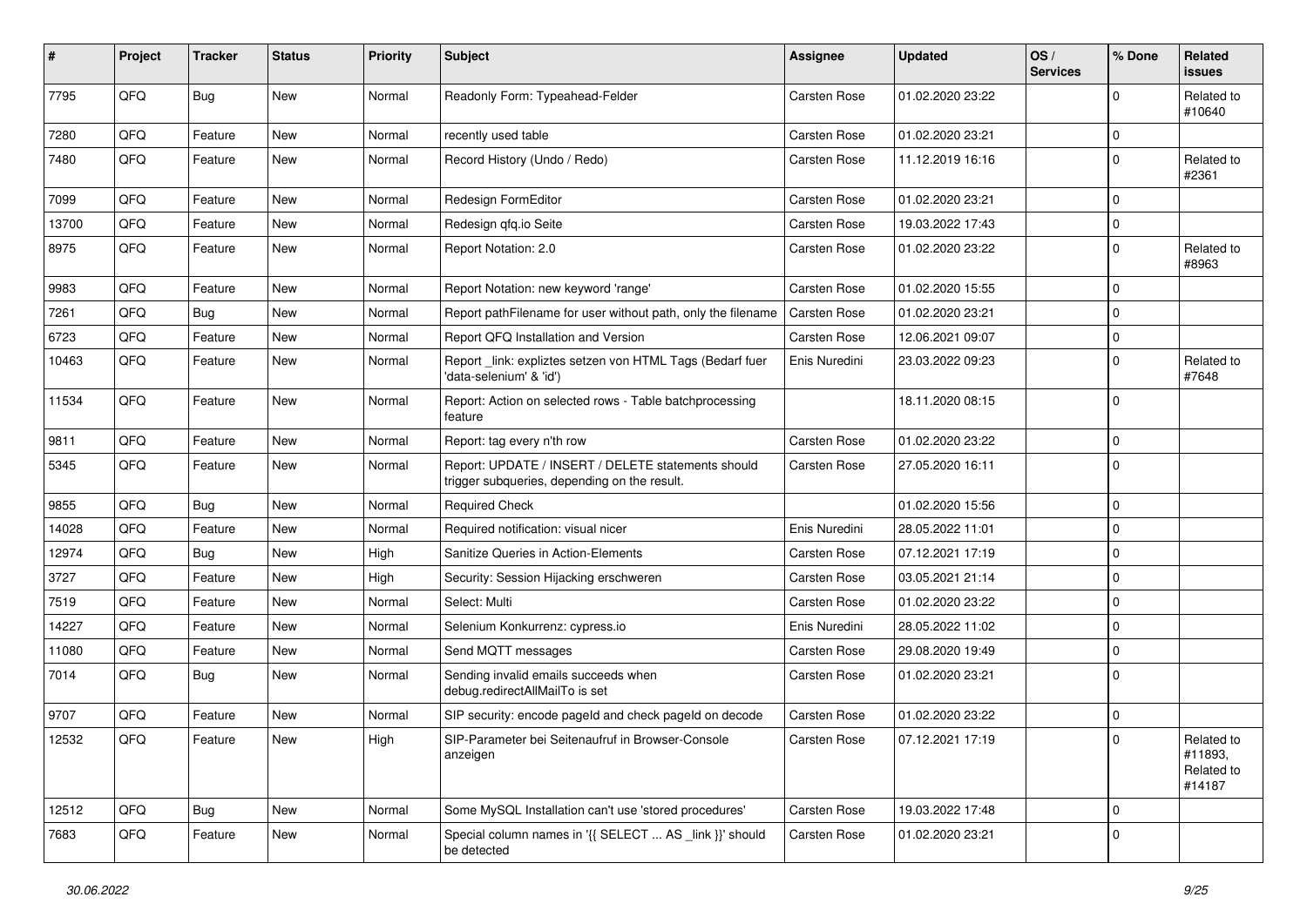| #     | Project | <b>Tracker</b> | <b>Status</b> | <b>Priority</b> | Subject                                                                                            | <b>Assignee</b>     | <b>Updated</b>   | OS/<br><b>Services</b> | % Done       | <b>Related</b><br>issues                      |
|-------|---------|----------------|---------------|-----------------|----------------------------------------------------------------------------------------------------|---------------------|------------------|------------------------|--------------|-----------------------------------------------|
| 7795  | QFQ     | Bug            | <b>New</b>    | Normal          | Readonly Form: Typeahead-Felder                                                                    | Carsten Rose        | 01.02.2020 23:22 |                        | $\mathbf{0}$ | Related to<br>#10640                          |
| 7280  | QFQ     | Feature        | New           | Normal          | recently used table                                                                                | <b>Carsten Rose</b> | 01.02.2020 23:21 |                        | $\mathbf 0$  |                                               |
| 7480  | QFQ     | Feature        | <b>New</b>    | Normal          | Record History (Undo / Redo)                                                                       | Carsten Rose        | 11.12.2019 16:16 |                        | $\mathbf 0$  | Related to<br>#2361                           |
| 7099  | QFQ     | Feature        | New           | Normal          | Redesign FormEditor                                                                                | Carsten Rose        | 01.02.2020 23:21 |                        | $\mathbf 0$  |                                               |
| 13700 | QFQ     | Feature        | New           | Normal          | Redesign qfq.io Seite                                                                              | Carsten Rose        | 19.03.2022 17:43 |                        | $\mathbf 0$  |                                               |
| 8975  | QFQ     | Feature        | <b>New</b>    | Normal          | Report Notation: 2.0                                                                               | Carsten Rose        | 01.02.2020 23:22 |                        | $\mathbf 0$  | Related to<br>#8963                           |
| 9983  | QFQ     | Feature        | <b>New</b>    | Normal          | Report Notation: new keyword 'range'                                                               | Carsten Rose        | 01.02.2020 15:55 |                        | $\mathbf 0$  |                                               |
| 7261  | QFQ     | <b>Bug</b>     | New           | Normal          | Report pathFilename for user without path, only the filename                                       | Carsten Rose        | 01.02.2020 23:21 |                        | $\mathbf 0$  |                                               |
| 6723  | QFQ     | Feature        | <b>New</b>    | Normal          | Report QFQ Installation and Version                                                                | Carsten Rose        | 12.06.2021 09:07 |                        | $\mathbf 0$  |                                               |
| 10463 | QFQ     | Feature        | New           | Normal          | Report _link: expliztes setzen von HTML Tags (Bedarf fuer<br>'data-selenium' & 'id')               | Enis Nuredini       | 23.03.2022 09:23 |                        | $\mathbf 0$  | Related to<br>#7648                           |
| 11534 | QFQ     | Feature        | <b>New</b>    | Normal          | Report: Action on selected rows - Table batchprocessing<br>feature                                 |                     | 18.11.2020 08:15 |                        | $\mathbf 0$  |                                               |
| 9811  | QFQ     | Feature        | <b>New</b>    | Normal          | Report: tag every n'th row                                                                         | Carsten Rose        | 01.02.2020 23:22 |                        | $\mathbf 0$  |                                               |
| 5345  | QFQ     | Feature        | New           | Normal          | Report: UPDATE / INSERT / DELETE statements should<br>trigger subqueries, depending on the result. | Carsten Rose        | 27.05.2020 16:11 |                        | $\mathbf 0$  |                                               |
| 9855  | QFQ     | Bug            | <b>New</b>    | Normal          | <b>Required Check</b>                                                                              |                     | 01.02.2020 15:56 |                        | $\mathbf 0$  |                                               |
| 14028 | QFQ     | Feature        | <b>New</b>    | Normal          | Required notification: visual nicer                                                                | Enis Nuredini       | 28.05.2022 11:01 |                        | $\mathbf 0$  |                                               |
| 12974 | QFQ     | <b>Bug</b>     | New           | High            | <b>Sanitize Queries in Action-Elements</b>                                                         | Carsten Rose        | 07.12.2021 17:19 |                        | $\mathbf 0$  |                                               |
| 3727  | QFQ     | Feature        | New           | High            | Security: Session Hijacking erschweren                                                             | Carsten Rose        | 03.05.2021 21:14 |                        | $\mathbf 0$  |                                               |
| 7519  | QFQ     | Feature        | <b>New</b>    | Normal          | Select: Multi                                                                                      | Carsten Rose        | 01.02.2020 23:22 |                        | $\mathbf 0$  |                                               |
| 14227 | QFQ     | Feature        | New           | Normal          | Selenium Konkurrenz: cypress.io                                                                    | Enis Nuredini       | 28.05.2022 11:02 |                        | $\mathbf 0$  |                                               |
| 11080 | QFQ     | Feature        | New           | Normal          | Send MQTT messages                                                                                 | Carsten Rose        | 29.08.2020 19:49 |                        | $\mathbf 0$  |                                               |
| 7014  | QFQ     | Bug            | New           | Normal          | Sending invalid emails succeeds when<br>debug.redirectAllMailTo is set                             | Carsten Rose        | 01.02.2020 23:21 |                        | $\mathbf 0$  |                                               |
| 9707  | QFQ     | Feature        | New           | Normal          | SIP security: encode pageld and check pageld on decode                                             | Carsten Rose        | 01.02.2020 23:22 |                        | $\mathbf 0$  |                                               |
| 12532 | QFQ     | Feature        | New           | High            | SIP-Parameter bei Seitenaufruf in Browser-Console<br>anzeigen                                      | Carsten Rose        | 07.12.2021 17:19 |                        | $\pmb{0}$    | Related to<br>#11893.<br>Related to<br>#14187 |
| 12512 | QFQ     | Bug            | New           | Normal          | Some MySQL Installation can't use 'stored procedures'                                              | Carsten Rose        | 19.03.2022 17:48 |                        | $\mathbf 0$  |                                               |
| 7683  | QFQ     | Feature        | New           | Normal          | Special column names in '{{ SELECT  AS _link }}' should<br>be detected                             | Carsten Rose        | 01.02.2020 23:21 |                        | $\mathbf 0$  |                                               |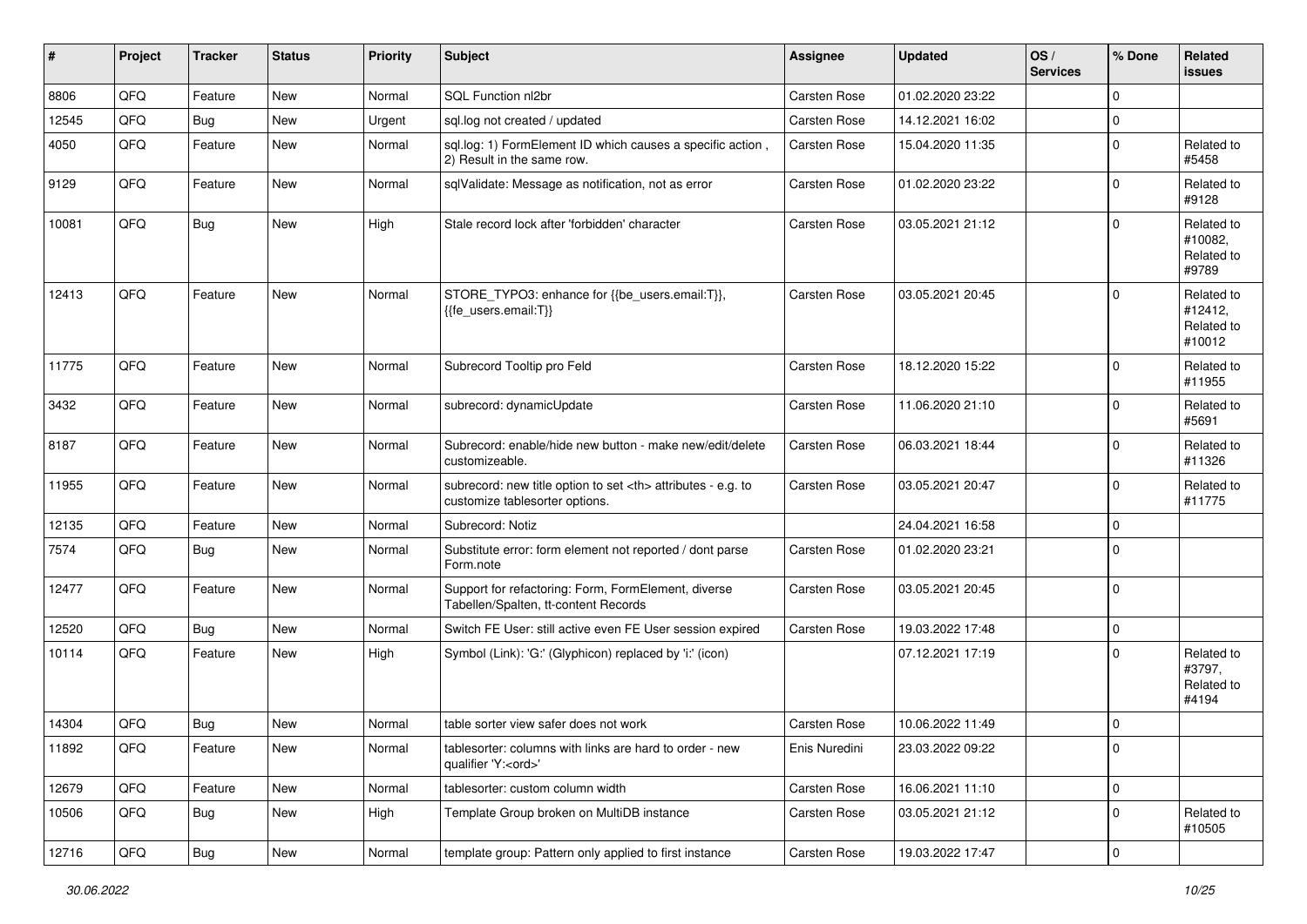| #     | Project | <b>Tracker</b> | <b>Status</b> | <b>Priority</b> | <b>Subject</b>                                                                                       | Assignee                                               | <b>Updated</b>   | OS/<br><b>Services</b> | % Done      | Related<br><b>issues</b>                      |                      |
|-------|---------|----------------|---------------|-----------------|------------------------------------------------------------------------------------------------------|--------------------------------------------------------|------------------|------------------------|-------------|-----------------------------------------------|----------------------|
| 8806  | QFQ     | Feature        | <b>New</b>    | Normal          | SQL Function nl2br                                                                                   | Carsten Rose                                           | 01.02.2020 23:22 |                        | $\mathbf 0$ |                                               |                      |
| 12545 | QFQ     | Bug            | New           | Urgent          | sql.log not created / updated                                                                        | Carsten Rose                                           | 14.12.2021 16:02 |                        | $\mathbf 0$ |                                               |                      |
| 4050  | QFQ     | Feature        | New           | Normal          | sql.log: 1) FormElement ID which causes a specific action,<br>2) Result in the same row.             | Carsten Rose                                           | 15.04.2020 11:35 |                        | $\mathbf 0$ | Related to<br>#5458                           |                      |
| 9129  | QFQ     | Feature        | New           | Normal          | sqlValidate: Message as notification, not as error                                                   | Carsten Rose                                           | 01.02.2020 23:22 |                        | $\mathbf 0$ | Related to<br>#9128                           |                      |
| 10081 | QFQ     | Bug            | New           | High            | Stale record lock after 'forbidden' character                                                        | Carsten Rose                                           | 03.05.2021 21:12 |                        | $\mathbf 0$ | Related to<br>#10082,<br>Related to<br>#9789  |                      |
| 12413 | QFQ     | Feature        | <b>New</b>    | Normal          | STORE_TYPO3: enhance for {{be_users.email:T}},<br>{{fe_users.email:T}}                               | Carsten Rose                                           | 03.05.2021 20:45 |                        | $\Omega$    | Related to<br>#12412,<br>Related to<br>#10012 |                      |
| 11775 | QFQ     | Feature        | New           | Normal          | Subrecord Tooltip pro Feld                                                                           | Carsten Rose                                           | 18.12.2020 15:22 |                        | $\mathbf 0$ | Related to<br>#11955                          |                      |
| 3432  | QFQ     | Feature        | New           | Normal          | subrecord: dynamicUpdate                                                                             | Carsten Rose                                           | 11.06.2020 21:10 |                        | $\Omega$    | Related to<br>#5691                           |                      |
| 8187  | QFQ     | Feature        | New           | Normal          | Subrecord: enable/hide new button - make new/edit/delete<br>customizeable.                           | Carsten Rose                                           | 06.03.2021 18:44 |                        | $\mathbf 0$ | Related to<br>#11326                          |                      |
| 11955 | QFQ     | Feature        | <b>New</b>    | Normal          | subrecord: new title option to set <th> attributes - e.g. to<br/>customize tablesorter options.</th> | attributes - e.g. to<br>customize tablesorter options. | Carsten Rose     | 03.05.2021 20:47       |             | $\mathbf 0$                                   | Related to<br>#11775 |
| 12135 | QFQ     | Feature        | <b>New</b>    | Normal          | Subrecord: Notiz                                                                                     |                                                        | 24.04.2021 16:58 |                        | $\Omega$    |                                               |                      |
| 7574  | QFQ     | Bug            | New           | Normal          | Substitute error: form element not reported / dont parse<br>Form.note                                | Carsten Rose                                           | 01.02.2020 23:21 |                        | $\mathbf 0$ |                                               |                      |
| 12477 | QFQ     | Feature        | New           | Normal          | Support for refactoring: Form, FormElement, diverse<br>Tabellen/Spalten, tt-content Records          | Carsten Rose                                           | 03.05.2021 20:45 |                        | $\mathbf 0$ |                                               |                      |
| 12520 | QFQ     | Bug            | <b>New</b>    | Normal          | Switch FE User: still active even FE User session expired                                            | Carsten Rose                                           | 19.03.2022 17:48 |                        | $\mathbf 0$ |                                               |                      |
| 10114 | QFQ     | Feature        | New           | High            | Symbol (Link): 'G:' (Glyphicon) replaced by 'i:' (icon)                                              |                                                        | 07.12.2021 17:19 |                        | $\Omega$    | Related to<br>#3797.<br>Related to<br>#4194   |                      |
| 14304 | QFQ     | Bug            | <b>New</b>    | Normal          | table sorter view safer does not work                                                                | Carsten Rose                                           | 10.06.2022 11:49 |                        | $\mathbf 0$ |                                               |                      |
| 11892 | QFQ     | Feature        | New           | Normal          | tablesorter: columns with links are hard to order - new<br>qualifier 'Y: <ord>'</ord>                | Enis Nuredini                                          | 23.03.2022 09:22 |                        | 0           |                                               |                      |
| 12679 | QFQ     | Feature        | New           | Normal          | tablesorter: custom column width                                                                     | Carsten Rose                                           | 16.06.2021 11:10 |                        | $\mathbf 0$ |                                               |                      |
| 10506 | QFQ     | <b>Bug</b>     | New           | High            | Template Group broken on MultiDB instance                                                            | Carsten Rose                                           | 03.05.2021 21:12 |                        | $\mathbf 0$ | Related to<br>#10505                          |                      |
| 12716 | QFQ     | Bug            | New           | Normal          | template group: Pattern only applied to first instance                                               | Carsten Rose                                           | 19.03.2022 17:47 |                        | $\pmb{0}$   |                                               |                      |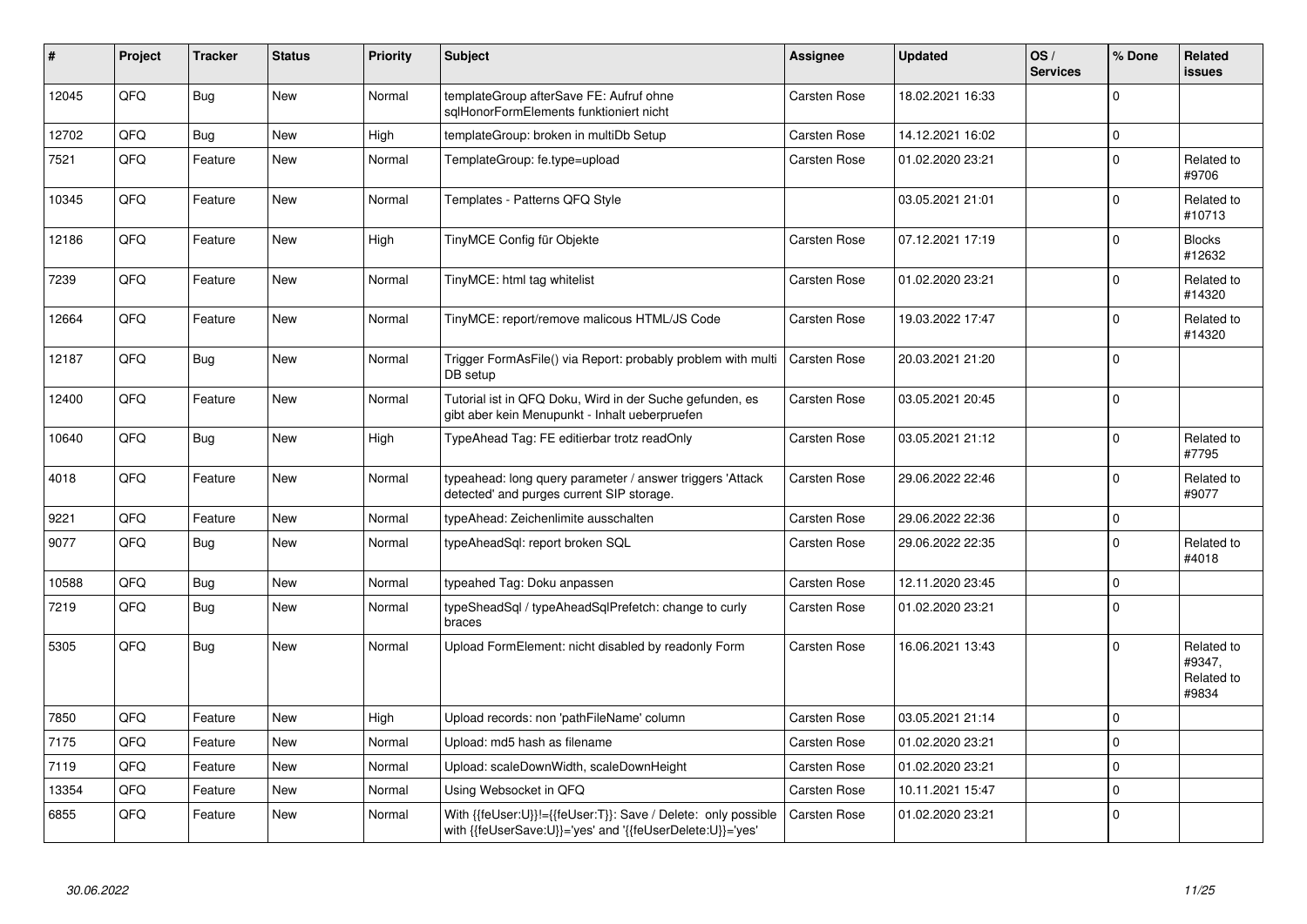| #     | Project | <b>Tracker</b> | <b>Status</b> | <b>Priority</b> | <b>Subject</b>                                                                                                             | Assignee            | <b>Updated</b>   | OS/<br><b>Services</b> | % Done         | Related<br><b>issues</b>                    |
|-------|---------|----------------|---------------|-----------------|----------------------------------------------------------------------------------------------------------------------------|---------------------|------------------|------------------------|----------------|---------------------------------------------|
| 12045 | QFQ     | Bug            | <b>New</b>    | Normal          | templateGroup afterSave FE: Aufruf ohne<br>sglHonorFormElements funktioniert nicht                                         | Carsten Rose        | 18.02.2021 16:33 |                        | $\Omega$       |                                             |
| 12702 | QFQ     | Bug            | <b>New</b>    | High            | templateGroup: broken in multiDb Setup                                                                                     | Carsten Rose        | 14.12.2021 16:02 |                        | $\pmb{0}$      |                                             |
| 7521  | QFQ     | Feature        | <b>New</b>    | Normal          | TemplateGroup: fe.type=upload                                                                                              | Carsten Rose        | 01.02.2020 23:21 |                        | $\Omega$       | Related to<br>#9706                         |
| 10345 | QFQ     | Feature        | New           | Normal          | Templates - Patterns QFQ Style                                                                                             |                     | 03.05.2021 21:01 |                        | $\Omega$       | Related to<br>#10713                        |
| 12186 | QFQ     | Feature        | <b>New</b>    | High            | TinyMCE Config für Objekte                                                                                                 | Carsten Rose        | 07.12.2021 17:19 |                        | $\Omega$       | <b>Blocks</b><br>#12632                     |
| 7239  | QFQ     | Feature        | New           | Normal          | TinyMCE: html tag whitelist                                                                                                | Carsten Rose        | 01.02.2020 23:21 |                        | $\Omega$       | Related to<br>#14320                        |
| 12664 | QFQ     | Feature        | <b>New</b>    | Normal          | TinyMCE: report/remove malicous HTML/JS Code                                                                               | <b>Carsten Rose</b> | 19.03.2022 17:47 |                        | $\Omega$       | Related to<br>#14320                        |
| 12187 | QFQ     | <b>Bug</b>     | New           | Normal          | Trigger FormAsFile() via Report: probably problem with multi<br>DB setup                                                   | Carsten Rose        | 20.03.2021 21:20 |                        | $\mathbf 0$    |                                             |
| 12400 | QFQ     | Feature        | <b>New</b>    | Normal          | Tutorial ist in QFQ Doku, Wird in der Suche gefunden, es<br>gibt aber kein Menupunkt - Inhalt ueberpruefen                 | <b>Carsten Rose</b> | 03.05.2021 20:45 |                        | $\Omega$       |                                             |
| 10640 | QFQ     | Bug            | New           | High            | TypeAhead Tag: FE editierbar trotz readOnly                                                                                | Carsten Rose        | 03.05.2021 21:12 |                        | $\overline{0}$ | Related to<br>#7795                         |
| 4018  | QFQ     | Feature        | <b>New</b>    | Normal          | typeahead: long query parameter / answer triggers 'Attack<br>detected' and purges current SIP storage.                     | Carsten Rose        | 29.06.2022 22:46 |                        | $\Omega$       | Related to<br>#9077                         |
| 9221  | QFQ     | Feature        | <b>New</b>    | Normal          | typeAhead: Zeichenlimite ausschalten                                                                                       | Carsten Rose        | 29.06.2022 22:36 |                        | $\mathbf 0$    |                                             |
| 9077  | QFQ     | Bug            | <b>New</b>    | Normal          | typeAheadSql: report broken SQL                                                                                            | Carsten Rose        | 29.06.2022 22:35 |                        | $\Omega$       | Related to<br>#4018                         |
| 10588 | QFQ     | <b>Bug</b>     | New           | Normal          | typeahed Tag: Doku anpassen                                                                                                | Carsten Rose        | 12.11.2020 23:45 |                        | $\pmb{0}$      |                                             |
| 7219  | QFQ     | <b>Bug</b>     | <b>New</b>    | Normal          | typeSheadSql / typeAheadSqlPrefetch: change to curly<br>braces                                                             | <b>Carsten Rose</b> | 01.02.2020 23:21 |                        | $\Omega$       |                                             |
| 5305  | QFQ     | <b>Bug</b>     | <b>New</b>    | Normal          | Upload FormElement: nicht disabled by readonly Form                                                                        | <b>Carsten Rose</b> | 16.06.2021 13:43 |                        | $\Omega$       | Related to<br>#9347,<br>Related to<br>#9834 |
| 7850  | QFQ     | Feature        | New           | High            | Upload records: non 'pathFileName' column                                                                                  | Carsten Rose        | 03.05.2021 21:14 |                        | $\Omega$       |                                             |
| 7175  | QFQ     | Feature        | <b>New</b>    | Normal          | Upload: md5 hash as filename                                                                                               | Carsten Rose        | 01.02.2020 23:21 |                        | $\Omega$       |                                             |
| 7119  | QFQ     | Feature        | <b>New</b>    | Normal          | Upload: scaleDownWidth, scaleDownHeight                                                                                    | <b>Carsten Rose</b> | 01.02.2020 23:21 |                        | $\mathbf 0$    |                                             |
| 13354 | QFQ     | Feature        | <b>New</b>    | Normal          | Using Websocket in QFQ                                                                                                     | Carsten Rose        | 10.11.2021 15:47 |                        | $\Omega$       |                                             |
| 6855  | QFQ     | Feature        | New           | Normal          | With {{feUser:U}}!={{feUser:T}}: Save / Delete: only possible<br>with {{feUserSave:U}}='yes' and '{{feUserDelete:U}}='yes' | <b>Carsten Rose</b> | 01.02.2020 23:21 |                        | $\Omega$       |                                             |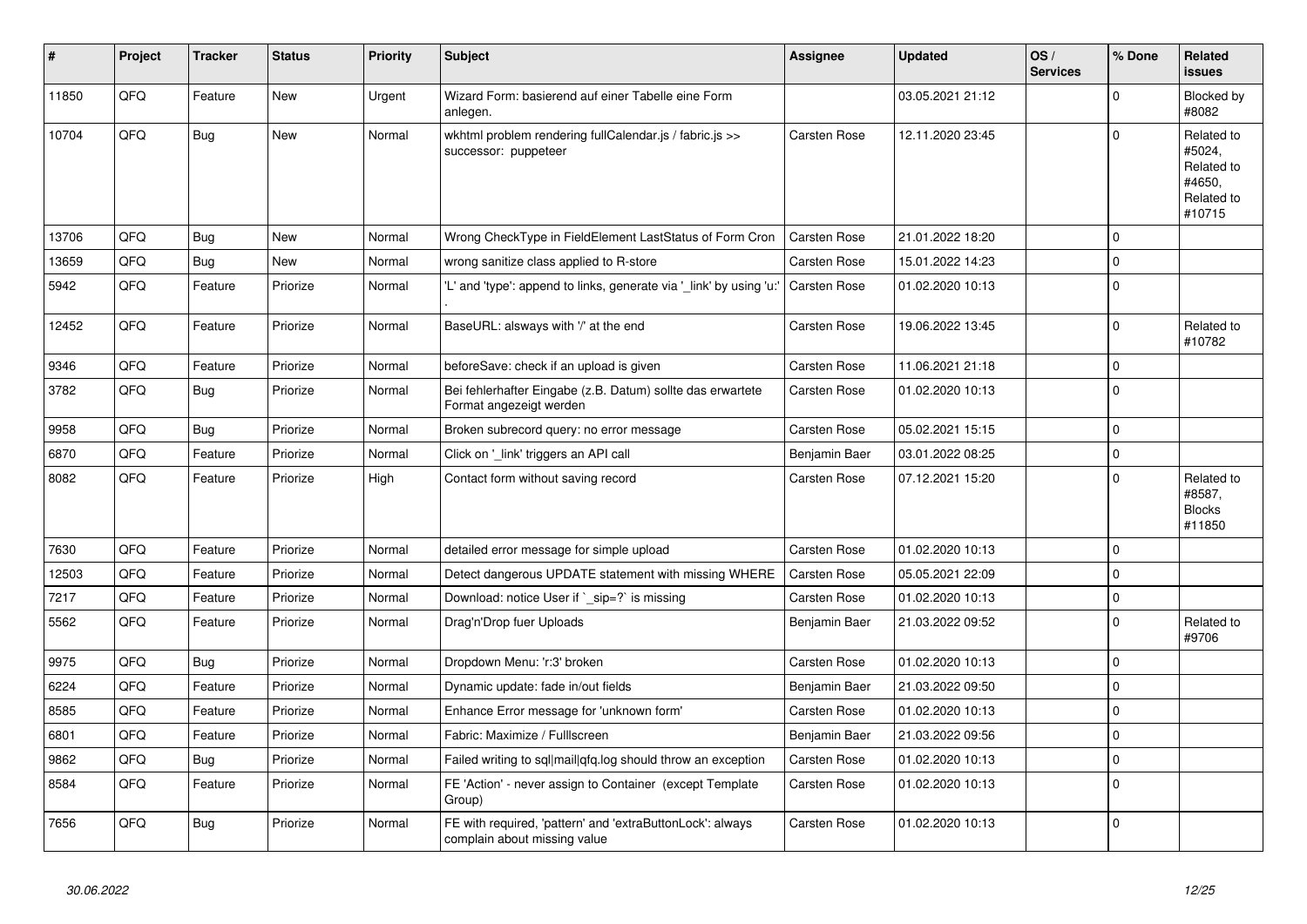| #     | Project | <b>Tracker</b> | <b>Status</b> | <b>Priority</b> | <b>Subject</b>                                                                            | <b>Assignee</b>     | <b>Updated</b>   | OS/<br><b>Services</b> | % Done      | Related<br><b>issues</b>                                             |
|-------|---------|----------------|---------------|-----------------|-------------------------------------------------------------------------------------------|---------------------|------------------|------------------------|-------------|----------------------------------------------------------------------|
| 11850 | QFQ     | Feature        | <b>New</b>    | Urgent          | Wizard Form: basierend auf einer Tabelle eine Form<br>anlegen.                            |                     | 03.05.2021 21:12 |                        | $\mathbf 0$ | Blocked by<br>#8082                                                  |
| 10704 | QFQ     | Bug            | New           | Normal          | wkhtml problem rendering fullCalendar.js / fabric.js >><br>successor: puppeteer           | Carsten Rose        | 12.11.2020 23:45 |                        | $\mathbf 0$ | Related to<br>#5024,<br>Related to<br>#4650.<br>Related to<br>#10715 |
| 13706 | QFQ     | Bug            | <b>New</b>    | Normal          | Wrong CheckType in FieldElement LastStatus of Form Cron                                   | <b>Carsten Rose</b> | 21.01.2022 18:20 |                        | $\mathbf 0$ |                                                                      |
| 13659 | QFQ     | <b>Bug</b>     | <b>New</b>    | Normal          | wrong sanitize class applied to R-store                                                   | Carsten Rose        | 15.01.2022 14:23 |                        | $\mathbf 0$ |                                                                      |
| 5942  | QFQ     | Feature        | Priorize      | Normal          | 'L' and 'type': append to links, generate via '_link' by using 'u:                        | Carsten Rose        | 01.02.2020 10:13 |                        | $\mathbf 0$ |                                                                      |
| 12452 | QFQ     | Feature        | Priorize      | Normal          | BaseURL: alsways with '/' at the end                                                      | Carsten Rose        | 19.06.2022 13:45 |                        | $\Omega$    | Related to<br>#10782                                                 |
| 9346  | QFQ     | Feature        | Priorize      | Normal          | beforeSave: check if an upload is given                                                   | Carsten Rose        | 11.06.2021 21:18 |                        | $\mathbf 0$ |                                                                      |
| 3782  | QFQ     | <b>Bug</b>     | Priorize      | Normal          | Bei fehlerhafter Eingabe (z.B. Datum) sollte das erwartete<br>Format angezeigt werden     | Carsten Rose        | 01.02.2020 10:13 |                        | $\mathbf 0$ |                                                                      |
| 9958  | QFQ     | Bug            | Priorize      | Normal          | Broken subrecord query: no error message                                                  | Carsten Rose        | 05.02.2021 15:15 |                        | $\mathbf 0$ |                                                                      |
| 6870  | QFQ     | Feature        | Priorize      | Normal          | Click on '_link' triggers an API call                                                     | Benjamin Baer       | 03.01.2022 08:25 |                        | $\pmb{0}$   |                                                                      |
| 8082  | QFQ     | Feature        | Priorize      | High            | Contact form without saving record                                                        | Carsten Rose        | 07.12.2021 15:20 |                        | $\Omega$    | Related to<br>#8587,<br><b>Blocks</b><br>#11850                      |
| 7630  | QFQ     | Feature        | Priorize      | Normal          | detailed error message for simple upload                                                  | Carsten Rose        | 01.02.2020 10:13 |                        | $\mathbf 0$ |                                                                      |
| 12503 | QFQ     | Feature        | Priorize      | Normal          | Detect dangerous UPDATE statement with missing WHERE                                      | Carsten Rose        | 05.05.2021 22:09 |                        | $\mathbf 0$ |                                                                      |
| 7217  | QFQ     | Feature        | Priorize      | Normal          | Download: notice User if ` sip=?` is missing                                              | Carsten Rose        | 01.02.2020 10:13 |                        | $\mathbf 0$ |                                                                      |
| 5562  | QFQ     | Feature        | Priorize      | Normal          | Drag'n'Drop fuer Uploads                                                                  | Benjamin Baer       | 21.03.2022 09:52 |                        | $\mathbf 0$ | Related to<br>#9706                                                  |
| 9975  | QFQ     | Bug            | Priorize      | Normal          | Dropdown Menu: 'r:3' broken                                                               | Carsten Rose        | 01.02.2020 10:13 |                        | $\mathbf 0$ |                                                                      |
| 6224  | QFQ     | Feature        | Priorize      | Normal          | Dynamic update: fade in/out fields                                                        | Benjamin Baer       | 21.03.2022 09:50 |                        | $\mathbf 0$ |                                                                      |
| 8585  | QFQ     | Feature        | Priorize      | Normal          | Enhance Error message for 'unknown form'                                                  | Carsten Rose        | 01.02.2020 10:13 |                        | $\mathbf 0$ |                                                                      |
| 6801  | QFQ     | Feature        | Priorize      | Normal          | Fabric: Maximize / FullIscreen                                                            | Benjamin Baer       | 21.03.2022 09:56 |                        | $\mathbf 0$ |                                                                      |
| 9862  | QFQ     | <b>Bug</b>     | Priorize      | Normal          | Failed writing to sql mail qfq.log should throw an exception                              | Carsten Rose        | 01.02.2020 10:13 |                        | $\mathbf 0$ |                                                                      |
| 8584  | QFQ     | Feature        | Priorize      | Normal          | FE 'Action' - never assign to Container (except Template)<br>Group)                       | Carsten Rose        | 01.02.2020 10:13 |                        | $\mathbf 0$ |                                                                      |
| 7656  | QFQ     | <b>Bug</b>     | Priorize      | Normal          | FE with required, 'pattern' and 'extraButtonLock': always<br>complain about missing value | Carsten Rose        | 01.02.2020 10:13 |                        | $\mathbf 0$ |                                                                      |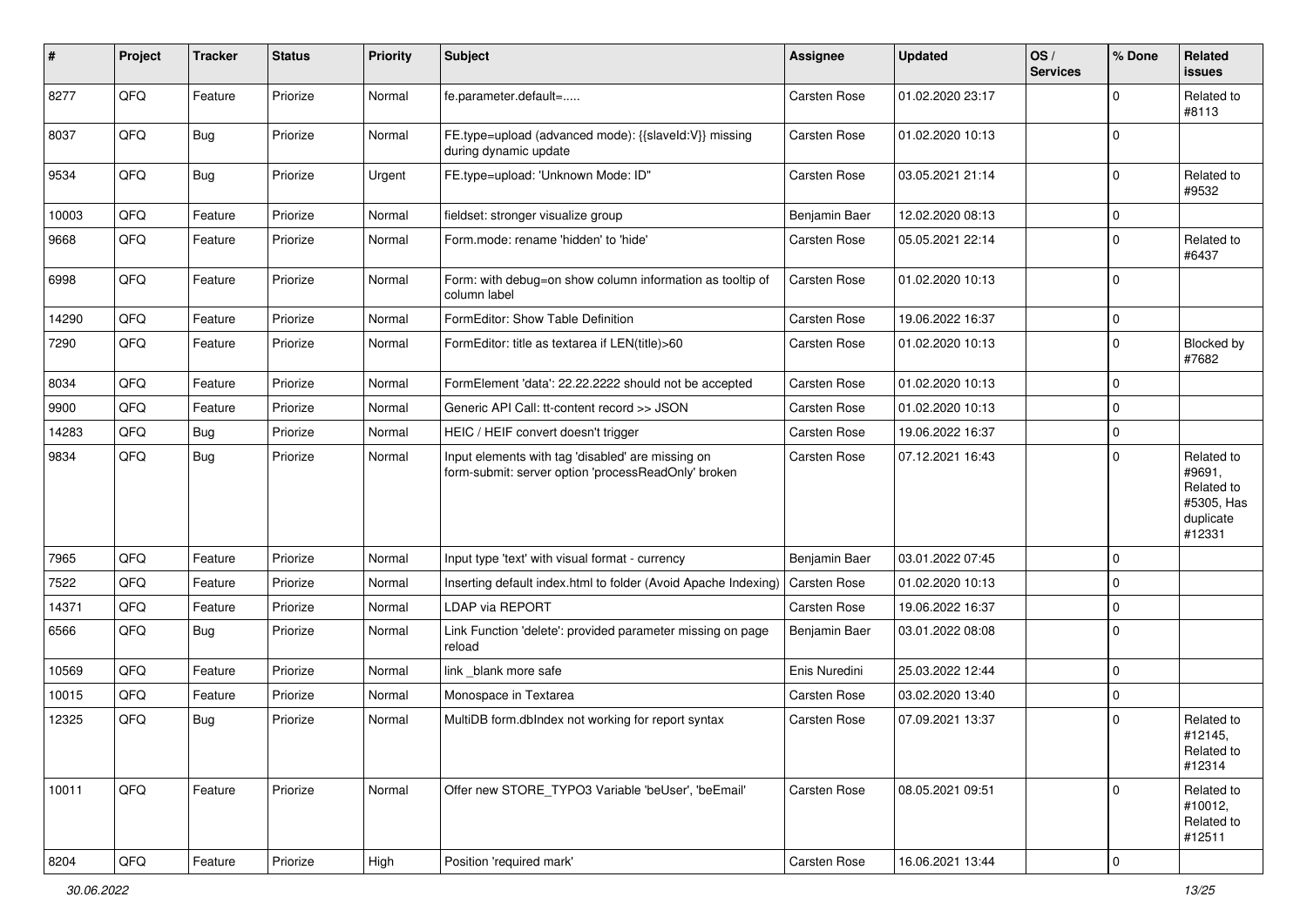| #     | Project | <b>Tracker</b> | <b>Status</b> | Priority | <b>Subject</b>                                                                                           | <b>Assignee</b>     | <b>Updated</b>   | OS/<br><b>Services</b> | % Done      | Related<br><b>issues</b>                                                |
|-------|---------|----------------|---------------|----------|----------------------------------------------------------------------------------------------------------|---------------------|------------------|------------------------|-------------|-------------------------------------------------------------------------|
| 8277  | QFQ     | Feature        | Priorize      | Normal   | fe.parameter.default=                                                                                    | Carsten Rose        | 01.02.2020 23:17 |                        | $\Omega$    | Related to<br>#8113                                                     |
| 8037  | QFQ     | Bug            | Priorize      | Normal   | FE.type=upload (advanced mode): {{slaveld:V}} missing<br>during dynamic update                           | Carsten Rose        | 01.02.2020 10:13 |                        | 0           |                                                                         |
| 9534  | QFQ     | <b>Bug</b>     | Priorize      | Urgent   | FE.type=upload: 'Unknown Mode: ID"                                                                       | Carsten Rose        | 03.05.2021 21:14 |                        | $\mathbf 0$ | Related to<br>#9532                                                     |
| 10003 | QFQ     | Feature        | Priorize      | Normal   | fieldset: stronger visualize group                                                                       | Benjamin Baer       | 12.02.2020 08:13 |                        | 0           |                                                                         |
| 9668  | QFQ     | Feature        | Priorize      | Normal   | Form.mode: rename 'hidden' to 'hide'                                                                     | Carsten Rose        | 05.05.2021 22:14 |                        | $\mathbf 0$ | Related to<br>#6437                                                     |
| 6998  | QFQ     | Feature        | Priorize      | Normal   | Form: with debug=on show column information as tooltip of<br>column label                                | Carsten Rose        | 01.02.2020 10:13 |                        | $\mathbf 0$ |                                                                         |
| 14290 | QFQ     | Feature        | Priorize      | Normal   | FormEditor: Show Table Definition                                                                        | <b>Carsten Rose</b> | 19.06.2022 16:37 |                        | $\mathbf 0$ |                                                                         |
| 7290  | QFQ     | Feature        | Priorize      | Normal   | FormEditor: title as textarea if LEN(title)>60                                                           | <b>Carsten Rose</b> | 01.02.2020 10:13 |                        | 0           | Blocked by<br>#7682                                                     |
| 8034  | QFQ     | Feature        | Priorize      | Normal   | FormElement 'data': 22.22.2222 should not be accepted                                                    | Carsten Rose        | 01.02.2020 10:13 |                        | $\mathbf 0$ |                                                                         |
| 9900  | QFQ     | Feature        | Priorize      | Normal   | Generic API Call: tt-content record >> JSON                                                              | Carsten Rose        | 01.02.2020 10:13 |                        | $\mathbf 0$ |                                                                         |
| 14283 | QFQ     | Bug            | Priorize      | Normal   | HEIC / HEIF convert doesn't trigger                                                                      | <b>Carsten Rose</b> | 19.06.2022 16:37 |                        | $\mathbf 0$ |                                                                         |
| 9834  | QFQ     | Bug            | Priorize      | Normal   | Input elements with tag 'disabled' are missing on<br>form-submit: server option 'processReadOnly' broken | Carsten Rose        | 07.12.2021 16:43 |                        | $\mathbf 0$ | Related to<br>#9691,<br>Related to<br>#5305, Has<br>duplicate<br>#12331 |
| 7965  | QFQ     | Feature        | Priorize      | Normal   | Input type 'text' with visual format - currency                                                          | Benjamin Baer       | 03.01.2022 07:45 |                        | $\mathbf 0$ |                                                                         |
| 7522  | QFQ     | Feature        | Priorize      | Normal   | Inserting default index.html to folder (Avoid Apache Indexing)                                           | Carsten Rose        | 01.02.2020 10:13 |                        | 0           |                                                                         |
| 14371 | QFQ     | Feature        | Priorize      | Normal   | <b>LDAP via REPORT</b>                                                                                   | Carsten Rose        | 19.06.2022 16:37 |                        | $\mathbf 0$ |                                                                         |
| 6566  | QFQ     | Bug            | Priorize      | Normal   | Link Function 'delete': provided parameter missing on page<br>reload                                     | Benjamin Baer       | 03.01.2022 08:08 |                        | $\mathbf 0$ |                                                                         |
| 10569 | QFQ     | Feature        | Priorize      | Normal   | link _blank more safe                                                                                    | Enis Nuredini       | 25.03.2022 12:44 |                        | $\mathbf 0$ |                                                                         |
| 10015 | QFQ     | Feature        | Priorize      | Normal   | Monospace in Textarea                                                                                    | Carsten Rose        | 03.02.2020 13:40 |                        | $\mathbf 0$ |                                                                         |
| 12325 | QFQ     | <b>Bug</b>     | Priorize      | Normal   | MultiDB form.dblndex not working for report syntax                                                       | Carsten Rose        | 07.09.2021 13:37 |                        | $\mathbf 0$ | Related to<br>#12145,<br>Related to<br>#12314                           |
| 10011 | QFQ     | Feature        | Priorize      | Normal   | Offer new STORE TYPO3 Variable 'beUser', 'beEmail'                                                       | Carsten Rose        | 08.05.2021 09:51 |                        | $\mathbf 0$ | Related to<br>#10012,<br>Related to<br>#12511                           |
| 8204  | QFQ     | Feature        | Priorize      | High     | Position 'required mark'                                                                                 | Carsten Rose        | 16.06.2021 13:44 |                        | $\pmb{0}$   |                                                                         |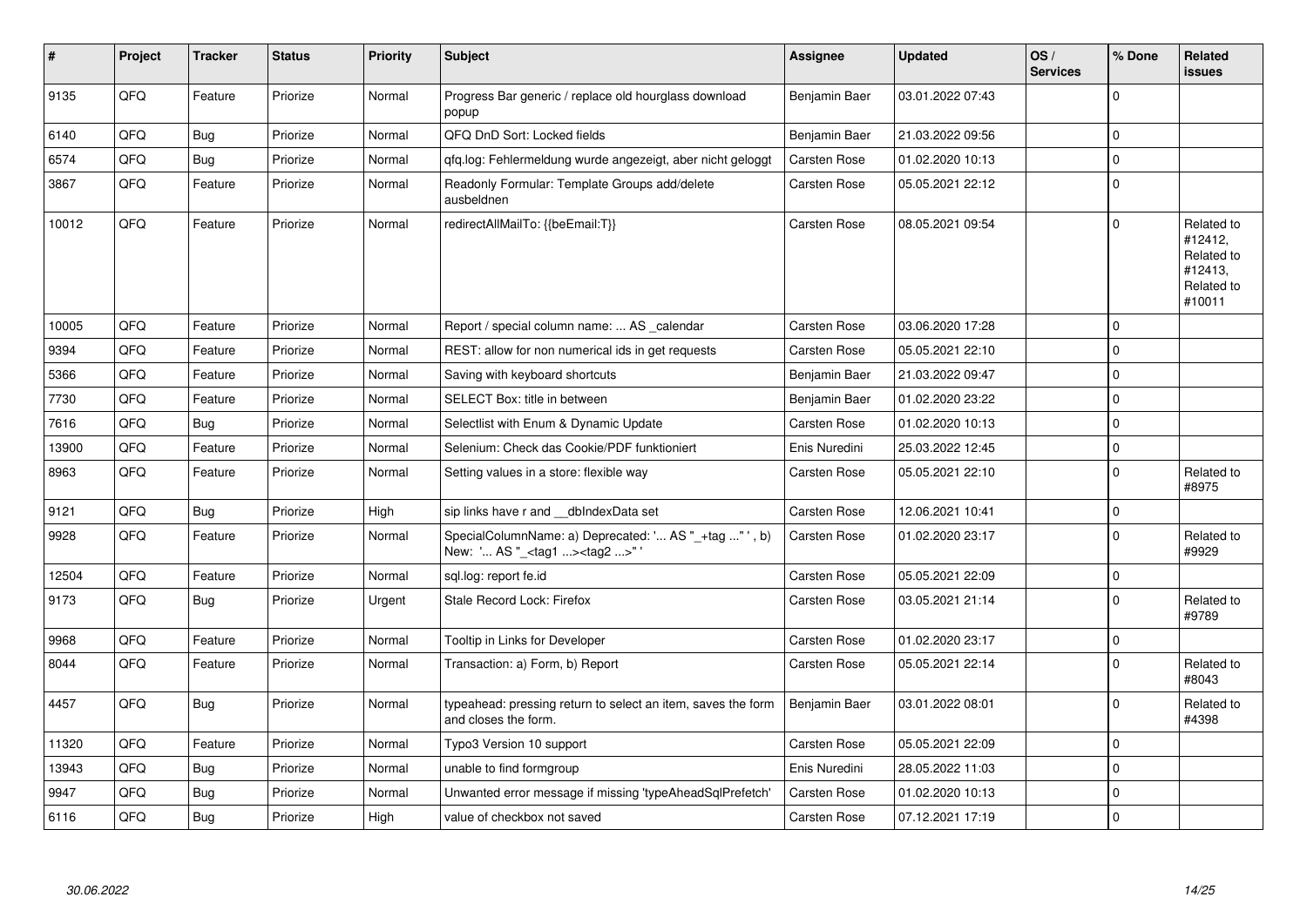| #     | Project | <b>Tracker</b> | <b>Status</b> | Priority | <b>Subject</b>                                                                                   | Assignee            | <b>Updated</b>   | OS/<br><b>Services</b> | % Done      | Related<br>issues                                                      |
|-------|---------|----------------|---------------|----------|--------------------------------------------------------------------------------------------------|---------------------|------------------|------------------------|-------------|------------------------------------------------------------------------|
| 9135  | QFQ     | Feature        | Priorize      | Normal   | Progress Bar generic / replace old hourglass download<br>popup                                   | Benjamin Baer       | 03.01.2022 07:43 |                        | $\Omega$    |                                                                        |
| 6140  | QFQ     | <b>Bug</b>     | Priorize      | Normal   | QFQ DnD Sort: Locked fields                                                                      | Benjamin Baer       | 21.03.2022 09:56 |                        | $\mathbf 0$ |                                                                        |
| 6574  | QFQ     | <b>Bug</b>     | Priorize      | Normal   | gfg.log: Fehlermeldung wurde angezeigt, aber nicht geloggt                                       | <b>Carsten Rose</b> | 01.02.2020 10:13 |                        | $\mathbf 0$ |                                                                        |
| 3867  | QFQ     | Feature        | Priorize      | Normal   | Readonly Formular: Template Groups add/delete<br>ausbeldnen                                      | Carsten Rose        | 05.05.2021 22:12 |                        | $\mathbf 0$ |                                                                        |
| 10012 | QFQ     | Feature        | Priorize      | Normal   | redirectAllMailTo: {{beEmail:T}}                                                                 | Carsten Rose        | 08.05.2021 09:54 |                        | $\Omega$    | Related to<br>#12412,<br>Related to<br>#12413,<br>Related to<br>#10011 |
| 10005 | QFQ     | Feature        | Priorize      | Normal   | Report / special column name:  AS calendar                                                       | <b>Carsten Rose</b> | 03.06.2020 17:28 |                        | $\mathbf 0$ |                                                                        |
| 9394  | QFQ     | Feature        | Priorize      | Normal   | REST: allow for non numerical ids in get requests                                                | Carsten Rose        | 05.05.2021 22:10 |                        | $\mathbf 0$ |                                                                        |
| 5366  | QFQ     | Feature        | Priorize      | Normal   | Saving with keyboard shortcuts                                                                   | Benjamin Baer       | 21.03.2022 09:47 |                        | $\mathbf 0$ |                                                                        |
| 7730  | QFQ     | Feature        | Priorize      | Normal   | SELECT Box: title in between                                                                     | Benjamin Baer       | 01.02.2020 23:22 |                        | $\pmb{0}$   |                                                                        |
| 7616  | QFQ     | <b>Bug</b>     | Priorize      | Normal   | Selectlist with Enum & Dynamic Update                                                            | Carsten Rose        | 01.02.2020 10:13 |                        | $\mathbf 0$ |                                                                        |
| 13900 | QFQ     | Feature        | Priorize      | Normal   | Selenium: Check das Cookie/PDF funktioniert                                                      | Enis Nuredini       | 25.03.2022 12:45 |                        | $\mathbf 0$ |                                                                        |
| 8963  | QFQ     | Feature        | Priorize      | Normal   | Setting values in a store: flexible way                                                          | Carsten Rose        | 05.05.2021 22:10 |                        | $\Omega$    | Related to<br>#8975                                                    |
| 9121  | QFQ     | <b>Bug</b>     | Priorize      | High     | sip links have r and __dbIndexData set                                                           | <b>Carsten Rose</b> | 12.06.2021 10:41 |                        | $\pmb{0}$   |                                                                        |
| 9928  | QFQ     | Feature        | Priorize      | Normal   | SpecialColumnName: a) Deprecated: ' AS "_+tag "', b)<br>New: ' AS "_ <tag1><tag2>"</tag2></tag1> | <b>Carsten Rose</b> | 01.02.2020 23:17 |                        | $\mathbf 0$ | Related to<br>#9929                                                    |
| 12504 | QFQ     | Feature        | Priorize      | Normal   | sql.log: report fe.id                                                                            | <b>Carsten Rose</b> | 05.05.2021 22:09 |                        | $\pmb{0}$   |                                                                        |
| 9173  | QFQ     | <b>Bug</b>     | Priorize      | Urgent   | Stale Record Lock: Firefox                                                                       | <b>Carsten Rose</b> | 03.05.2021 21:14 |                        | $\Omega$    | Related to<br>#9789                                                    |
| 9968  | QFQ     | Feature        | Priorize      | Normal   | Tooltip in Links for Developer                                                                   | Carsten Rose        | 01.02.2020 23:17 |                        | $\mathbf 0$ |                                                                        |
| 8044  | QFQ     | Feature        | Priorize      | Normal   | Transaction: a) Form, b) Report                                                                  | Carsten Rose        | 05.05.2021 22:14 |                        | $\Omega$    | Related to<br>#8043                                                    |
| 4457  | QFQ     | Bug            | Priorize      | Normal   | typeahead: pressing return to select an item, saves the form<br>and closes the form.             | Benjamin Baer       | 03.01.2022 08:01 |                        | $\mathbf 0$ | Related to<br>#4398                                                    |
| 11320 | QFQ     | Feature        | Priorize      | Normal   | Typo3 Version 10 support                                                                         | Carsten Rose        | 05.05.2021 22:09 |                        | $\mathbf 0$ |                                                                        |
| 13943 | QFQ     | Bug            | Priorize      | Normal   | unable to find formgroup                                                                         | Enis Nuredini       | 28.05.2022 11:03 |                        | $\mathbf 0$ |                                                                        |
| 9947  | QFQ     | <b>Bug</b>     | Priorize      | Normal   | Unwanted error message if missing 'typeAheadSqlPrefetch'                                         | Carsten Rose        | 01.02.2020 10:13 |                        | $\pmb{0}$   |                                                                        |
| 6116  | QFQ     | Bug            | Priorize      | High     | value of checkbox not saved                                                                      | <b>Carsten Rose</b> | 07.12.2021 17:19 |                        | $\pmb{0}$   |                                                                        |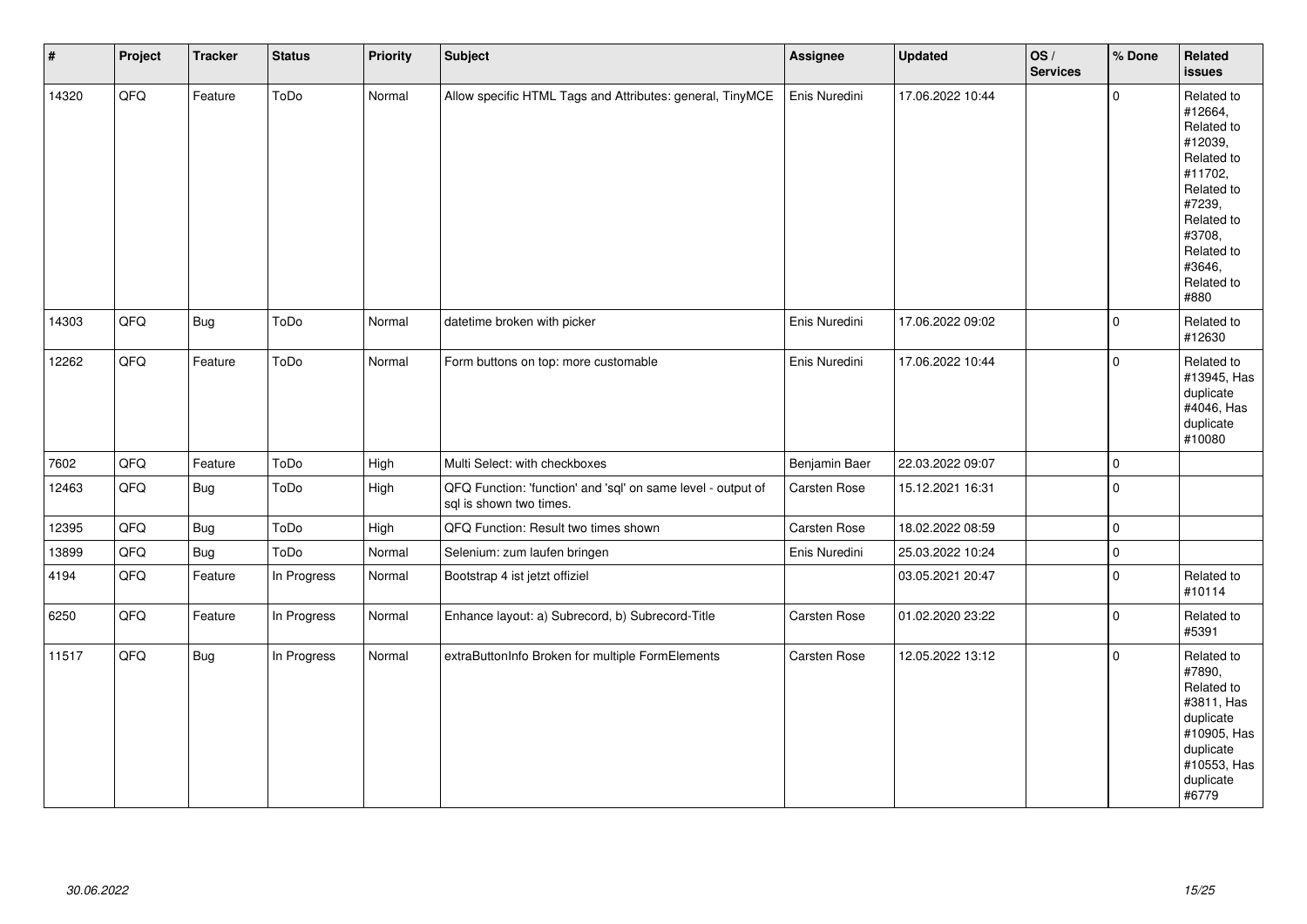| $\vert$ # | Project | <b>Tracker</b> | <b>Status</b> | <b>Priority</b> | <b>Subject</b>                                                                          | Assignee      | <b>Updated</b>   | OS/<br><b>Services</b> | % Done      | Related<br><b>issues</b>                                                                                                                                              |
|-----------|---------|----------------|---------------|-----------------|-----------------------------------------------------------------------------------------|---------------|------------------|------------------------|-------------|-----------------------------------------------------------------------------------------------------------------------------------------------------------------------|
| 14320     | QFQ     | Feature        | ToDo          | Normal          | Allow specific HTML Tags and Attributes: general, TinyMCE                               | Enis Nuredini | 17.06.2022 10:44 |                        | $\Omega$    | Related to<br>#12664,<br>Related to<br>#12039,<br>Related to<br>#11702,<br>Related to<br>#7239,<br>Related to<br>#3708,<br>Related to<br>#3646,<br>Related to<br>#880 |
| 14303     | QFQ     | <b>Bug</b>     | ToDo          | Normal          | datetime broken with picker                                                             | Enis Nuredini | 17.06.2022 09:02 |                        | $\mathbf 0$ | Related to<br>#12630                                                                                                                                                  |
| 12262     | QFQ     | Feature        | ToDo          | Normal          | Form buttons on top: more customable                                                    | Enis Nuredini | 17.06.2022 10:44 |                        | $\mathbf 0$ | Related to<br>#13945, Has<br>duplicate<br>#4046, Has<br>duplicate<br>#10080                                                                                           |
| 7602      | QFQ     | Feature        | ToDo          | High            | Multi Select: with checkboxes                                                           | Benjamin Baer | 22.03.2022 09:07 |                        | $\mathbf 0$ |                                                                                                                                                                       |
| 12463     | QFQ     | Bug            | ToDo          | High            | QFQ Function: 'function' and 'sql' on same level - output of<br>sql is shown two times. | Carsten Rose  | 15.12.2021 16:31 |                        | $\mathbf 0$ |                                                                                                                                                                       |
| 12395     | QFQ     | <b>Bug</b>     | ToDo          | High            | QFQ Function: Result two times shown                                                    | Carsten Rose  | 18.02.2022 08:59 |                        | $\pmb{0}$   |                                                                                                                                                                       |
| 13899     | QFQ     | <b>Bug</b>     | ToDo          | Normal          | Selenium: zum laufen bringen                                                            | Enis Nuredini | 25.03.2022 10:24 |                        | $\pmb{0}$   |                                                                                                                                                                       |
| 4194      | QFO     | Feature        | In Progress   | Normal          | Bootstrap 4 ist jetzt offiziel                                                          |               | 03.05.2021 20:47 |                        | $\mathbf 0$ | Related to<br>#10114                                                                                                                                                  |
| 6250      | QFQ     | Feature        | In Progress   | Normal          | Enhance layout: a) Subrecord, b) Subrecord-Title                                        | Carsten Rose  | 01.02.2020 23:22 |                        | $\mathbf 0$ | Related to<br>#5391                                                                                                                                                   |
| 11517     | QFQ     | Bug            | In Progress   | Normal          | extraButtonInfo Broken for multiple FormElements                                        | Carsten Rose  | 12.05.2022 13:12 |                        | $\Omega$    | Related to<br>#7890,<br>Related to<br>#3811, Has<br>duplicate<br>#10905, Has<br>duplicate<br>#10553, Has<br>duplicate<br>#6779                                        |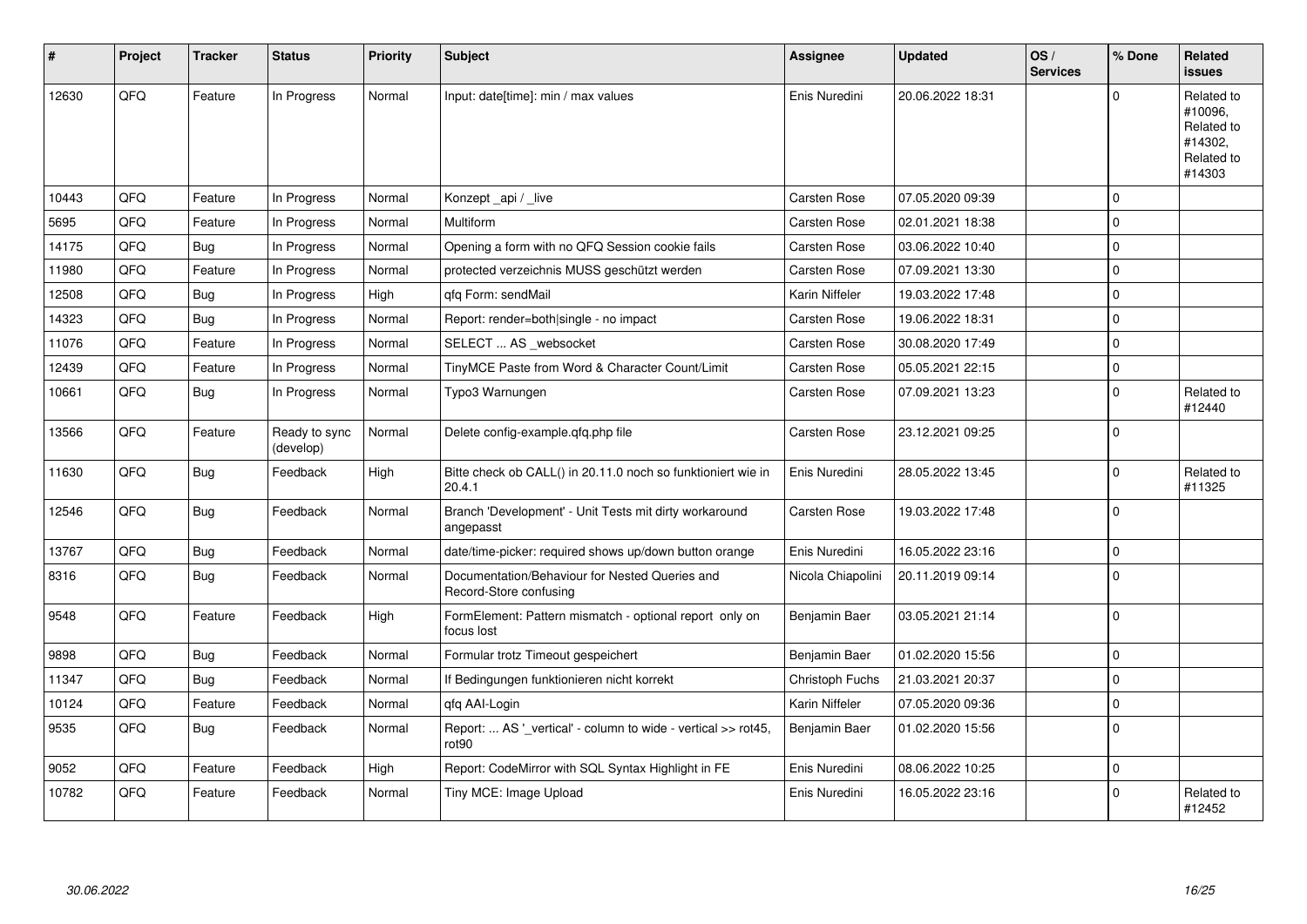| #     | Project | <b>Tracker</b> | <b>Status</b>              | <b>Priority</b> | <b>Subject</b>                                                                     | Assignee          | <b>Updated</b>   | OS/<br><b>Services</b> | % Done              | <b>Related</b><br><b>issues</b>                                        |
|-------|---------|----------------|----------------------------|-----------------|------------------------------------------------------------------------------------|-------------------|------------------|------------------------|---------------------|------------------------------------------------------------------------|
| 12630 | QFQ     | Feature        | In Progress                | Normal          | Input: date[time]: min / max values                                                | Enis Nuredini     | 20.06.2022 18:31 |                        | $\Omega$            | Related to<br>#10096.<br>Related to<br>#14302.<br>Related to<br>#14303 |
| 10443 | QFQ     | Feature        | In Progress                | Normal          | Konzept api / live                                                                 | Carsten Rose      | 07.05.2020 09:39 |                        | $\mathbf 0$         |                                                                        |
| 5695  | QFQ     | Feature        | In Progress                | Normal          | Multiform                                                                          | Carsten Rose      | 02.01.2021 18:38 |                        | $\Omega$            |                                                                        |
| 14175 | QFQ     | Bug            | In Progress                | Normal          | Opening a form with no QFQ Session cookie fails                                    | Carsten Rose      | 03.06.2022 10:40 |                        | $\mathsf{O}\xspace$ |                                                                        |
| 11980 | QFQ     | Feature        | In Progress                | Normal          | protected verzeichnis MUSS geschützt werden                                        | Carsten Rose      | 07.09.2021 13:30 |                        | $\mathbf 0$         |                                                                        |
| 12508 | QFQ     | Bug            | In Progress                | High            | qfq Form: sendMail                                                                 | Karin Niffeler    | 19.03.2022 17:48 |                        | $\mathsf{O}\xspace$ |                                                                        |
| 14323 | QFQ     | <b>Bug</b>     | In Progress                | Normal          | Report: render=both single - no impact                                             | Carsten Rose      | 19.06.2022 18:31 |                        | $\mathbf 0$         |                                                                        |
| 11076 | QFQ     | Feature        | In Progress                | Normal          | SELECT  AS _websocket                                                              | Carsten Rose      | 30.08.2020 17:49 |                        | $\mathsf{O}\xspace$ |                                                                        |
| 12439 | QFQ     | Feature        | In Progress                | Normal          | TinyMCE Paste from Word & Character Count/Limit                                    | Carsten Rose      | 05.05.2021 22:15 |                        | $\mathsf{O}\xspace$ |                                                                        |
| 10661 | QFQ     | <b>Bug</b>     | In Progress                | Normal          | Typo3 Warnungen                                                                    | Carsten Rose      | 07.09.2021 13:23 |                        | $\mathbf 0$         | Related to<br>#12440                                                   |
| 13566 | QFQ     | Feature        | Ready to sync<br>(develop) | Normal          | Delete config-example.gfg.php file                                                 | Carsten Rose      | 23.12.2021 09:25 |                        | $\mathbf 0$         |                                                                        |
| 11630 | QFQ     | Bug            | Feedback                   | High            | Bitte check ob CALL() in 20.11.0 noch so funktioniert wie in<br>20.4.1             | Enis Nuredini     | 28.05.2022 13:45 |                        | $\Omega$            | Related to<br>#11325                                                   |
| 12546 | QFQ     | <b>Bug</b>     | Feedback                   | Normal          | Branch 'Development' - Unit Tests mit dirty workaround<br>angepasst                | Carsten Rose      | 19.03.2022 17:48 |                        | $\mathbf 0$         |                                                                        |
| 13767 | QFQ     | <b>Bug</b>     | Feedback                   | Normal          | date/time-picker: required shows up/down button orange                             | Enis Nuredini     | 16.05.2022 23:16 |                        | $\pmb{0}$           |                                                                        |
| 8316  | QFQ     | <b>Bug</b>     | Feedback                   | Normal          | Documentation/Behaviour for Nested Queries and<br>Record-Store confusing           | Nicola Chiapolini | 20.11.2019 09:14 |                        | $\Omega$            |                                                                        |
| 9548  | QFQ     | Feature        | Feedback                   | High            | FormElement: Pattern mismatch - optional report only on<br>focus lost              | Benjamin Baer     | 03.05.2021 21:14 |                        | $\Omega$            |                                                                        |
| 9898  | QFQ     | Bug            | Feedback                   | Normal          | Formular trotz Timeout gespeichert                                                 | Benjamin Baer     | 01.02.2020 15:56 |                        | $\pmb{0}$           |                                                                        |
| 11347 | QFQ     | Bug            | Feedback                   | Normal          | If Bedingungen funktionieren nicht korrekt                                         | Christoph Fuchs   | 21.03.2021 20:37 |                        | $\mathbf 0$         |                                                                        |
| 10124 | QFQ     | Feature        | Feedback                   | Normal          | gfg AAI-Login                                                                      | Karin Niffeler    | 07.05.2020 09:36 |                        | $\mathbf 0$         |                                                                        |
| 9535  | QFQ     | Bug            | Feedback                   | Normal          | Report:  AS ' vertical' - column to wide - vertical >> rot45,<br>rot <sub>90</sub> | Benjamin Baer     | 01.02.2020 15:56 |                        | $\mathbf 0$         |                                                                        |
| 9052  | QFQ     | Feature        | Feedback                   | High            | Report: CodeMirror with SQL Syntax Highlight in FE                                 | Enis Nuredini     | 08.06.2022 10:25 |                        | $\mathbf 0$         |                                                                        |
| 10782 | QFQ     | Feature        | Feedback                   | Normal          | Tiny MCE: Image Upload                                                             | Enis Nuredini     | 16.05.2022 23:16 |                        | $\mathbf 0$         | Related to<br>#12452                                                   |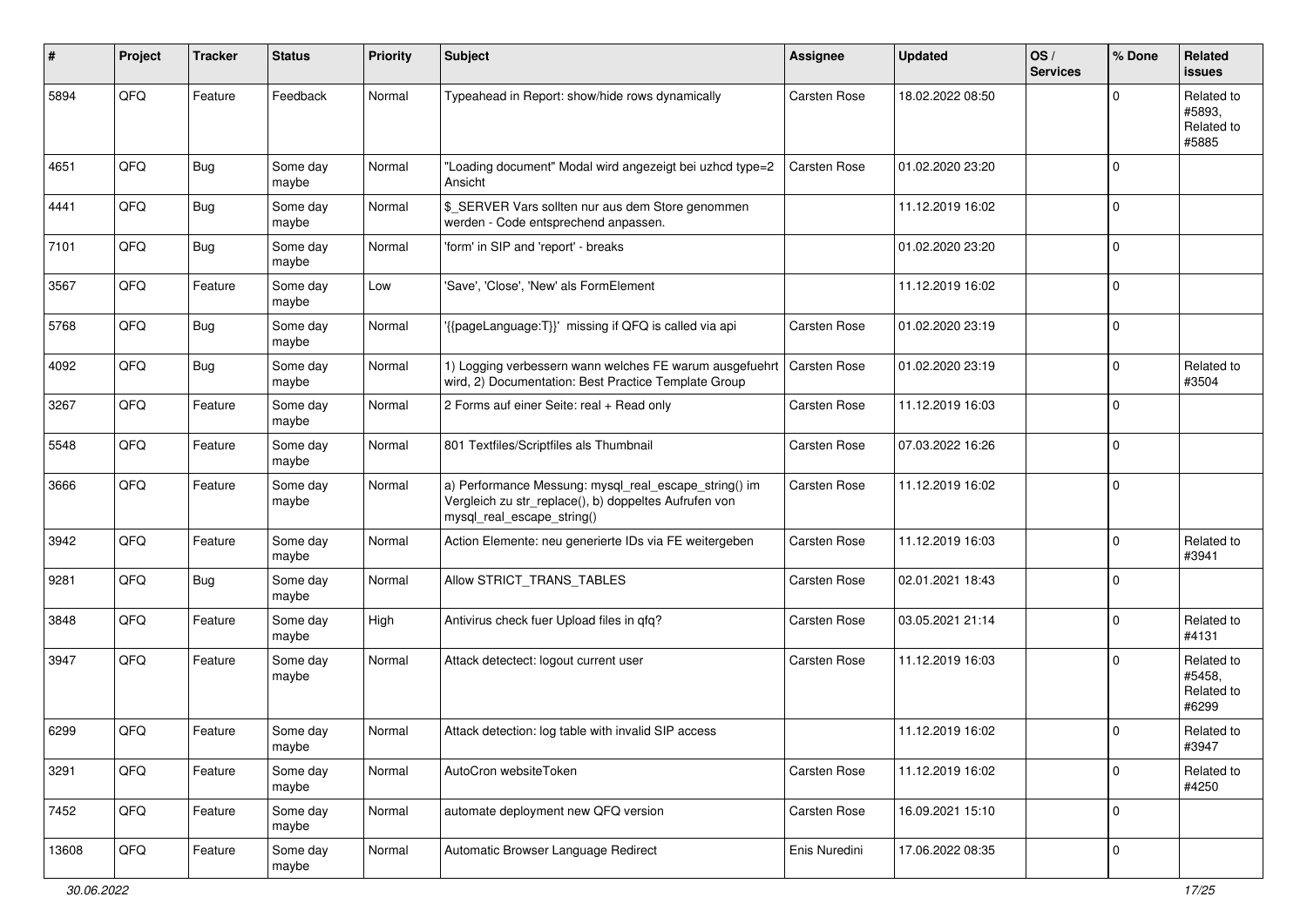| #     | Project | <b>Tracker</b> | <b>Status</b>     | <b>Priority</b> | <b>Subject</b>                                                                                                                               | <b>Assignee</b>     | <b>Updated</b>   | OS/<br><b>Services</b> | % Done      | Related<br><b>issues</b>                    |
|-------|---------|----------------|-------------------|-----------------|----------------------------------------------------------------------------------------------------------------------------------------------|---------------------|------------------|------------------------|-------------|---------------------------------------------|
| 5894  | QFQ     | Feature        | Feedback          | Normal          | Typeahead in Report: show/hide rows dynamically                                                                                              | <b>Carsten Rose</b> | 18.02.2022 08:50 |                        | $\Omega$    | Related to<br>#5893.<br>Related to<br>#5885 |
| 4651  | QFQ     | <b>Bug</b>     | Some day<br>maybe | Normal          | "Loading document" Modal wird angezeigt bei uzhcd type=2<br>Ansicht                                                                          | Carsten Rose        | 01.02.2020 23:20 |                        | $\mathbf 0$ |                                             |
| 4441  | QFQ     | <b>Bug</b>     | Some day<br>maybe | Normal          | \$ SERVER Vars sollten nur aus dem Store genommen<br>werden - Code entsprechend anpassen.                                                    |                     | 11.12.2019 16:02 |                        | $\mathbf 0$ |                                             |
| 7101  | QFQ     | Bug            | Some day<br>maybe | Normal          | 'form' in SIP and 'report' - breaks                                                                                                          |                     | 01.02.2020 23:20 |                        | $\mathbf 0$ |                                             |
| 3567  | QFQ     | Feature        | Some day<br>maybe | Low             | 'Save', 'Close', 'New' als FormElement                                                                                                       |                     | 11.12.2019 16:02 |                        | $\mathbf 0$ |                                             |
| 5768  | QFQ     | Bug            | Some day<br>maybe | Normal          | '{{pageLanguage:T}}' missing if QFQ is called via api                                                                                        | Carsten Rose        | 01.02.2020 23:19 |                        | $\mathbf 0$ |                                             |
| 4092  | QFQ     | <b>Bug</b>     | Some day<br>maybe | Normal          | 1) Logging verbessern wann welches FE warum ausgefuehrt<br>wird, 2) Documentation: Best Practice Template Group                              | <b>Carsten Rose</b> | 01.02.2020 23:19 |                        | $\mathbf 0$ | Related to<br>#3504                         |
| 3267  | QFQ     | Feature        | Some day<br>maybe | Normal          | 2 Forms auf einer Seite: real + Read only                                                                                                    | Carsten Rose        | 11.12.2019 16:03 |                        | $\mathbf 0$ |                                             |
| 5548  | QFQ     | Feature        | Some day<br>maybe | Normal          | 801 Textfiles/Scriptfiles als Thumbnail                                                                                                      | <b>Carsten Rose</b> | 07.03.2022 16:26 |                        | $\mathbf 0$ |                                             |
| 3666  | QFQ     | Feature        | Some day<br>maybe | Normal          | a) Performance Messung: mysql_real_escape_string() im<br>Vergleich zu str_replace(), b) doppeltes Aufrufen von<br>mysql_real_escape_string() | Carsten Rose        | 11.12.2019 16:02 |                        | $\mathbf 0$ |                                             |
| 3942  | QFQ     | Feature        | Some day<br>maybe | Normal          | Action Elemente: neu generierte IDs via FE weitergeben                                                                                       | Carsten Rose        | 11.12.2019 16:03 |                        | 0           | Related to<br>#3941                         |
| 9281  | QFQ     | <b>Bug</b>     | Some day<br>maybe | Normal          | Allow STRICT_TRANS_TABLES                                                                                                                    | Carsten Rose        | 02.01.2021 18:43 |                        | 0           |                                             |
| 3848  | QFQ     | Feature        | Some day<br>maybe | High            | Antivirus check fuer Upload files in qfq?                                                                                                    | Carsten Rose        | 03.05.2021 21:14 |                        | $\mathbf 0$ | Related to<br>#4131                         |
| 3947  | QFQ     | Feature        | Some day<br>maybe | Normal          | Attack detectect: logout current user                                                                                                        | <b>Carsten Rose</b> | 11.12.2019 16:03 |                        | $\mathbf 0$ | Related to<br>#5458,<br>Related to<br>#6299 |
| 6299  | QFQ     | Feature        | Some day<br>maybe | Normal          | Attack detection: log table with invalid SIP access                                                                                          |                     | 11.12.2019 16:02 |                        | $\Omega$    | Related to<br>#3947                         |
| 3291  | QFQ     | Feature        | Some day<br>maybe | Normal          | AutoCron websiteToken                                                                                                                        | Carsten Rose        | 11.12.2019 16:02 |                        | $\mathbf 0$ | Related to<br>#4250                         |
| 7452  | QFQ     | Feature        | Some day<br>maybe | Normal          | automate deployment new QFQ version                                                                                                          | Carsten Rose        | 16.09.2021 15:10 |                        | $\mathbf 0$ |                                             |
| 13608 | QFQ     | Feature        | Some day<br>maybe | Normal          | Automatic Browser Language Redirect                                                                                                          | Enis Nuredini       | 17.06.2022 08:35 |                        | $\pmb{0}$   |                                             |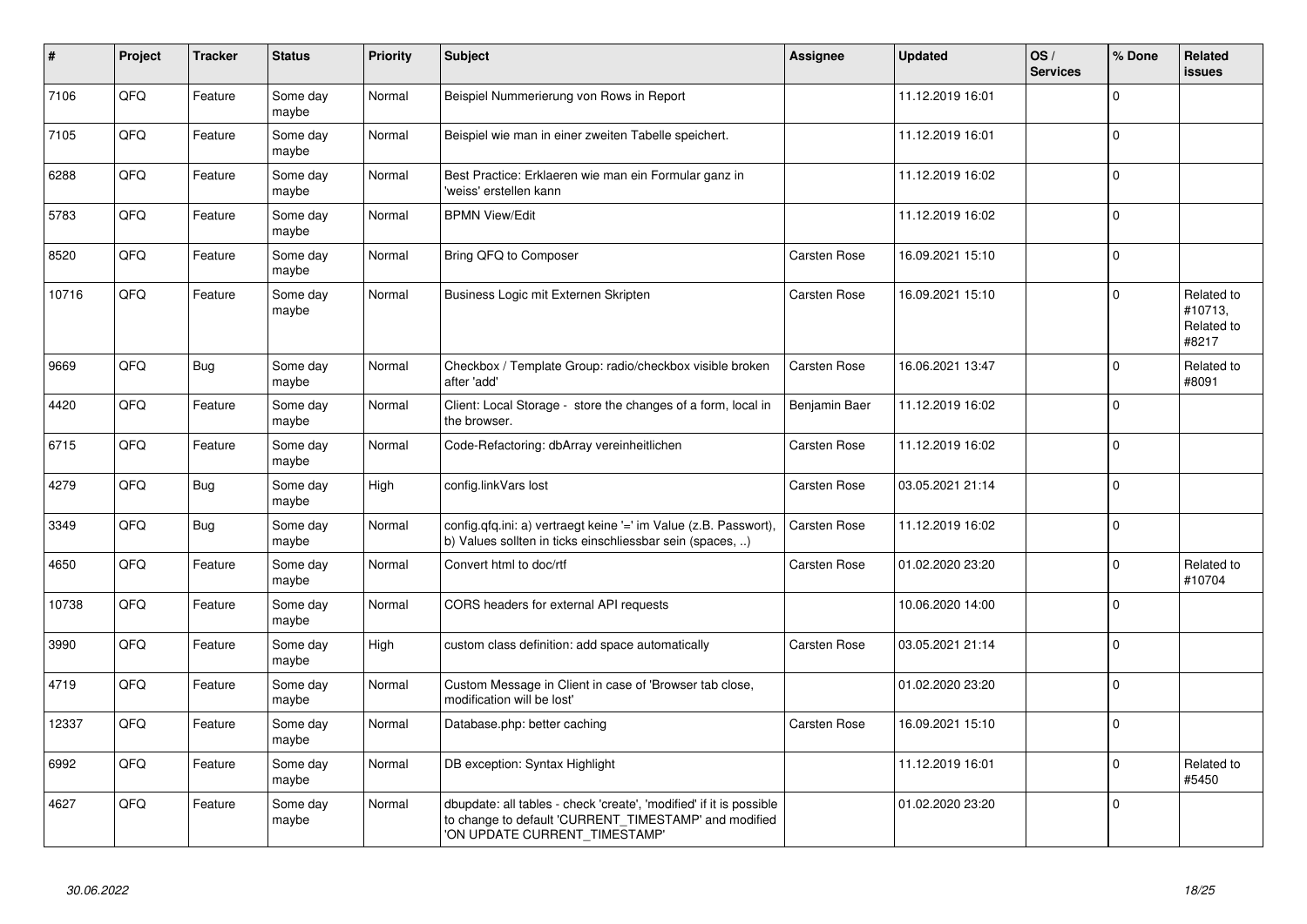| #     | Project | <b>Tracker</b> | <b>Status</b>     | <b>Priority</b> | <b>Subject</b>                                                                                                                                                | Assignee            | <b>Updated</b>   | OS/<br><b>Services</b> | % Done      | <b>Related</b><br><b>issues</b>              |
|-------|---------|----------------|-------------------|-----------------|---------------------------------------------------------------------------------------------------------------------------------------------------------------|---------------------|------------------|------------------------|-------------|----------------------------------------------|
| 7106  | QFQ     | Feature        | Some day<br>maybe | Normal          | Beispiel Nummerierung von Rows in Report                                                                                                                      |                     | 11.12.2019 16:01 |                        | $\Omega$    |                                              |
| 7105  | QFQ     | Feature        | Some day<br>maybe | Normal          | Beispiel wie man in einer zweiten Tabelle speichert.                                                                                                          |                     | 11.12.2019 16:01 |                        | $\mathbf 0$ |                                              |
| 6288  | QFQ     | Feature        | Some day<br>maybe | Normal          | Best Practice: Erklaeren wie man ein Formular ganz in<br>'weiss' erstellen kann                                                                               |                     | 11.12.2019 16:02 |                        | $\mathbf 0$ |                                              |
| 5783  | QFQ     | Feature        | Some day<br>maybe | Normal          | <b>BPMN View/Edit</b>                                                                                                                                         |                     | 11.12.2019 16:02 |                        | $\Omega$    |                                              |
| 8520  | QFQ     | Feature        | Some day<br>maybe | Normal          | Bring QFQ to Composer                                                                                                                                         | Carsten Rose        | 16.09.2021 15:10 |                        | $\mathbf 0$ |                                              |
| 10716 | QFQ     | Feature        | Some day<br>maybe | Normal          | Business Logic mit Externen Skripten                                                                                                                          | Carsten Rose        | 16.09.2021 15:10 |                        | $\mathbf 0$ | Related to<br>#10713,<br>Related to<br>#8217 |
| 9669  | QFQ     | <b>Bug</b>     | Some day<br>maybe | Normal          | Checkbox / Template Group: radio/checkbox visible broken<br>after 'add'                                                                                       | Carsten Rose        | 16.06.2021 13:47 |                        | $\mathbf 0$ | Related to<br>#8091                          |
| 4420  | QFQ     | Feature        | Some day<br>maybe | Normal          | Client: Local Storage - store the changes of a form, local in<br>the browser.                                                                                 | Benjamin Baer       | 11.12.2019 16:02 |                        | $\Omega$    |                                              |
| 6715  | QFQ     | Feature        | Some day<br>maybe | Normal          | Code-Refactoring: dbArray vereinheitlichen                                                                                                                    | Carsten Rose        | 11.12.2019 16:02 |                        | $\mathbf 0$ |                                              |
| 4279  | QFQ     | Bug            | Some day<br>maybe | High            | config.linkVars lost                                                                                                                                          | Carsten Rose        | 03.05.2021 21:14 |                        | $\Omega$    |                                              |
| 3349  | QFQ     | Bug            | Some day<br>maybe | Normal          | config.qfq.ini: a) vertraegt keine '=' im Value (z.B. Passwort),<br>b) Values sollten in ticks einschliessbar sein (spaces, )                                 | <b>Carsten Rose</b> | 11.12.2019 16:02 |                        | $\mathbf 0$ |                                              |
| 4650  | QFQ     | Feature        | Some day<br>maybe | Normal          | Convert html to doc/rtf                                                                                                                                       | <b>Carsten Rose</b> | 01.02.2020 23:20 |                        | $\mathbf 0$ | Related to<br>#10704                         |
| 10738 | QFQ     | Feature        | Some day<br>maybe | Normal          | CORS headers for external API requests                                                                                                                        |                     | 10.06.2020 14:00 |                        | $\Omega$    |                                              |
| 3990  | QFQ     | Feature        | Some day<br>maybe | High            | custom class definition: add space automatically                                                                                                              | Carsten Rose        | 03.05.2021 21:14 |                        | $\Omega$    |                                              |
| 4719  | QFQ     | Feature        | Some day<br>maybe | Normal          | Custom Message in Client in case of 'Browser tab close,<br>modification will be lost'                                                                         |                     | 01.02.2020 23:20 |                        | $\mathbf 0$ |                                              |
| 12337 | QFQ     | Feature        | Some day<br>maybe | Normal          | Database.php: better caching                                                                                                                                  | <b>Carsten Rose</b> | 16.09.2021 15:10 |                        | $\mathbf 0$ |                                              |
| 6992  | QFQ     | Feature        | Some day<br>maybe | Normal          | DB exception: Syntax Highlight                                                                                                                                |                     | 11.12.2019 16:01 |                        | $\Omega$    | Related to<br>#5450                          |
| 4627  | QFQ     | Feature        | Some day<br>maybe | Normal          | dbupdate: all tables - check 'create', 'modified' if it is possible<br>to change to default 'CURRENT_TIMESTAMP' and modified<br>'ON UPDATE CURRENT_TIMESTAMP' |                     | 01.02.2020 23:20 |                        | $\mathbf 0$ |                                              |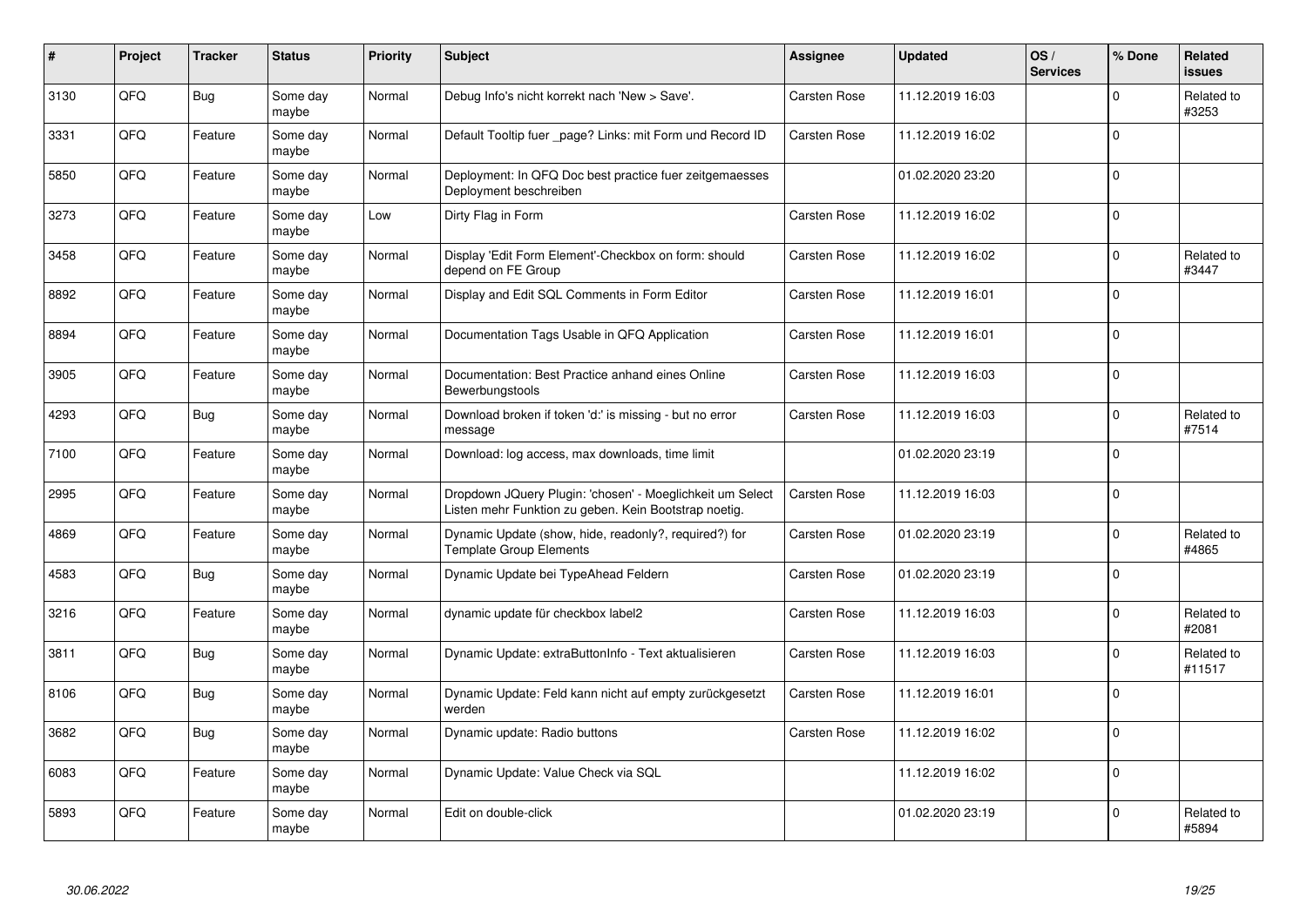| #    | Project | <b>Tracker</b> | <b>Status</b>     | <b>Priority</b> | <b>Subject</b>                                                                                                     | <b>Assignee</b>     | <b>Updated</b>   | OS/<br><b>Services</b> | % Done      | Related<br><b>issues</b> |
|------|---------|----------------|-------------------|-----------------|--------------------------------------------------------------------------------------------------------------------|---------------------|------------------|------------------------|-------------|--------------------------|
| 3130 | QFQ     | Bug            | Some day<br>maybe | Normal          | Debug Info's nicht korrekt nach 'New > Save'.                                                                      | <b>Carsten Rose</b> | 11.12.2019 16:03 |                        | $\mathbf 0$ | Related to<br>#3253      |
| 3331 | QFQ     | Feature        | Some day<br>maybe | Normal          | Default Tooltip fuer page? Links: mit Form und Record ID                                                           | Carsten Rose        | 11.12.2019 16:02 |                        | $\mathbf 0$ |                          |
| 5850 | QFQ     | Feature        | Some day<br>maybe | Normal          | Deployment: In QFQ Doc best practice fuer zeitgemaesses<br>Deployment beschreiben                                  |                     | 01.02.2020 23:20 |                        | $\pmb{0}$   |                          |
| 3273 | QFQ     | Feature        | Some day<br>maybe | Low             | Dirty Flag in Form                                                                                                 | <b>Carsten Rose</b> | 11.12.2019 16:02 |                        | $\Omega$    |                          |
| 3458 | QFQ     | Feature        | Some day<br>maybe | Normal          | Display 'Edit Form Element'-Checkbox on form: should<br>depend on FE Group                                         | <b>Carsten Rose</b> | 11.12.2019 16:02 |                        | $\mathbf 0$ | Related to<br>#3447      |
| 8892 | QFQ     | Feature        | Some day<br>maybe | Normal          | Display and Edit SQL Comments in Form Editor                                                                       | <b>Carsten Rose</b> | 11.12.2019 16:01 |                        | $\mathbf 0$ |                          |
| 8894 | QFQ     | Feature        | Some day<br>maybe | Normal          | Documentation Tags Usable in QFQ Application                                                                       | Carsten Rose        | 11.12.2019 16:01 |                        | $\pmb{0}$   |                          |
| 3905 | QFQ     | Feature        | Some day<br>maybe | Normal          | Documentation: Best Practice anhand eines Online<br>Bewerbungstools                                                | <b>Carsten Rose</b> | 11.12.2019 16:03 |                        | $\mathbf 0$ |                          |
| 4293 | QFQ     | Bug            | Some day<br>maybe | Normal          | Download broken if token 'd:' is missing - but no error<br>message                                                 | <b>Carsten Rose</b> | 11.12.2019 16:03 |                        | $\mathbf 0$ | Related to<br>#7514      |
| 7100 | QFQ     | Feature        | Some day<br>maybe | Normal          | Download: log access, max downloads, time limit                                                                    |                     | 01.02.2020 23:19 |                        | $\pmb{0}$   |                          |
| 2995 | QFQ     | Feature        | Some day<br>maybe | Normal          | Dropdown JQuery Plugin: 'chosen' - Moeglichkeit um Select<br>Listen mehr Funktion zu geben. Kein Bootstrap noetig. | Carsten Rose        | 11.12.2019 16:03 |                        | $\mathbf 0$ |                          |
| 4869 | QFQ     | Feature        | Some day<br>maybe | Normal          | Dynamic Update (show, hide, readonly?, required?) for<br>Template Group Elements                                   | Carsten Rose        | 01.02.2020 23:19 |                        | $\mathbf 0$ | Related to<br>#4865      |
| 4583 | QFQ     | Bug            | Some day<br>maybe | Normal          | Dynamic Update bei TypeAhead Feldern                                                                               | <b>Carsten Rose</b> | 01.02.2020 23:19 |                        | $\mathbf 0$ |                          |
| 3216 | QFQ     | Feature        | Some day<br>maybe | Normal          | dynamic update für checkbox label2                                                                                 | <b>Carsten Rose</b> | 11.12.2019 16:03 |                        | $\pmb{0}$   | Related to<br>#2081      |
| 3811 | QFQ     | Bug            | Some day<br>maybe | Normal          | Dynamic Update: extraButtonInfo - Text aktualisieren                                                               | Carsten Rose        | 11.12.2019 16:03 |                        | $\Omega$    | Related to<br>#11517     |
| 8106 | QFQ     | Bug            | Some day<br>maybe | Normal          | Dynamic Update: Feld kann nicht auf empty zurückgesetzt<br>werden                                                  | Carsten Rose        | 11.12.2019 16:01 |                        | $\mathbf 0$ |                          |
| 3682 | QFQ     | Bug            | Some day<br>maybe | Normal          | Dynamic update: Radio buttons                                                                                      | Carsten Rose        | 11.12.2019 16:02 |                        | $\mathbf 0$ |                          |
| 6083 | QFQ     | Feature        | Some day<br>maybe | Normal          | Dynamic Update: Value Check via SQL                                                                                |                     | 11.12.2019 16:02 |                        | $\pmb{0}$   |                          |
| 5893 | QFQ     | Feature        | Some day<br>maybe | Normal          | Edit on double-click                                                                                               |                     | 01.02.2020 23:19 |                        | $\Omega$    | Related to<br>#5894      |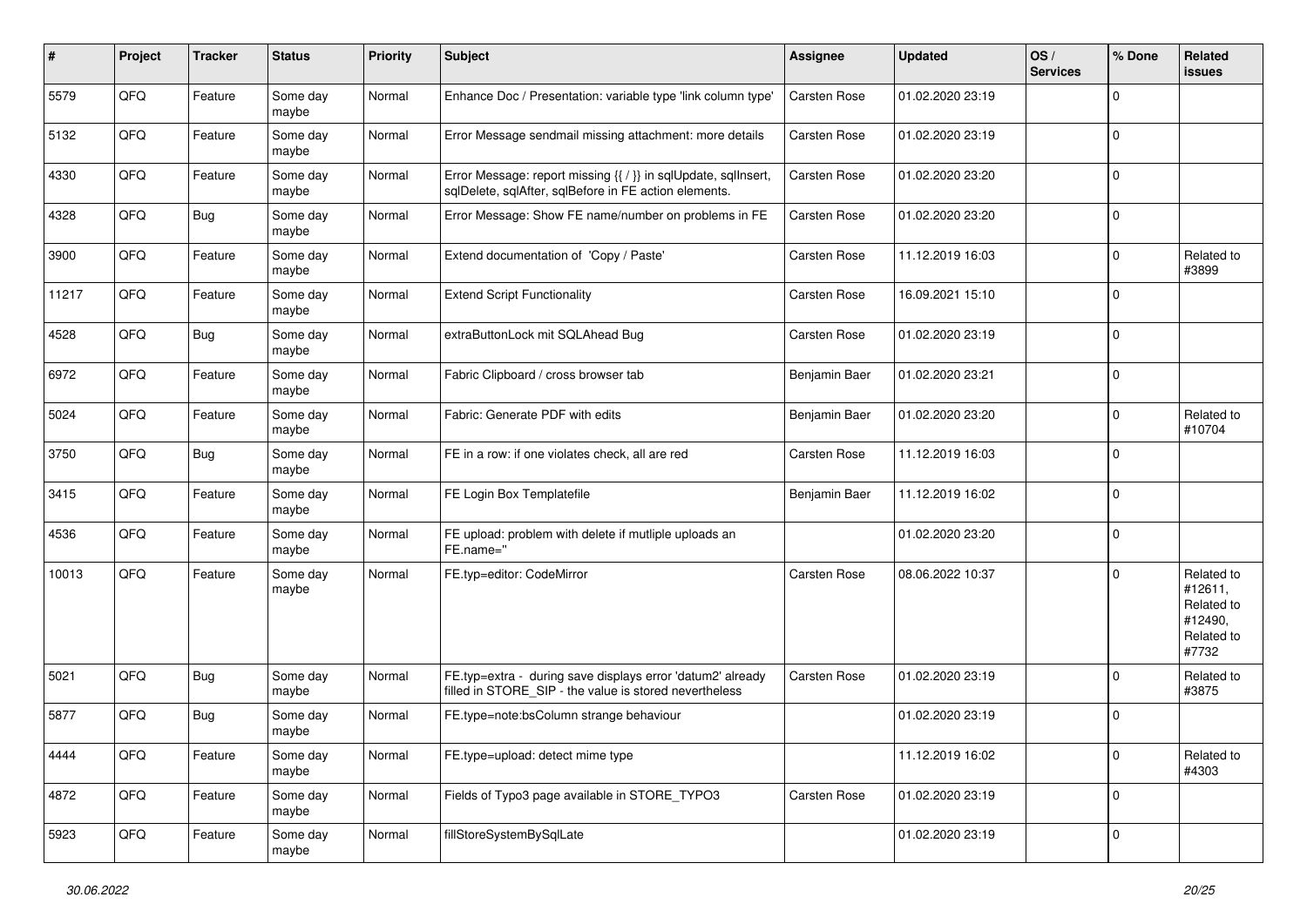| $\vert$ # | Project | <b>Tracker</b> | <b>Status</b>     | Priority | <b>Subject</b>                                                                                                          | <b>Assignee</b>     | <b>Updated</b>   | OS/<br><b>Services</b> | % Done      | Related<br><b>issues</b>                                              |
|-----------|---------|----------------|-------------------|----------|-------------------------------------------------------------------------------------------------------------------------|---------------------|------------------|------------------------|-------------|-----------------------------------------------------------------------|
| 5579      | QFQ     | Feature        | Some day<br>maybe | Normal   | Enhance Doc / Presentation: variable type 'link column type'                                                            | Carsten Rose        | 01.02.2020 23:19 |                        | $\mathbf 0$ |                                                                       |
| 5132      | QFQ     | Feature        | Some day<br>maybe | Normal   | Error Message sendmail missing attachment: more details                                                                 | Carsten Rose        | 01.02.2020 23:19 |                        | $\mathbf 0$ |                                                                       |
| 4330      | QFQ     | Feature        | Some day<br>maybe | Normal   | Error Message: report missing {{ / }} in sqlUpdate, sqlInsert,<br>sqlDelete, sqlAfter, sqlBefore in FE action elements. | Carsten Rose        | 01.02.2020 23:20 |                        | $\mathbf 0$ |                                                                       |
| 4328      | QFQ     | Bug            | Some day<br>maybe | Normal   | Error Message: Show FE name/number on problems in FE                                                                    | Carsten Rose        | 01.02.2020 23:20 |                        | $\mathbf 0$ |                                                                       |
| 3900      | QFQ     | Feature        | Some day<br>maybe | Normal   | Extend documentation of 'Copy / Paste'                                                                                  | Carsten Rose        | 11.12.2019 16:03 |                        | $\mathbf 0$ | Related to<br>#3899                                                   |
| 11217     | QFQ     | Feature        | Some day<br>maybe | Normal   | <b>Extend Script Functionality</b>                                                                                      | Carsten Rose        | 16.09.2021 15:10 |                        | $\mathbf 0$ |                                                                       |
| 4528      | QFQ     | Bug            | Some day<br>maybe | Normal   | extraButtonLock mit SQLAhead Bug                                                                                        | <b>Carsten Rose</b> | 01.02.2020 23:19 |                        | $\mathbf 0$ |                                                                       |
| 6972      | QFQ     | Feature        | Some day<br>maybe | Normal   | Fabric Clipboard / cross browser tab                                                                                    | Benjamin Baer       | 01.02.2020 23:21 |                        | $\mathbf 0$ |                                                                       |
| 5024      | QFQ     | Feature        | Some day<br>maybe | Normal   | Fabric: Generate PDF with edits                                                                                         | Benjamin Baer       | 01.02.2020 23:20 |                        | $\mathbf 0$ | Related to<br>#10704                                                  |
| 3750      | QFQ     | Bug            | Some day<br>maybe | Normal   | FE in a row: if one violates check, all are red                                                                         | Carsten Rose        | 11.12.2019 16:03 |                        | $\mathbf 0$ |                                                                       |
| 3415      | QFQ     | Feature        | Some day<br>maybe | Normal   | FE Login Box Templatefile                                                                                               | Benjamin Baer       | 11.12.2019 16:02 |                        | $\mathbf 0$ |                                                                       |
| 4536      | QFQ     | Feature        | Some day<br>maybe | Normal   | FE upload: problem with delete if mutliple uploads an<br>FE.name="                                                      |                     | 01.02.2020 23:20 |                        | $\mathbf 0$ |                                                                       |
| 10013     | QFQ     | Feature        | Some day<br>maybe | Normal   | FE.typ=editor: CodeMirror                                                                                               | Carsten Rose        | 08.06.2022 10:37 |                        | $\mathbf 0$ | Related to<br>#12611,<br>Related to<br>#12490,<br>Related to<br>#7732 |
| 5021      | QFQ     | Bug            | Some day<br>maybe | Normal   | FE.typ=extra - during save displays error 'datum2' already<br>filled in STORE_SIP - the value is stored nevertheless    | <b>Carsten Rose</b> | 01.02.2020 23:19 |                        | 0           | Related to<br>#3875                                                   |
| 5877      | QFQ     | Bug            | Some day<br>maybe | Normal   | FE.type=note:bsColumn strange behaviour                                                                                 |                     | 01.02.2020 23:19 |                        | 0           |                                                                       |
| 4444      | QFQ     | Feature        | Some day<br>maybe | Normal   | FE.type=upload: detect mime type                                                                                        |                     | 11.12.2019 16:02 |                        | $\mathbf 0$ | Related to<br>#4303                                                   |
| 4872      | QFQ     | Feature        | Some day<br>maybe | Normal   | Fields of Typo3 page available in STORE_TYPO3                                                                           | Carsten Rose        | 01.02.2020 23:19 |                        | $\mathbf 0$ |                                                                       |
| 5923      | QFQ     | Feature        | Some day<br>maybe | Normal   | fillStoreSystemBySqlLate                                                                                                |                     | 01.02.2020 23:19 |                        | $\mathbf 0$ |                                                                       |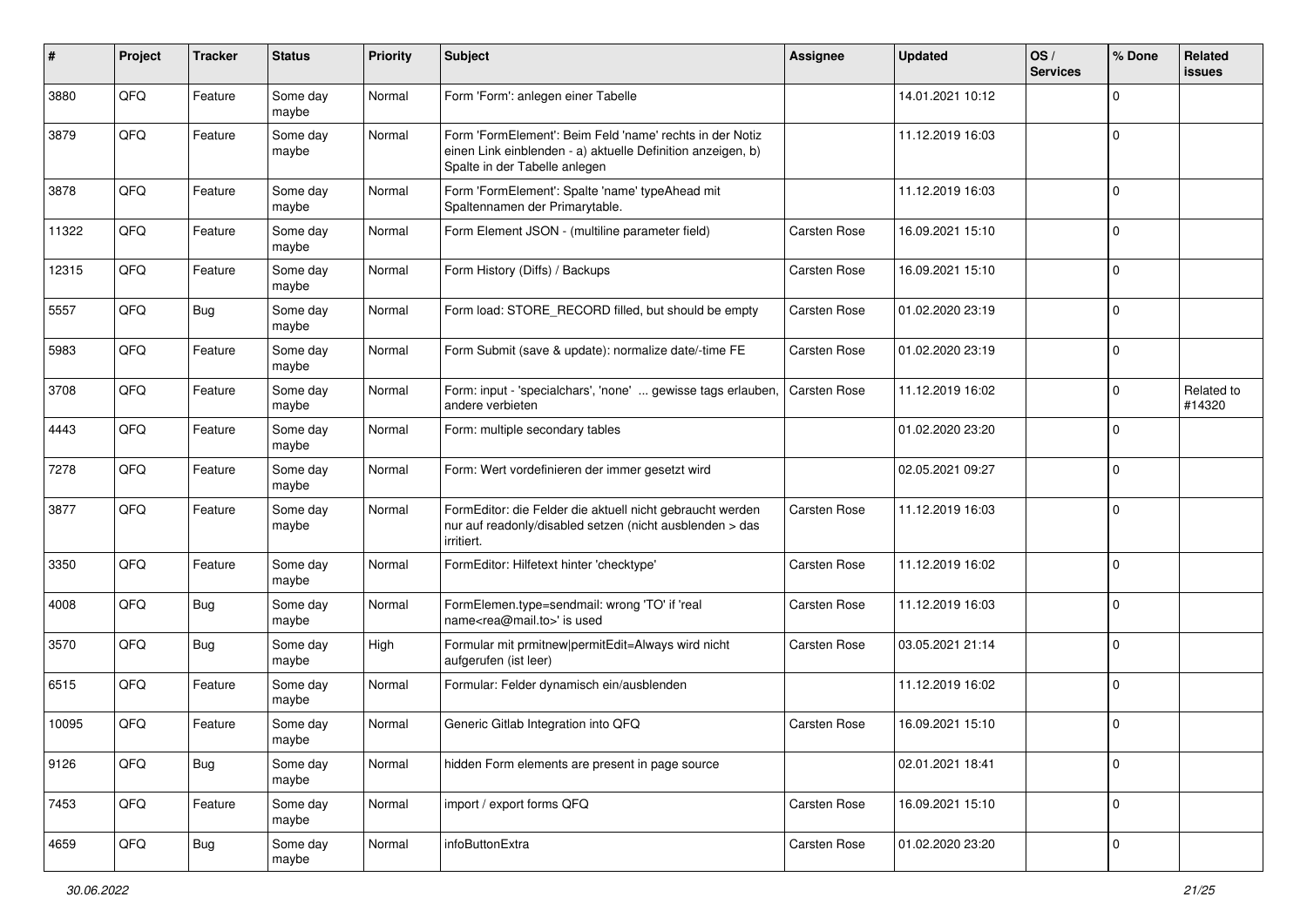| #     | Project | <b>Tracker</b> | <b>Status</b>     | <b>Priority</b> | Subject                                                                                                                                                  | <b>Assignee</b>     | <b>Updated</b>   | OS/<br><b>Services</b> | % Done         | Related<br><b>issues</b> |
|-------|---------|----------------|-------------------|-----------------|----------------------------------------------------------------------------------------------------------------------------------------------------------|---------------------|------------------|------------------------|----------------|--------------------------|
| 3880  | QFQ     | Feature        | Some day<br>maybe | Normal          | Form 'Form': anlegen einer Tabelle                                                                                                                       |                     | 14.01.2021 10:12 |                        | $\mathbf 0$    |                          |
| 3879  | QFQ     | Feature        | Some day<br>maybe | Normal          | Form 'FormElement': Beim Feld 'name' rechts in der Notiz<br>einen Link einblenden - a) aktuelle Definition anzeigen, b)<br>Spalte in der Tabelle anlegen |                     | 11.12.2019 16:03 |                        | 0              |                          |
| 3878  | QFQ     | Feature        | Some day<br>maybe | Normal          | Form 'FormElement': Spalte 'name' typeAhead mit<br>Spaltennamen der Primarytable.                                                                        |                     | 11.12.2019 16:03 |                        | 0              |                          |
| 11322 | QFQ     | Feature        | Some day<br>maybe | Normal          | Form Element JSON - (multiline parameter field)                                                                                                          | <b>Carsten Rose</b> | 16.09.2021 15:10 |                        | $\mathbf 0$    |                          |
| 12315 | QFQ     | Feature        | Some day<br>maybe | Normal          | Form History (Diffs) / Backups                                                                                                                           | <b>Carsten Rose</b> | 16.09.2021 15:10 |                        | $\mathbf 0$    |                          |
| 5557  | QFQ     | <b>Bug</b>     | Some day<br>maybe | Normal          | Form load: STORE_RECORD filled, but should be empty                                                                                                      | Carsten Rose        | 01.02.2020 23:19 |                        | $\mathbf 0$    |                          |
| 5983  | QFQ     | Feature        | Some day<br>maybe | Normal          | Form Submit (save & update): normalize date/-time FE                                                                                                     | Carsten Rose        | 01.02.2020 23:19 |                        | $\mathbf 0$    |                          |
| 3708  | QFQ     | Feature        | Some day<br>maybe | Normal          | Form: input - 'specialchars', 'none'  gewisse tags erlauben,<br>andere verbieten                                                                         | <b>Carsten Rose</b> | 11.12.2019 16:02 |                        | $\overline{0}$ | Related to<br>#14320     |
| 4443  | QFQ     | Feature        | Some day<br>maybe | Normal          | Form: multiple secondary tables                                                                                                                          |                     | 01.02.2020 23:20 |                        | 0              |                          |
| 7278  | QFQ     | Feature        | Some day<br>maybe | Normal          | Form: Wert vordefinieren der immer gesetzt wird                                                                                                          |                     | 02.05.2021 09:27 |                        | $\overline{0}$ |                          |
| 3877  | QFQ     | Feature        | Some day<br>maybe | Normal          | FormEditor: die Felder die aktuell nicht gebraucht werden<br>nur auf readonly/disabled setzen (nicht ausblenden > das<br>irritiert.                      | Carsten Rose        | 11.12.2019 16:03 |                        | $\mathbf 0$    |                          |
| 3350  | QFQ     | Feature        | Some day<br>maybe | Normal          | FormEditor: Hilfetext hinter 'checktype'                                                                                                                 | Carsten Rose        | 11.12.2019 16:02 |                        | 0              |                          |
| 4008  | QFQ     | Bug            | Some day<br>maybe | Normal          | FormElemen.type=sendmail: wrong 'TO' if 'real<br>name <rea@mail.to>' is used</rea@mail.to>                                                               | Carsten Rose        | 11.12.2019 16:03 |                        | 0              |                          |
| 3570  | QFQ     | <b>Bug</b>     | Some day<br>maybe | High            | Formular mit prmitnew permitEdit=Always wird nicht<br>aufgerufen (ist leer)                                                                              | Carsten Rose        | 03.05.2021 21:14 |                        | $\mathbf 0$    |                          |
| 6515  | QFQ     | Feature        | Some day<br>maybe | Normal          | Formular: Felder dynamisch ein/ausblenden                                                                                                                |                     | 11.12.2019 16:02 |                        | $\mathbf 0$    |                          |
| 10095 | QFQ     | Feature        | Some day<br>maybe | Normal          | Generic Gitlab Integration into QFQ                                                                                                                      | Carsten Rose        | 16.09.2021 15:10 |                        | $\mathbf 0$    |                          |
| 9126  | QFQ     | <b>Bug</b>     | Some day<br>maybe | Normal          | hidden Form elements are present in page source                                                                                                          |                     | 02.01.2021 18:41 |                        | $\overline{0}$ |                          |
| 7453  | QFG     | Feature        | Some day<br>maybe | Normal          | import / export forms QFQ                                                                                                                                | Carsten Rose        | 16.09.2021 15:10 |                        | $\overline{0}$ |                          |
| 4659  | QFQ     | <b>Bug</b>     | Some day<br>maybe | Normal          | infoButtonExtra                                                                                                                                          | Carsten Rose        | 01.02.2020 23:20 |                        | $\overline{0}$ |                          |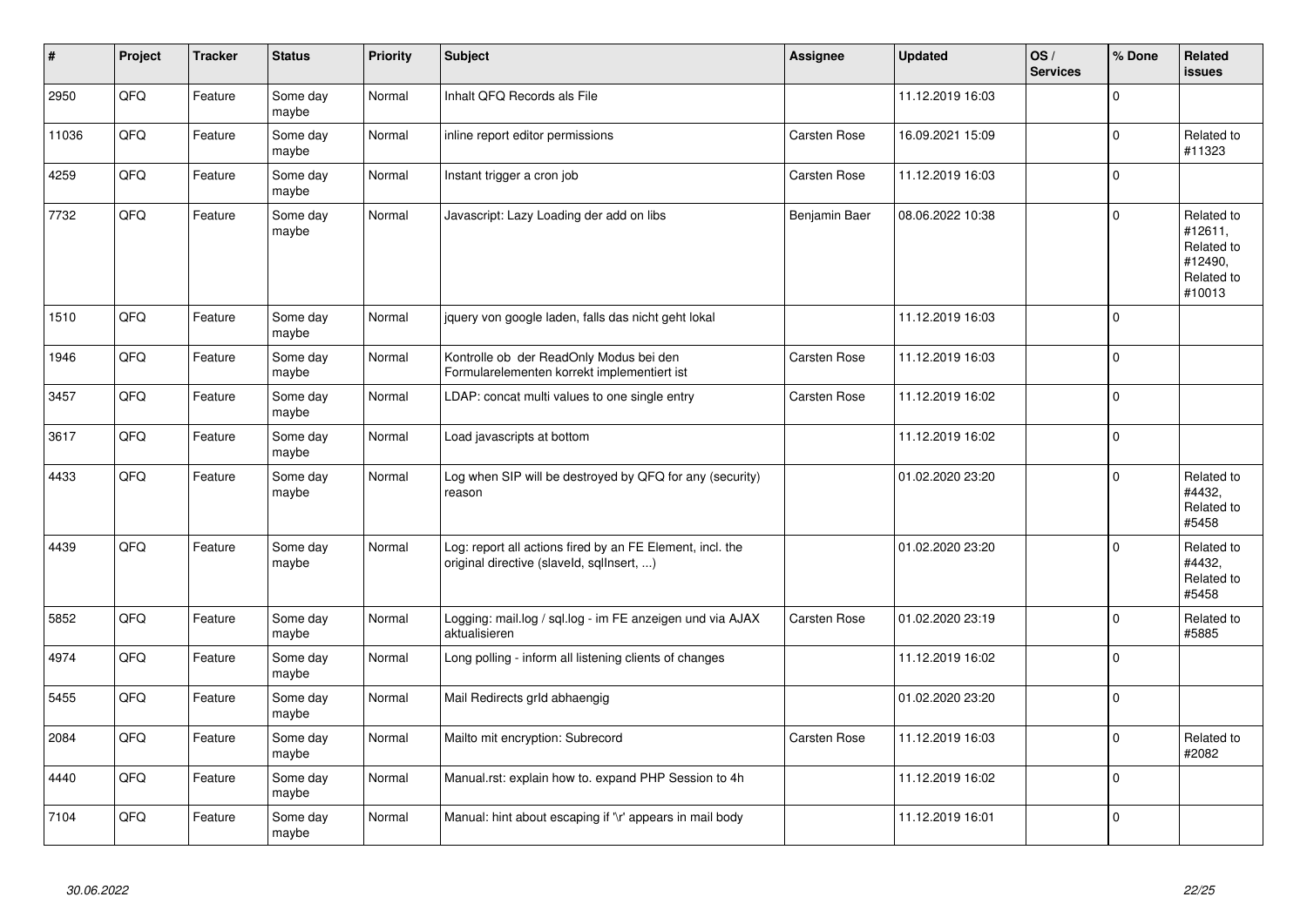| ∦     | Project | <b>Tracker</b> | <b>Status</b>     | <b>Priority</b> | <b>Subject</b>                                                                                         | Assignee            | <b>Updated</b>   | OS/<br><b>Services</b> | % Done      | Related<br><b>issues</b>                                               |
|-------|---------|----------------|-------------------|-----------------|--------------------------------------------------------------------------------------------------------|---------------------|------------------|------------------------|-------------|------------------------------------------------------------------------|
| 2950  | QFQ     | Feature        | Some day<br>maybe | Normal          | Inhalt QFQ Records als File                                                                            |                     | 11.12.2019 16:03 |                        | $\Omega$    |                                                                        |
| 11036 | QFQ     | Feature        | Some day<br>maybe | Normal          | inline report editor permissions                                                                       | <b>Carsten Rose</b> | 16.09.2021 15:09 |                        | $\mathbf 0$ | Related to<br>#11323                                                   |
| 4259  | QFQ     | Feature        | Some day<br>maybe | Normal          | Instant trigger a cron job                                                                             | <b>Carsten Rose</b> | 11.12.2019 16:03 |                        | $\Omega$    |                                                                        |
| 7732  | QFQ     | Feature        | Some day<br>maybe | Normal          | Javascript: Lazy Loading der add on libs                                                               | Benjamin Baer       | 08.06.2022 10:38 |                        | $\Omega$    | Related to<br>#12611.<br>Related to<br>#12490,<br>Related to<br>#10013 |
| 1510  | QFQ     | Feature        | Some day<br>maybe | Normal          | jquery von google laden, falls das nicht geht lokal                                                    |                     | 11.12.2019 16:03 |                        | $\mathbf 0$ |                                                                        |
| 1946  | QFQ     | Feature        | Some day<br>maybe | Normal          | Kontrolle ob der ReadOnly Modus bei den<br>Formularelementen korrekt implementiert ist                 | <b>Carsten Rose</b> | 11.12.2019 16:03 |                        | $\mathbf 0$ |                                                                        |
| 3457  | QFQ     | Feature        | Some day<br>maybe | Normal          | LDAP: concat multi values to one single entry                                                          | <b>Carsten Rose</b> | 11.12.2019 16:02 |                        | $\mathbf 0$ |                                                                        |
| 3617  | QFQ     | Feature        | Some day<br>maybe | Normal          | Load javascripts at bottom                                                                             |                     | 11.12.2019 16:02 |                        | $\mathbf 0$ |                                                                        |
| 4433  | QFQ     | Feature        | Some day<br>maybe | Normal          | Log when SIP will be destroyed by QFQ for any (security)<br>reason                                     |                     | 01.02.2020 23:20 |                        | $\mathbf 0$ | Related to<br>#4432,<br>Related to<br>#5458                            |
| 4439  | QFQ     | Feature        | Some day<br>maybe | Normal          | Log: report all actions fired by an FE Element, incl. the<br>original directive (slaveld, sqllnsert, ) |                     | 01.02.2020 23:20 |                        | $\mathbf 0$ | Related to<br>#4432,<br>Related to<br>#5458                            |
| 5852  | QFQ     | Feature        | Some day<br>maybe | Normal          | Logging: mail.log / sql.log - im FE anzeigen und via AJAX<br>aktualisieren                             | <b>Carsten Rose</b> | 01.02.2020 23:19 |                        | $\mathbf 0$ | Related to<br>#5885                                                    |
| 4974  | QFQ     | Feature        | Some day<br>maybe | Normal          | Long polling - inform all listening clients of changes                                                 |                     | 11.12.2019 16:02 |                        | $\Omega$    |                                                                        |
| 5455  | QFQ     | Feature        | Some day<br>maybe | Normal          | Mail Redirects grld abhaengig                                                                          |                     | 01.02.2020 23:20 |                        | $\Omega$    |                                                                        |
| 2084  | QFQ     | Feature        | Some day<br>maybe | Normal          | Mailto mit encryption: Subrecord                                                                       | <b>Carsten Rose</b> | 11.12.2019 16:03 |                        | $\Omega$    | Related to<br>#2082                                                    |
| 4440  | QFQ     | Feature        | Some day<br>maybe | Normal          | Manual.rst: explain how to. expand PHP Session to 4h                                                   |                     | 11.12.2019 16:02 |                        | $\mathbf 0$ |                                                                        |
| 7104  | QFQ     | Feature        | Some day<br>maybe | Normal          | Manual: hint about escaping if '\r' appears in mail body                                               |                     | 11.12.2019 16:01 |                        | $\mathbf 0$ |                                                                        |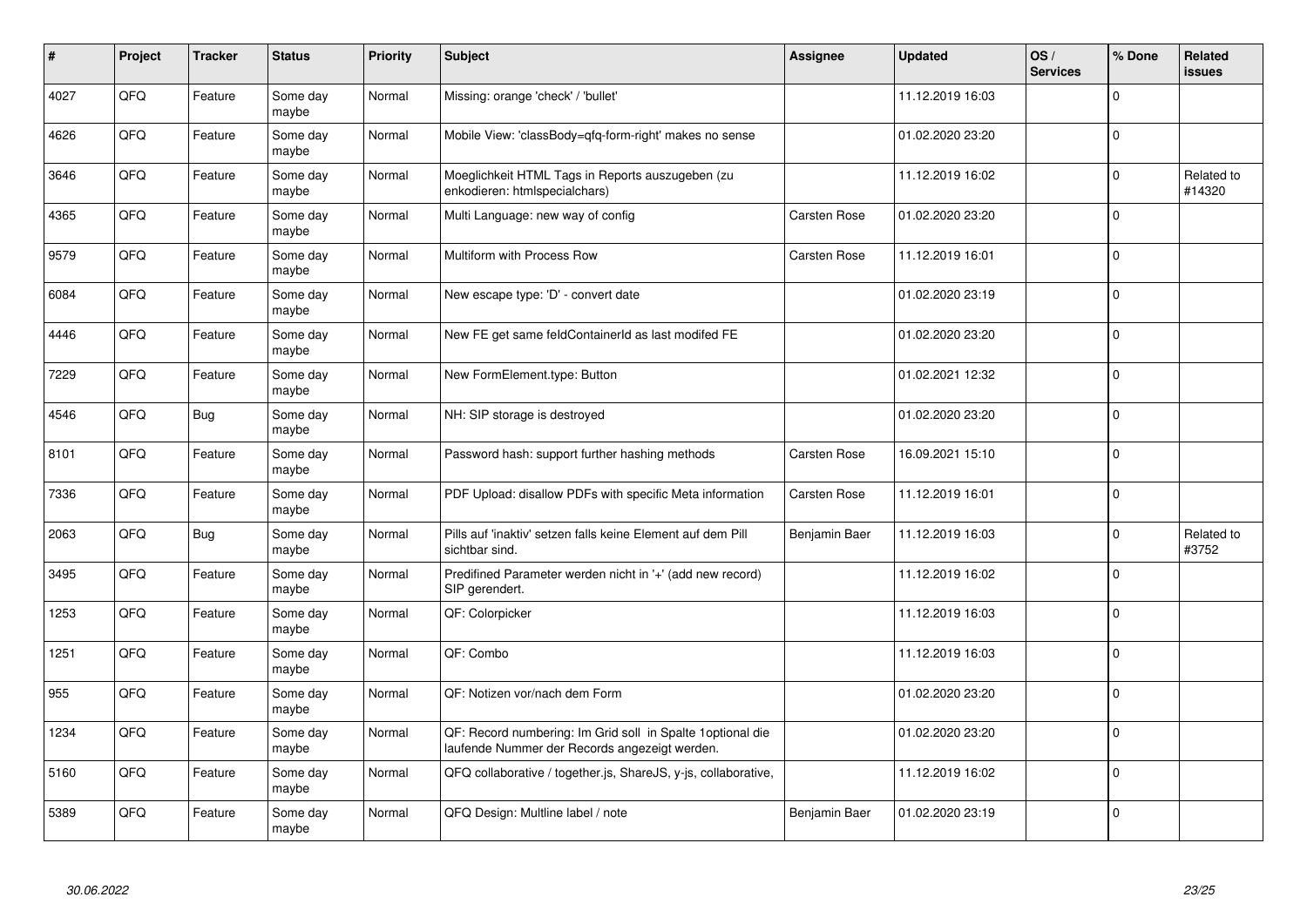| $\sharp$ | Project | <b>Tracker</b> | <b>Status</b>     | Priority | <b>Subject</b>                                                                                               | <b>Assignee</b>     | <b>Updated</b>   | OS/<br><b>Services</b> | % Done      | <b>Related</b><br><b>issues</b> |
|----------|---------|----------------|-------------------|----------|--------------------------------------------------------------------------------------------------------------|---------------------|------------------|------------------------|-------------|---------------------------------|
| 4027     | QFQ     | Feature        | Some day<br>maybe | Normal   | Missing: orange 'check' / 'bullet'                                                                           |                     | 11.12.2019 16:03 |                        | $\Omega$    |                                 |
| 4626     | QFQ     | Feature        | Some day<br>maybe | Normal   | Mobile View: 'classBody=qfq-form-right' makes no sense                                                       |                     | 01.02.2020 23:20 |                        | $\mathbf 0$ |                                 |
| 3646     | QFQ     | Feature        | Some day<br>maybe | Normal   | Moeglichkeit HTML Tags in Reports auszugeben (zu<br>enkodieren: htmlspecialchars)                            |                     | 11.12.2019 16:02 |                        | $\mathbf 0$ | Related to<br>#14320            |
| 4365     | QFQ     | Feature        | Some day<br>maybe | Normal   | Multi Language: new way of config                                                                            | <b>Carsten Rose</b> | 01.02.2020 23:20 |                        | $\Omega$    |                                 |
| 9579     | QFQ     | Feature        | Some day<br>maybe | Normal   | Multiform with Process Row                                                                                   | <b>Carsten Rose</b> | 11.12.2019 16:01 |                        | $\mathbf 0$ |                                 |
| 6084     | QFQ     | Feature        | Some day<br>maybe | Normal   | New escape type: 'D' - convert date                                                                          |                     | 01.02.2020 23:19 |                        | $\pmb{0}$   |                                 |
| 4446     | QFQ     | Feature        | Some day<br>maybe | Normal   | New FE get same feldContainerId as last modifed FE                                                           |                     | 01.02.2020 23:20 |                        | $\mathbf 0$ |                                 |
| 7229     | QFQ     | Feature        | Some day<br>maybe | Normal   | New FormElement.type: Button                                                                                 |                     | 01.02.2021 12:32 |                        | $\mathbf 0$ |                                 |
| 4546     | QFQ     | Bug            | Some day<br>maybe | Normal   | NH: SIP storage is destroyed                                                                                 |                     | 01.02.2020 23:20 |                        | $\Omega$    |                                 |
| 8101     | QFQ     | Feature        | Some day<br>maybe | Normal   | Password hash: support further hashing methods                                                               | Carsten Rose        | 16.09.2021 15:10 |                        | $\mathbf 0$ |                                 |
| 7336     | QFQ     | Feature        | Some day<br>maybe | Normal   | PDF Upload: disallow PDFs with specific Meta information                                                     | <b>Carsten Rose</b> | 11.12.2019 16:01 |                        | $\mathbf 0$ |                                 |
| 2063     | QFQ     | Bug            | Some day<br>maybe | Normal   | Pills auf 'inaktiv' setzen falls keine Element auf dem Pill<br>sichtbar sind.                                | Benjamin Baer       | 11.12.2019 16:03 |                        | $\mathbf 0$ | Related to<br>#3752             |
| 3495     | QFQ     | Feature        | Some day<br>maybe | Normal   | Predifined Parameter werden nicht in '+' (add new record)<br>SIP gerendert.                                  |                     | 11.12.2019 16:02 |                        | $\mathbf 0$ |                                 |
| 1253     | QFQ     | Feature        | Some day<br>maybe | Normal   | QF: Colorpicker                                                                                              |                     | 11.12.2019 16:03 |                        | $\mathbf 0$ |                                 |
| 1251     | QFQ     | Feature        | Some day<br>maybe | Normal   | QF: Combo                                                                                                    |                     | 11.12.2019 16:03 |                        | $\Omega$    |                                 |
| 955      | QFQ     | Feature        | Some day<br>maybe | Normal   | QF: Notizen vor/nach dem Form                                                                                |                     | 01.02.2020 23:20 |                        | $\mathbf 0$ |                                 |
| 1234     | QFQ     | Feature        | Some day<br>maybe | Normal   | QF: Record numbering: Im Grid soll in Spalte 1 optional die<br>laufende Nummer der Records angezeigt werden. |                     | 01.02.2020 23:20 |                        | $\mathbf 0$ |                                 |
| 5160     | QFQ     | Feature        | Some day<br>maybe | Normal   | QFQ collaborative / together.js, ShareJS, y-js, collaborative,                                               |                     | 11.12.2019 16:02 |                        | $\mathbf 0$ |                                 |
| 5389     | QFQ     | Feature        | Some day<br>maybe | Normal   | QFQ Design: Multline label / note                                                                            | Benjamin Baer       | 01.02.2020 23:19 |                        | $\Omega$    |                                 |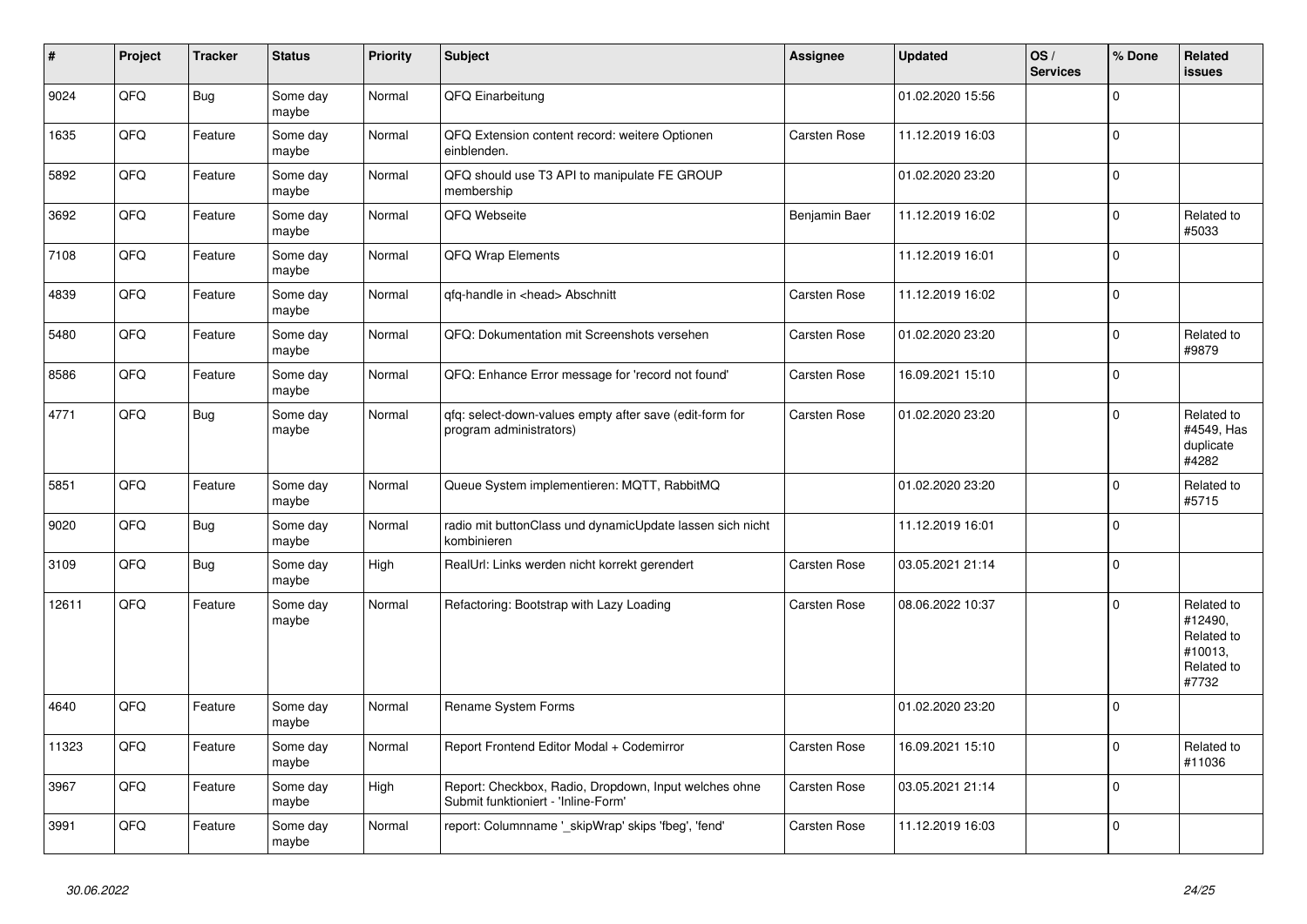| #     | Project | <b>Tracker</b> | <b>Status</b>     | <b>Priority</b> | <b>Subject</b>                                                                               | Assignee      | <b>Updated</b>   | OS/<br><b>Services</b> | % Done      | Related<br><b>issues</b>                                              |
|-------|---------|----------------|-------------------|-----------------|----------------------------------------------------------------------------------------------|---------------|------------------|------------------------|-------------|-----------------------------------------------------------------------|
| 9024  | QFQ     | Bug            | Some day<br>maybe | Normal          | QFQ Einarbeitung                                                                             |               | 01.02.2020 15:56 |                        | $\mathbf 0$ |                                                                       |
| 1635  | QFQ     | Feature        | Some day<br>maybe | Normal          | QFQ Extension content record: weitere Optionen<br>einblenden.                                | Carsten Rose  | 11.12.2019 16:03 |                        | $\mathbf 0$ |                                                                       |
| 5892  | QFQ     | Feature        | Some day<br>maybe | Normal          | QFQ should use T3 API to manipulate FE GROUP<br>membership                                   |               | 01.02.2020 23:20 |                        | $\mathbf 0$ |                                                                       |
| 3692  | QFQ     | Feature        | Some day<br>maybe | Normal          | QFQ Webseite                                                                                 | Benjamin Baer | 11.12.2019 16:02 |                        | $\mathbf 0$ | Related to<br>#5033                                                   |
| 7108  | QFQ     | Feature        | Some day<br>maybe | Normal          | <b>QFQ Wrap Elements</b>                                                                     |               | 11.12.2019 16:01 |                        | $\mathbf 0$ |                                                                       |
| 4839  | QFQ     | Feature        | Some day<br>maybe | Normal          | gfg-handle in <head> Abschnitt</head>                                                        | Carsten Rose  | 11.12.2019 16:02 |                        | $\mathbf 0$ |                                                                       |
| 5480  | QFQ     | Feature        | Some day<br>maybe | Normal          | QFQ: Dokumentation mit Screenshots versehen                                                  | Carsten Rose  | 01.02.2020 23:20 |                        | $\mathbf 0$ | Related to<br>#9879                                                   |
| 8586  | QFQ     | Feature        | Some day<br>maybe | Normal          | QFQ: Enhance Error message for 'record not found'                                            | Carsten Rose  | 16.09.2021 15:10 |                        | $\Omega$    |                                                                       |
| 4771  | QFQ     | Bug            | Some day<br>maybe | Normal          | qfq: select-down-values empty after save (edit-form for<br>program administrators)           | Carsten Rose  | 01.02.2020 23:20 |                        | $\mathbf 0$ | Related to<br>#4549, Has<br>duplicate<br>#4282                        |
| 5851  | QFQ     | Feature        | Some day<br>maybe | Normal          | Queue System implementieren: MQTT, RabbitMQ                                                  |               | 01.02.2020 23:20 |                        | $\mathbf 0$ | Related to<br>#5715                                                   |
| 9020  | QFQ     | Bug            | Some day<br>maybe | Normal          | radio mit buttonClass und dynamicUpdate lassen sich nicht<br>kombinieren                     |               | 11.12.2019 16:01 |                        | $\mathbf 0$ |                                                                       |
| 3109  | QFQ     | Bug            | Some day<br>maybe | High            | RealUrl: Links werden nicht korrekt gerendert                                                | Carsten Rose  | 03.05.2021 21:14 |                        | $\pmb{0}$   |                                                                       |
| 12611 | QFQ     | Feature        | Some day<br>maybe | Normal          | Refactoring: Bootstrap with Lazy Loading                                                     | Carsten Rose  | 08.06.2022 10:37 |                        | $\mathbf 0$ | Related to<br>#12490,<br>Related to<br>#10013,<br>Related to<br>#7732 |
| 4640  | QFQ     | Feature        | Some day<br>maybe | Normal          | Rename System Forms                                                                          |               | 01.02.2020 23:20 |                        | $\mathbf 0$ |                                                                       |
| 11323 | QFQ     | Feature        | Some day<br>maybe | Normal          | Report Frontend Editor Modal + Codemirror                                                    | Carsten Rose  | 16.09.2021 15:10 |                        | $\mathbf 0$ | Related to<br>#11036                                                  |
| 3967  | QFQ     | Feature        | Some day<br>maybe | High            | Report: Checkbox, Radio, Dropdown, Input welches ohne<br>Submit funktioniert - 'Inline-Form' | Carsten Rose  | 03.05.2021 21:14 |                        | $\mathbf 0$ |                                                                       |
| 3991  | QFQ     | Feature        | Some day<br>maybe | Normal          | report: Columnname ' skipWrap' skips 'fbeg', 'fend'                                          | Carsten Rose  | 11.12.2019 16:03 |                        | $\mathbf 0$ |                                                                       |